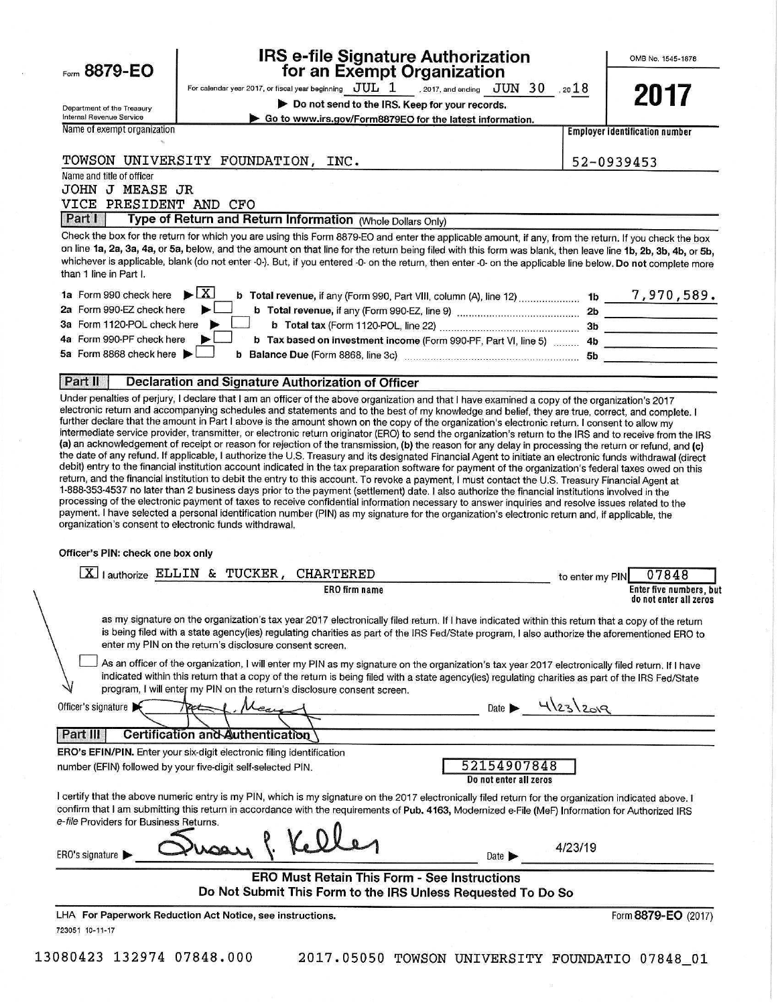Form 8879-EO

## **IRS e-file Signature Authorization** for an Exempt Organization

For calendar year 2017, or fiscal year beginning  $JUL$   $1$  . 2017, and ending  $JUN$   $30$  , 20  $18$ Do not send to the IRS. Keep for your records.

Go to www.irs.gov/Form8879EO for the latest information.

OMB No. 1545-1878

Department of the Treasury Internal Revenue Service Name of exempt organization

Name and title of officer

**Employer identification number** 

#### TOWSON UNIVERSITY FOUNDATION. INC.

52-0939453

**JOHN J MEASE JR** VICE PRESIDENT AND CFO

Part Type of Return and Return Information (Whole Dollars Only)

Check the box for the return for which you are using this Form 8879-EO and enter the applicable amount, if any, from the return. If you check the box on line 1a, 2a, 3a, 4a, or 5a, below, and the amount on that line for the return being filed with this form was blank, then leave line 1b, 2b, 3b, 4b, or 5b, whichever is applicable, blank (do not enter -0-). But, if you entered -0- on the return, then enter -0- on the applicable line below. Do not complete more than 1 line in Part I.

| 1a Form 990 check here $\blacktriangleright$ $\lfloor X \rfloor$                                               | 1b        | 7,970,589. |
|----------------------------------------------------------------------------------------------------------------|-----------|------------|
| 2a Form 990-EZ check here<br>b Total revenue, if any (Form 990-EZ, line 9) [[[[[[[[[[[[[[[[[[[[[[[[[[[]]]]]]]] | 2b        |            |
| 3a Form 1120-POL check here                                                                                    | 3b        |            |
| 4a Form 990-PF check here<br>b Tax based on investment income (Form 990-PF, Part VI, line 5)  4b               |           |            |
| 5a Form 8868 check here $\blacktriangleright$<br>b Balance Due (Form 8868, line 3c) <b>Constitution</b>        | <b>5b</b> |            |

#### Part II Declaration and Signature Authorization of Officer

Under penalties of perjury, I declare that I am an officer of the above organization and that I have examined a copy of the organization's 2017 electronic return and accompanying schedules and statements and to the best of my knowledge and belief, they are true, correct, and complete. I further declare that the amount in Part I above is the amount shown on the copy of the organization's electronic return. I consent to allow my intermediate service provider, transmitter, or electronic return originator (ERO) to send the organization's return to the IRS and to receive from the IRS (a) an acknowledgement of receipt or reason for rejection of the transmission, (b) the reason for any delay in processing the return or refund, and (c) the date of any refund. If applicable, I authorize the U.S. Treasury and its designated Financial Agent to initiate an electronic funds withdrawal (direct debit) entry to the financial institution account indicated in the tax preparation software for payment of the organization's federal taxes owed on this return, and the financial institution to debit the entry to this account. To revoke a payment, I must contact the U.S. Treasury Financial Agent at 1-888-353-4537 no later than 2 business days prior to the payment (settlement) date. I also authorize the financial institutions involved in the processing of the electronic payment of taxes to receive confidential information necessary to answer inquiries and resolve issues related to the payment. I have selected a personal identification number (PIN) as my signature for the organization's electronic return and, if applicable, the organization's consent to electronic funds withdrawal.

### Officer's PIN: check one box only

| $X$   authorize ELLIN & TUCKER,<br><b>CHARTERED</b><br>07848<br>to enter my PIN                                                                                                                                                                                                                                                                                                  |
|----------------------------------------------------------------------------------------------------------------------------------------------------------------------------------------------------------------------------------------------------------------------------------------------------------------------------------------------------------------------------------|
| Enter five numbers, but<br>ERO firm name<br>do not enter all zeros                                                                                                                                                                                                                                                                                                               |
| as my signature on the organization's tax year 2017 electronically filed return. If I have indicated within this return that a copy of the return<br>is being filed with a state agency(ies) regulating charities as part of the IRS Fed/State program, I also authorize the aforementioned ERO to<br>enter my PIN on the return's disclosure consent screen.                    |
| As an officer of the organization, I will enter my PIN as my signature on the organization's tax year 2017 electronically filed return. If I have<br>indicated within this return that a copy of the return is being filed with a state agency(ies) regulating charities as part of the IRS Fed/State<br>program, I will enter my PIN on the return's disclosure consent screen. |
| Date $H_{232299}$<br>Officer's signature                                                                                                                                                                                                                                                                                                                                         |
| Certification and Authentication<br>Part III                                                                                                                                                                                                                                                                                                                                     |
| <b>ERO's EFIN/PIN.</b> Enter your six-digit electronic filing identification                                                                                                                                                                                                                                                                                                     |
| 52154907848<br>number (EFIN) followed by your five-digit self-selected PIN.<br>Do not enter all zeros                                                                                                                                                                                                                                                                            |
| I certify that the above numeric entry is my PIN, which is my signature on the 2017 electronically filed return for the organization indicated above. I<br>confirm that I am submitting this return in accordance with the requirements of Pub. 4163, Modernized e-File (MeF) Information for Authorized IRS<br>e-file Providers for Business Returns.                           |
| 4/23/19<br>ERO's signature<br>Date $\blacktriangleright$                                                                                                                                                                                                                                                                                                                         |
| ERO Must Retain This Form - See Instructions<br>Do Not Submit This Form to the IRS Unless Requested To Do So                                                                                                                                                                                                                                                                     |
| Form 8879-EO (2017)<br>LHA For Paperwork Reduction Act Notice, see instructions.<br>723051 10-11-17                                                                                                                                                                                                                                                                              |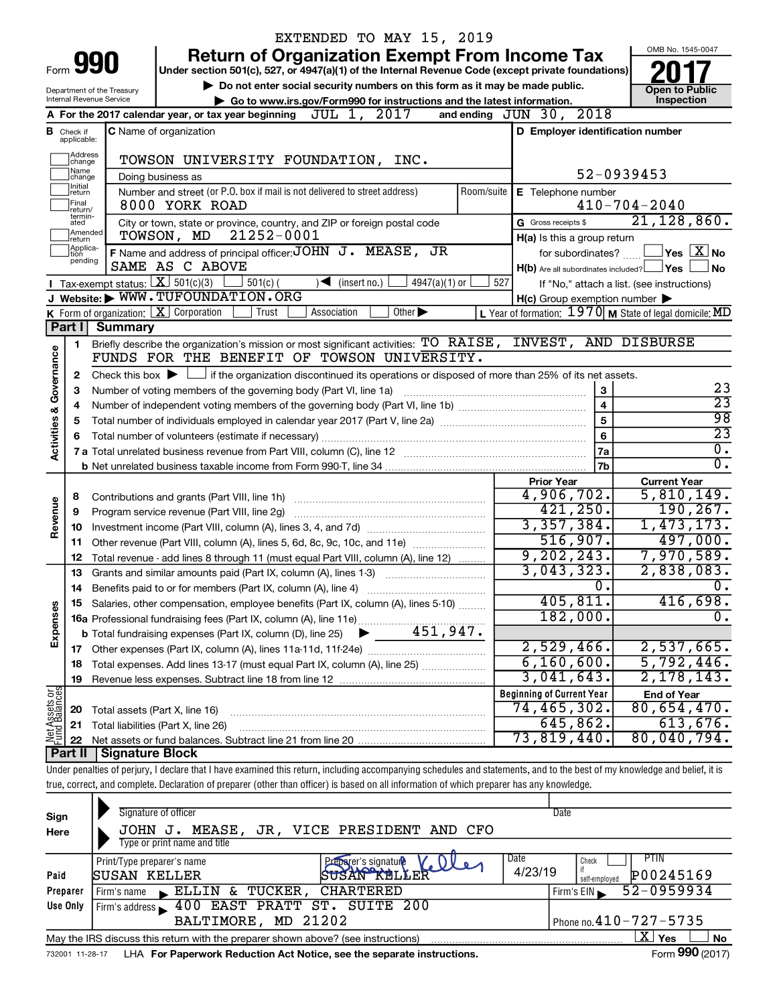|                                |                                  |                                                        | EXTENDED TO MAY 15, 2019                                                                                                                                                   |                                                         | OMB No. 1545-0047                             |
|--------------------------------|----------------------------------|--------------------------------------------------------|----------------------------------------------------------------------------------------------------------------------------------------------------------------------------|---------------------------------------------------------|-----------------------------------------------|
|                                |                                  | <b>990</b>                                             | <b>Return of Organization Exempt From Income Tax</b>                                                                                                                       |                                                         |                                               |
| Form                           |                                  |                                                        | Under section 501(c), 527, or 4947(a)(1) of the Internal Revenue Code (except private foundations)                                                                         |                                                         |                                               |
|                                |                                  | Department of the Treasury<br>Internal Revenue Service | Do not enter social security numbers on this form as it may be made public.<br>Go to www.irs.gov/Form990 for instructions and the latest information.                      |                                                         | <b>Open to Public</b><br>Inspection           |
|                                |                                  |                                                        | JUL 1, 2017<br>A For the 2017 calendar year, or tax year beginning                                                                                                         | and ending JUN 30, 2018                                 |                                               |
|                                | <b>B</b> Check if<br>applicable: |                                                        | <b>C</b> Name of organization                                                                                                                                              | D Employer identification number                        |                                               |
|                                | Address                          |                                                        |                                                                                                                                                                            |                                                         |                                               |
|                                | change<br> Name                  |                                                        | TOWSON UNIVERSITY FOUNDATION, INC.                                                                                                                                         |                                                         |                                               |
|                                | change<br>1Initial               |                                                        | Doing business as                                                                                                                                                          |                                                         | 52-0939453                                    |
|                                | return<br>Final<br>return/       |                                                        | Number and street (or P.O. box if mail is not delivered to street address)<br>Room/suite  <br>8000 YORK ROAD                                                               | E Telephone number                                      | $410 - 704 - 2040$                            |
|                                | termin-<br>ated                  |                                                        | City or town, state or province, country, and ZIP or foreign postal code                                                                                                   | G Gross receipts \$                                     | 21, 128, 860.                                 |
|                                | Amended<br>Ireturn               |                                                        | 21252-0001<br>TOWSON, MD                                                                                                                                                   | H(a) Is this a group return                             |                                               |
|                                | Applica-<br>ltion                |                                                        | F Name and address of principal officer: JOHN J. MEASE, JR                                                                                                                 | for subordinates?                                       | $\sqrt{}$ Yes $\sqrt{}$ $\overline{\rm X}$ No |
|                                | pending                          |                                                        | SAME AS C ABOVE                                                                                                                                                            | $H(b)$ Are all subordinates included? $\Box$ Yes        | <b>No</b>                                     |
|                                |                                  | <b>I</b> Tax exempt status: $X \overline{3}$ 501(c)(3) | $\sqrt{\bullet}$ (insert no.)<br>$501(c)$ (<br>$4947(a)(1)$ or                                                                                                             | 527                                                     | If "No," attach a list. (see instructions)    |
|                                |                                  |                                                        | J Website: WWW.TUFOUNDATION.ORG                                                                                                                                            | $H(c)$ Group exemption number $\blacktriangleright$     |                                               |
|                                |                                  |                                                        | K Form of organization: $X$ Corporation<br>Other $\blacktriangleright$<br>  Trust<br>Association                                                                           | L Year of formation: 1970 M State of legal domicile: MD |                                               |
|                                | Part I                           | <b>Summary</b>                                         |                                                                                                                                                                            |                                                         |                                               |
| Activities & Governance        | 1                                |                                                        | Briefly describe the organization's mission or most significant activities: TO RAISE, INVEST, AND DISBURSE<br>FUNDS FOR THE BENEFIT OF TOWSON UNIVERSITY.                  |                                                         |                                               |
|                                | 2                                |                                                        | Check this box $\blacktriangleright$ $\Box$ if the organization discontinued its operations or disposed of more than 25% of its net assets.                                |                                                         |                                               |
|                                | 3                                |                                                        | Number of voting members of the governing body (Part VI, line 1a)                                                                                                          | $\mathbf{3}$                                            | 23                                            |
|                                | 4                                |                                                        |                                                                                                                                                                            | $\overline{4}$                                          | $\overline{23}$                               |
|                                | 5                                |                                                        |                                                                                                                                                                            | 5                                                       | 98                                            |
|                                | 6                                |                                                        | Total number of volunteers (estimate if necessary)                                                                                                                         | $\bf 6$                                                 | $\overline{23}$                               |
|                                |                                  |                                                        |                                                                                                                                                                            | 7a                                                      | $\overline{0}$ .                              |
|                                |                                  |                                                        |                                                                                                                                                                            | 17ь                                                     | σ.                                            |
|                                |                                  |                                                        |                                                                                                                                                                            | <b>Prior Year</b>                                       | <b>Current Year</b>                           |
|                                | 8                                |                                                        | Contributions and grants (Part VIII, line 1h)                                                                                                                              | 4,906,702.<br>421, 250.                                 | 5,810,149.<br>190, 267.                       |
| Revenue                        | 9                                |                                                        | Program service revenue (Part VIII, line 2g)                                                                                                                               | 3,357,384.                                              | 1,473,173.                                    |
|                                | 10<br>11                         |                                                        | Other revenue (Part VIII, column (A), lines 5, 6d, 8c, 9c, 10c, and 11e)                                                                                                   | 516,907.                                                | 497,000.                                      |
|                                | 12                               |                                                        | Total revenue - add lines 8 through 11 (must equal Part VIII, column (A), line 12)                                                                                         | 9, 202, 243.                                            | 7,970,589.                                    |
|                                |                                  |                                                        |                                                                                                                                                                            | 3,043,323.                                              | 2,838,083.                                    |
|                                | 14                               |                                                        | Benefits paid to or for members (Part IX, column (A), line 4)                                                                                                              | $\overline{\mathbf{0}}$ .                               | $\overline{0}$ .                              |
|                                |                                  |                                                        | Salaries, other compensation, employee benefits (Part IX, column (A), lines 5-10)                                                                                          | 405, 811.                                               | 416,698.                                      |
| Expenses                       |                                  |                                                        |                                                                                                                                                                            | 182,000.                                                | $\overline{0}$ .                              |
|                                |                                  |                                                        |                                                                                                                                                                            |                                                         |                                               |
|                                | 17                               |                                                        |                                                                                                                                                                            | 2,529,466.                                              | 2,537,665.                                    |
|                                | 18                               |                                                        | Total expenses. Add lines 13-17 (must equal Part IX, column (A), line 25) <i></i>                                                                                          | 6, 160, 600.                                            | 5,792,446.                                    |
|                                | 19                               |                                                        |                                                                                                                                                                            | 3,041,643.                                              | 2, 178, 143.                                  |
|                                |                                  |                                                        |                                                                                                                                                                            | <b>Beginning of Current Year</b>                        | <b>End of Year</b>                            |
| Net Assets or<br>Fund Balances | 20                               | Total assets (Part X, line 16)                         |                                                                                                                                                                            | 74,465,302.                                             | 80,654,470.<br>613,676.                       |
|                                | 21                               |                                                        | Total liabilities (Part X, line 26)                                                                                                                                        | 645,862.<br>73,819,440.                                 | 80,040,794.                                   |
|                                | 22<br>Part II                    | Signature Block                                        |                                                                                                                                                                            |                                                         |                                               |
|                                |                                  |                                                        | Under penalties of perjury, I declare that I have examined this return, including accompanying schedules and statements, and to the best of my knowledge and belief, it is |                                                         |                                               |
|                                |                                  |                                                        | true, correct, and complete. Declaration of preparer (other than officer) is based on all information of which preparer has any knowledge.                                 |                                                         |                                               |
|                                |                                  |                                                        |                                                                                                                                                                            |                                                         |                                               |
| Sign                           |                                  |                                                        | Signature of officer                                                                                                                                                       | Date                                                    |                                               |
|                                |                                  |                                                        |                                                                                                                                                                            |                                                         |                                               |

| Here     | JOHN J.                                                                                             | MEASE, JR, VICE PRESIDENT AND CFO |                                       |  |  |  |  |  |
|----------|-----------------------------------------------------------------------------------------------------|-----------------------------------|---------------------------------------|--|--|--|--|--|
|          | Type or print name and title                                                                        |                                   |                                       |  |  |  |  |  |
|          | Print/Type preparer's name                                                                          | Preparer's signature              | Date<br>PTIN<br>Check                 |  |  |  |  |  |
| Paid     | <b>SUSAN KELLER</b>                                                                                 | SUSAN KELLER                      | 4/23/19<br>P00245169<br>self-emploved |  |  |  |  |  |
| Preparer | $\mathsf{L}$ ELLIN & TUCKER,<br>Firm's name                                                         | CHARTERED                         | 52-0959934<br>Firm's EIN              |  |  |  |  |  |
| Use Only | Firm's address 100 EAST PRATT ST. SUITE 200                                                         |                                   |                                       |  |  |  |  |  |
|          | BALTIMORE, MD 21202                                                                                 |                                   | Phone no. $410 - 727 - 5735$          |  |  |  |  |  |
|          | x<br>Yes<br>May the IRS discuss this return with the preparer shown above? (see instructions)<br>No |                                   |                                       |  |  |  |  |  |
|          | $\sim$                                                                                              |                                   |                                       |  |  |  |  |  |

732001 11-28-17 **For Paperwork Reduction Act Notice, see the separate instructions.** LHA Form (2017)

Form **990** (2017)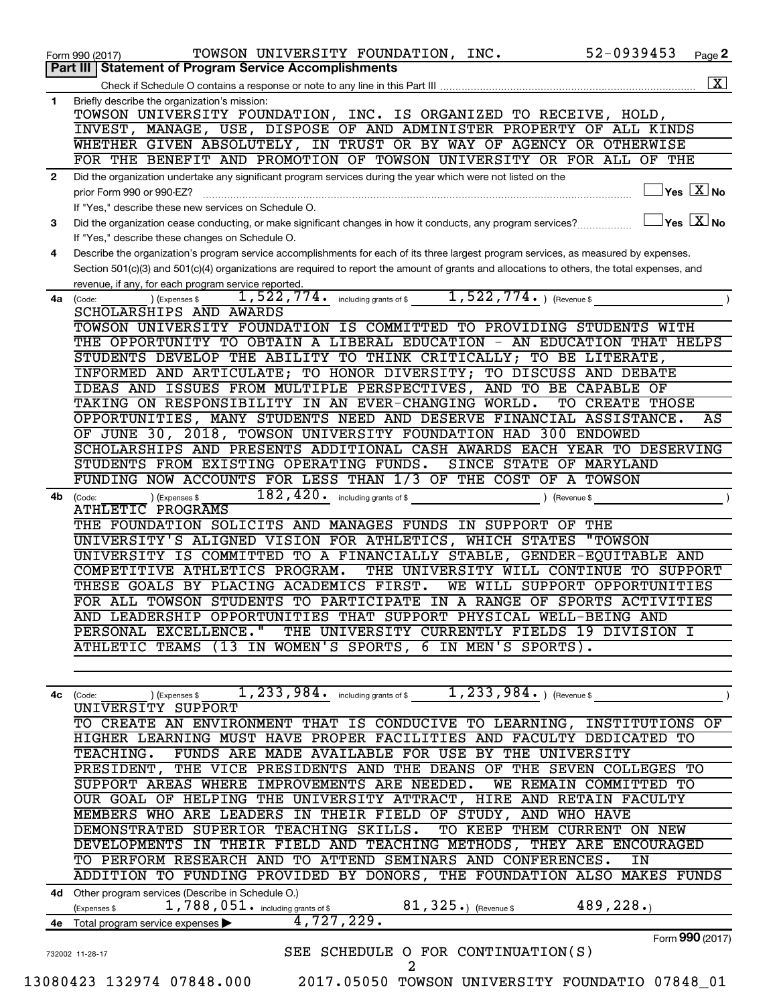|              | 52-0939453<br>TOWSON UNIVERSITY FOUNDATION, INC.<br>Page 2<br>Form 990 (2017)<br>Part III   Statement of Program Service Accomplishments                                                    |
|--------------|---------------------------------------------------------------------------------------------------------------------------------------------------------------------------------------------|
|              | $\overline{\mathbf{X}}$                                                                                                                                                                     |
| 1            | Briefly describe the organization's mission:                                                                                                                                                |
|              | TOWSON UNIVERSITY FOUNDATION, INC. IS ORGANIZED TO RECEIVE, HOLD,                                                                                                                           |
|              | INVEST, MANAGE, USE, DISPOSE OF AND ADMINISTER PROPERTY OF ALL KINDS                                                                                                                        |
|              | WHETHER GIVEN ABSOLUTELY, IN TRUST OR BY WAY OF AGENCY OR OTHERWISE                                                                                                                         |
|              | FOR THE BENEFIT AND PROMOTION OF TOWSON UNIVERSITY OR FOR ALL OF THE                                                                                                                        |
| $\mathbf{2}$ | Did the organization undertake any significant program services during the year which were not listed on the                                                                                |
|              | $\mathsf{Yes}\ \overline{\mathbf{X}}\mathsf{No}$<br>prior Form 990 or 990-EZ?                                                                                                               |
|              | If "Yes," describe these new services on Schedule O.                                                                                                                                        |
| 3            | $ Y_{\mathsf{es}}  \mathsf{X}  _{\mathsf{No}}$<br>Did the organization cease conducting, or make significant changes in how it conducts, any program services?                              |
|              | If "Yes," describe these changes on Schedule O.                                                                                                                                             |
| 4            | Describe the organization's program service accomplishments for each of its three largest program services, as measured by expenses.                                                        |
|              | Section 501(c)(3) and 501(c)(4) organizations are required to report the amount of grants and allocations to others, the total expenses, and                                                |
|              | revenue, if any, for each program service reported.                                                                                                                                         |
|              | $1,522,774.$ (Revenue \$<br>1,522,774.<br>including grants of \$<br>4a (Code:<br>(Expenses \$                                                                                               |
|              | SCHOLARSHIPS AND AWARDS                                                                                                                                                                     |
|              | TOWSON UNIVERSITY FOUNDATION IS COMMITTED TO PROVIDING STUDENTS WITH                                                                                                                        |
|              | THE OPPORTUNITY TO OBTAIN A LIBERAL EDUCATION - AN EDUCATION THAT HELPS                                                                                                                     |
|              | STUDENTS DEVELOP THE ABILITY TO THINK CRITICALLY; TO BE LITERATE,                                                                                                                           |
|              | INFORMED AND ARTICULATE; TO HONOR DIVERSITY; TO DISCUSS AND DEBATE                                                                                                                          |
|              | IDEAS AND ISSUES FROM MULTIPLE PERSPECTIVES, AND TO BE CAPABLE OF                                                                                                                           |
|              | TAKING ON RESPONSIBILITY IN AN EVER-CHANGING WORLD.<br>TO CREATE THOSE                                                                                                                      |
|              | OPPORTUNITIES, MANY STUDENTS NEED AND DESERVE FINANCIAL ASSISTANCE.<br>AS                                                                                                                   |
|              | OF JUNE 30, 2018, TOWSON UNIVERSITY FOUNDATION HAD 300 ENDOWED                                                                                                                              |
|              | SCHOLARSHIPS AND PRESENTS ADDITIONAL CASH AWARDS EACH YEAR TO DESERVING                                                                                                                     |
|              | STUDENTS FROM EXISTING OPERATING FUNDS.<br>SINCE STATE OF MARYLAND                                                                                                                          |
|              | FUNDING NOW ACCOUNTS FOR LESS THAN 1/3 OF THE COST OF A TOWSON                                                                                                                              |
| 4b           | 182,420.<br>(Expenses \$<br>including grants of \$<br>) (Revenue \$<br>(Code:                                                                                                               |
|              | <b>ATHLETIC PROGRAMS</b>                                                                                                                                                                    |
|              | THE FOUNDATION SOLICITS AND MANAGES FUNDS IN SUPPORT OF THE                                                                                                                                 |
|              | UNIVERSITY'S ALIGNED VISION FOR ATHLETICS, WHICH STATES<br>"TOWSON                                                                                                                          |
|              | UNIVERSITY IS COMMITTED TO A FINANCIALLY STABLE, GENDER-EQUITABLE AND                                                                                                                       |
|              | COMPETITIVE ATHLETICS PROGRAM.<br>THE UNIVERSITY WILL CONTINUE TO SUPPORT                                                                                                                   |
|              | THESE GOALS BY PLACING ACADEMICS FIRST.<br>WE WILL SUPPORT<br>OPPORTUNITIES                                                                                                                 |
|              | FOR ALL TOWSON STUDENTS TO PARTICIPATE IN A RANGE OF SPORTS ACTIVITIES                                                                                                                      |
|              | AND LEADERSHIP OPPORTUNITIES THAT SUPPORT PHYSICAL WELL-BEING AND                                                                                                                           |
|              | PERSONAL EXCELLENCE." THE UNIVERSITY CURRENTLY FIELDS 19 DIVISION I                                                                                                                         |
|              | ATHLETIC TEAMS (13 IN WOMEN'S SPORTS, 6 IN MEN'S SPORTS).                                                                                                                                   |
|              |                                                                                                                                                                                             |
|              |                                                                                                                                                                                             |
|              | 1, 233, 984. including grants of \$ $1$ , 233, 984. ) (Revenue \$<br>(Expenses \$<br>4c (Code:                                                                                              |
|              | UNIVERSITY SUPPORT                                                                                                                                                                          |
|              | TO CREATE AN ENVIRONMENT THAT IS CONDUCIVE TO LEARNING, INSTITUTIONS OF                                                                                                                     |
|              | HIGHER LEARNING MUST HAVE PROPER FACILITIES AND FACULTY DEDICATED TO                                                                                                                        |
|              | TEACHING. FUNDS ARE MADE AVAILABLE FOR USE BY THE UNIVERSITY                                                                                                                                |
|              | PRESIDENT, THE VICE PRESIDENTS AND THE DEANS OF THE SEVEN COLLEGES TO                                                                                                                       |
|              | SUPPORT AREAS WHERE IMPROVEMENTS ARE NEEDED. WE REMAIN COMMITTED TO                                                                                                                         |
|              | OUR GOAL OF HELPING THE UNIVERSITY ATTRACT, HIRE AND RETAIN FACULTY                                                                                                                         |
|              | MEMBERS WHO ARE LEADERS IN THEIR FIELD OF STUDY, AND WHO HAVE                                                                                                                               |
|              | DEMONSTRATED SUPERIOR TEACHING SKILLS. TO KEEP THEM CURRENT ON NEW                                                                                                                          |
|              | DEVELOPMENTS IN THEIR FIELD AND TEACHING METHODS, THEY ARE ENCOURAGED                                                                                                                       |
|              | TO PERFORM RESEARCH AND TO ATTEND SEMINARS AND CONFERENCES.<br>ΙN                                                                                                                           |
|              |                                                                                                                                                                                             |
|              |                                                                                                                                                                                             |
|              |                                                                                                                                                                                             |
|              | 4d Other program services (Describe in Schedule O.)                                                                                                                                         |
|              | ADDITION TO FUNDING PROVIDED BY DONORS, THE FOUNDATION ALSO MAKES FUNDS<br>$81$ , $325$ .) (Revenue \$<br>489, 228.<br>$1,788,051$ and $\frac{1}{2}$ including grants of \$<br>(Expenses \$ |
|              | 4,727,229.<br>4e Total program service expenses                                                                                                                                             |
|              | Form 990 (2017)<br>SEE SCHEDULE O FOR CONTINUATION(S)<br>732002 11-28-17                                                                                                                    |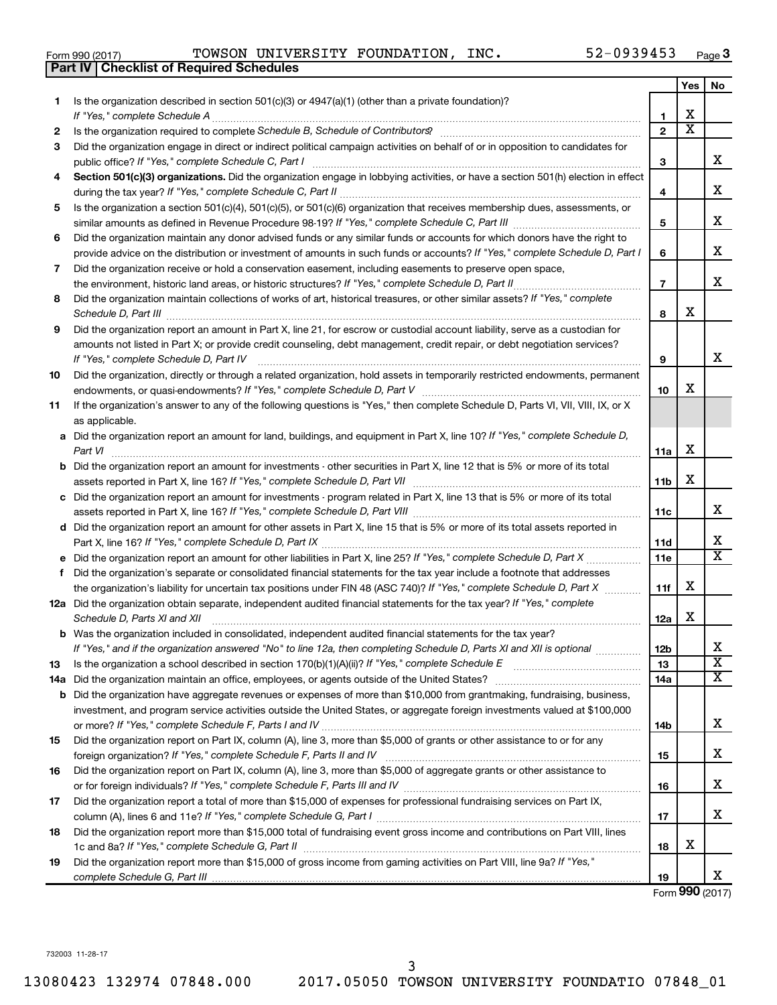|  | Form 990 (2017) |  |
|--|-----------------|--|
|  |                 |  |

Form 990 (2017) Page TOWSON UNIVERSITY FOUNDATION, INC. 52-0939453

|     | <b>Checklist of Required Schedules</b><br><b>Part IV</b>                                                                                                                                                                                          |                 |                         |                         |
|-----|---------------------------------------------------------------------------------------------------------------------------------------------------------------------------------------------------------------------------------------------------|-----------------|-------------------------|-------------------------|
|     |                                                                                                                                                                                                                                                   |                 | Yes                     | No.                     |
| 1   | Is the organization described in section $501(c)(3)$ or $4947(a)(1)$ (other than a private foundation)?                                                                                                                                           |                 |                         |                         |
|     |                                                                                                                                                                                                                                                   | 1               | X                       |                         |
| 2   |                                                                                                                                                                                                                                                   | $\mathbf{2}$    | $\overline{\textbf{X}}$ |                         |
| 3   | Did the organization engage in direct or indirect political campaign activities on behalf of or in opposition to candidates for                                                                                                                   |                 |                         |                         |
|     |                                                                                                                                                                                                                                                   | 3               |                         | x                       |
| 4   | Section 501(c)(3) organizations. Did the organization engage in lobbying activities, or have a section 501(h) election in effect                                                                                                                  |                 |                         |                         |
|     |                                                                                                                                                                                                                                                   | 4               |                         | х                       |
| 5   | Is the organization a section 501(c)(4), 501(c)(5), or 501(c)(6) organization that receives membership dues, assessments, or                                                                                                                      |                 |                         |                         |
|     |                                                                                                                                                                                                                                                   | 5               |                         | х                       |
| 6   | Did the organization maintain any donor advised funds or any similar funds or accounts for which donors have the right to                                                                                                                         |                 |                         |                         |
|     | provide advice on the distribution or investment of amounts in such funds or accounts? If "Yes," complete Schedule D, Part I                                                                                                                      | 6               |                         | х                       |
| 7   | Did the organization receive or hold a conservation easement, including easements to preserve open space,                                                                                                                                         |                 |                         |                         |
|     |                                                                                                                                                                                                                                                   | $\overline{7}$  |                         | х                       |
| 8   | Did the organization maintain collections of works of art, historical treasures, or other similar assets? If "Yes," complete                                                                                                                      |                 |                         |                         |
|     | Schedule D, Part III <b>Marting Community</b> Construction of the Construction of the Construction of the Construction of the Construction of the Construction of the Construction of the Construction of the Construction of the C               | 8               | X                       |                         |
| 9   | Did the organization report an amount in Part X, line 21, for escrow or custodial account liability, serve as a custodian for                                                                                                                     |                 |                         |                         |
|     | amounts not listed in Part X; or provide credit counseling, debt management, credit repair, or debt negotiation services?                                                                                                                         |                 |                         |                         |
|     | If "Yes," complete Schedule D, Part IV                                                                                                                                                                                                            | 9               |                         | х                       |
| 10  | Did the organization, directly or through a related organization, hold assets in temporarily restricted endowments, permanent                                                                                                                     |                 |                         |                         |
|     |                                                                                                                                                                                                                                                   | 10              | X                       |                         |
| 11  | If the organization's answer to any of the following questions is "Yes," then complete Schedule D, Parts VI, VII, VIII, IX, or X                                                                                                                  |                 |                         |                         |
|     | as applicable.                                                                                                                                                                                                                                    |                 |                         |                         |
|     | a Did the organization report an amount for land, buildings, and equipment in Part X, line 10? If "Yes," complete Schedule D,                                                                                                                     |                 |                         |                         |
|     | Part VI                                                                                                                                                                                                                                           | 11a             | х                       |                         |
|     | <b>b</b> Did the organization report an amount for investments - other securities in Part X, line 12 that is 5% or more of its total                                                                                                              |                 |                         |                         |
|     |                                                                                                                                                                                                                                                   | 11 <sub>b</sub> | х                       |                         |
|     | c Did the organization report an amount for investments - program related in Part X, line 13 that is 5% or more of its total                                                                                                                      |                 |                         |                         |
|     |                                                                                                                                                                                                                                                   | 11c             |                         | x                       |
|     | d Did the organization report an amount for other assets in Part X, line 15 that is 5% or more of its total assets reported in                                                                                                                    |                 |                         | х                       |
|     |                                                                                                                                                                                                                                                   | 11d             |                         | $\overline{\texttt{x}}$ |
|     |                                                                                                                                                                                                                                                   | 11e             |                         |                         |
|     | f Did the organization's separate or consolidated financial statements for the tax year include a footnote that addresses                                                                                                                         |                 | Χ                       |                         |
|     | the organization's liability for uncertain tax positions under FIN 48 (ASC 740)? If "Yes," complete Schedule D, Part X<br>12a Did the organization obtain separate, independent audited financial statements for the tax year? If "Yes," complete | 11f             |                         |                         |
|     | Schedule D, Parts XI and XII                                                                                                                                                                                                                      | 12a             | х                       |                         |
|     | <b>b</b> Was the organization included in consolidated, independent audited financial statements for the tax year?                                                                                                                                |                 |                         |                         |
|     | If "Yes," and if the organization answered "No" to line 12a, then completing Schedule D, Parts XI and XII is optional                                                                                                                             | 12b             |                         | х                       |
| 13  |                                                                                                                                                                                                                                                   | 13              |                         | $\overline{\textbf{x}}$ |
| 14a |                                                                                                                                                                                                                                                   | 14a             |                         | $\overline{\textbf{X}}$ |
| b   | Did the organization have aggregate revenues or expenses of more than \$10,000 from grantmaking, fundraising, business,                                                                                                                           |                 |                         |                         |
|     | investment, and program service activities outside the United States, or aggregate foreign investments valued at \$100,000                                                                                                                        |                 |                         |                         |
|     |                                                                                                                                                                                                                                                   | 14b             |                         | х                       |
| 15  | Did the organization report on Part IX, column (A), line 3, more than \$5,000 of grants or other assistance to or for any                                                                                                                         |                 |                         |                         |
|     |                                                                                                                                                                                                                                                   | 15              |                         | х                       |
| 16  | Did the organization report on Part IX, column (A), line 3, more than \$5,000 of aggregate grants or other assistance to                                                                                                                          |                 |                         |                         |
|     |                                                                                                                                                                                                                                                   | 16              |                         | х                       |
| 17  | Did the organization report a total of more than \$15,000 of expenses for professional fundraising services on Part IX,                                                                                                                           |                 |                         |                         |
|     |                                                                                                                                                                                                                                                   | 17              |                         | x                       |
| 18  | Did the organization report more than \$15,000 total of fundraising event gross income and contributions on Part VIII, lines                                                                                                                      |                 |                         |                         |
|     |                                                                                                                                                                                                                                                   | 18              | Х                       |                         |
| 19  | Did the organization report more than \$15,000 of gross income from gaming activities on Part VIII, line 9a? If "Yes,"                                                                                                                            |                 |                         |                         |
|     |                                                                                                                                                                                                                                                   | 19              |                         | x                       |

Form (2017) **990**

732003 11-28-17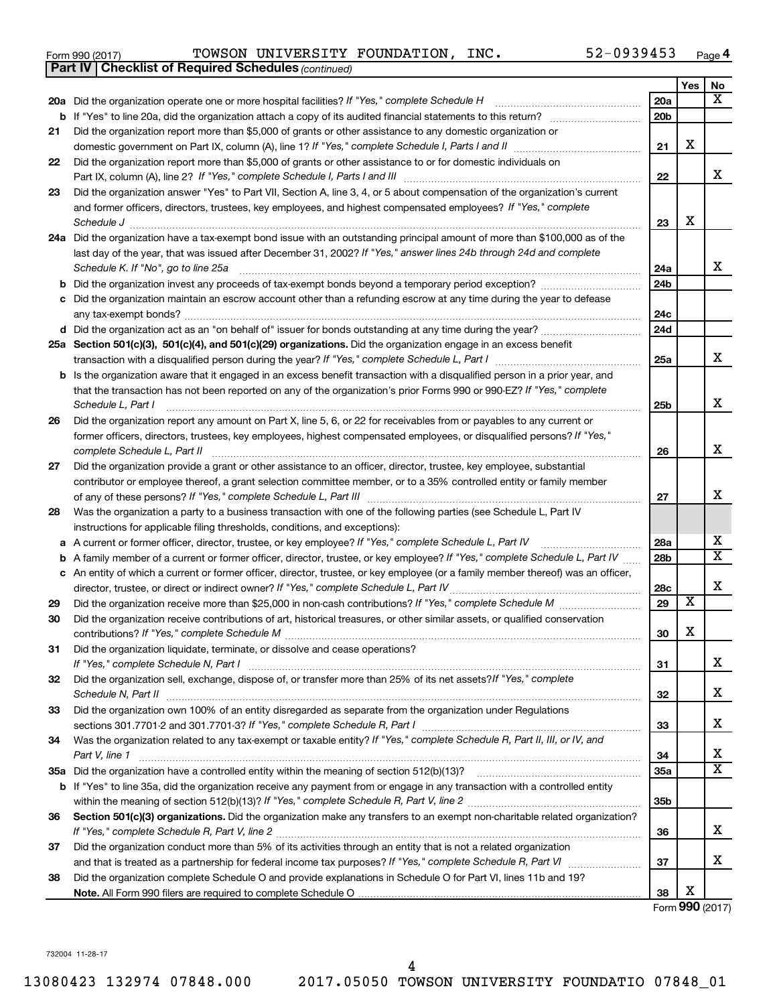| Form 990 (2017) | TOWSON UNIVERSITY FOUNDATION, |  | INC. | $52 - 0939453$ | Page |  |
|-----------------|-------------------------------|--|------|----------------|------|--|
|-----------------|-------------------------------|--|------|----------------|------|--|

|    | <b>Part IV   Checklist of Required Schedules (continued)</b>                                                                      |                 |                         |                         |
|----|-----------------------------------------------------------------------------------------------------------------------------------|-----------------|-------------------------|-------------------------|
|    |                                                                                                                                   |                 | Yes                     | No                      |
|    | 20a Did the organization operate one or more hospital facilities? If "Yes," complete Schedule H                                   | 20a             |                         | x                       |
| b  |                                                                                                                                   | 20 <sub>b</sub> |                         |                         |
| 21 | Did the organization report more than \$5,000 of grants or other assistance to any domestic organization or                       |                 |                         |                         |
|    |                                                                                                                                   | 21              | X                       |                         |
| 22 | Did the organization report more than \$5,000 of grants or other assistance to or for domestic individuals on                     |                 |                         |                         |
|    |                                                                                                                                   | 22              |                         | x                       |
| 23 | Did the organization answer "Yes" to Part VII, Section A, line 3, 4, or 5 about compensation of the organization's current        |                 |                         |                         |
|    | and former officers, directors, trustees, key employees, and highest compensated employees? If "Yes," complete                    |                 |                         |                         |
|    | Schedule J                                                                                                                        | 23              | X                       |                         |
|    | 24a Did the organization have a tax-exempt bond issue with an outstanding principal amount of more than \$100,000 as of the       |                 |                         |                         |
|    | last day of the year, that was issued after December 31, 2002? If "Yes," answer lines 24b through 24d and complete                |                 |                         |                         |
|    | Schedule K. If "No", go to line 25a                                                                                               | 24a             |                         | x                       |
| b  |                                                                                                                                   | 24 <sub>b</sub> |                         |                         |
|    | Did the organization maintain an escrow account other than a refunding escrow at any time during the year to defease              |                 |                         |                         |
|    |                                                                                                                                   | 24c             |                         |                         |
|    |                                                                                                                                   | 24d             |                         |                         |
|    | 25a Section 501(c)(3), 501(c)(4), and 501(c)(29) organizations. Did the organization engage in an excess benefit                  |                 |                         |                         |
|    |                                                                                                                                   | 25a             |                         | x                       |
| b  | Is the organization aware that it engaged in an excess benefit transaction with a disqualified person in a prior year, and        |                 |                         |                         |
|    | that the transaction has not been reported on any of the organization's prior Forms 990 or 990-EZ? If "Yes," complete             |                 |                         |                         |
|    | Schedule L, Part I                                                                                                                | 25b             |                         | X                       |
| 26 | Did the organization report any amount on Part X, line 5, 6, or 22 for receivables from or payables to any current or             |                 |                         |                         |
|    | former officers, directors, trustees, key employees, highest compensated employees, or disqualified persons? If "Yes,"            |                 |                         |                         |
|    | complete Schedule L, Part II                                                                                                      | 26              |                         | х                       |
| 27 | Did the organization provide a grant or other assistance to an officer, director, trustee, key employee, substantial              |                 |                         |                         |
|    | contributor or employee thereof, a grant selection committee member, or to a 35% controlled entity or family member               |                 |                         |                         |
|    |                                                                                                                                   | 27              |                         | x                       |
| 28 | Was the organization a party to a business transaction with one of the following parties (see Schedule L, Part IV                 |                 |                         |                         |
|    | instructions for applicable filing thresholds, conditions, and exceptions):                                                       |                 |                         |                         |
| а  | A current or former officer, director, trustee, or key employee? If "Yes," complete Schedule L, Part IV                           | 28a             |                         | x                       |
| b  | A family member of a current or former officer, director, trustee, or key employee? If "Yes," complete Schedule L, Part IV        | 28 <sub>b</sub> |                         | $\overline{\textbf{X}}$ |
|    | c An entity of which a current or former officer, director, trustee, or key employee (or a family member thereof) was an officer, |                 |                         |                         |
|    | director, trustee, or direct or indirect owner? If "Yes," complete Schedule L, Part IV                                            | 28c             |                         | х                       |
| 29 |                                                                                                                                   | 29              | $\overline{\mathbf{X}}$ |                         |
| 30 | Did the organization receive contributions of art, historical treasures, or other similar assets, or qualified conservation       |                 |                         |                         |
|    |                                                                                                                                   | 30              | X                       |                         |
| 31 | Did the organization liquidate, terminate, or dissolve and cease operations?                                                      |                 |                         |                         |
|    |                                                                                                                                   | 31              |                         | x                       |
| 32 | Did the organization sell, exchange, dispose of, or transfer more than 25% of its net assets? If "Yes," complete                  |                 |                         |                         |
|    |                                                                                                                                   | 32              |                         | x                       |
| 33 | Did the organization own 100% of an entity disregarded as separate from the organization under Regulations                        |                 |                         |                         |
|    |                                                                                                                                   | 33              |                         | x                       |
| 34 | Was the organization related to any tax-exempt or taxable entity? If "Yes," complete Schedule R, Part II, III, or IV, and         |                 |                         |                         |
|    | Part V, line 1                                                                                                                    | 34              |                         | х                       |
|    |                                                                                                                                   | 35a             |                         | X                       |
|    | b If "Yes" to line 35a, did the organization receive any payment from or engage in any transaction with a controlled entity       |                 |                         |                         |
|    |                                                                                                                                   | 35 <sub>b</sub> |                         |                         |
| 36 | Section 501(c)(3) organizations. Did the organization make any transfers to an exempt non-charitable related organization?        |                 |                         |                         |
|    |                                                                                                                                   | 36              |                         | x                       |
| 37 | Did the organization conduct more than 5% of its activities through an entity that is not a related organization                  |                 |                         |                         |
|    |                                                                                                                                   | 37              |                         | x                       |
| 38 | Did the organization complete Schedule O and provide explanations in Schedule O for Part VI, lines 11b and 19?                    |                 |                         |                         |
|    |                                                                                                                                   | 38              | X                       |                         |

Form (2017) **990**

732004 11-28-17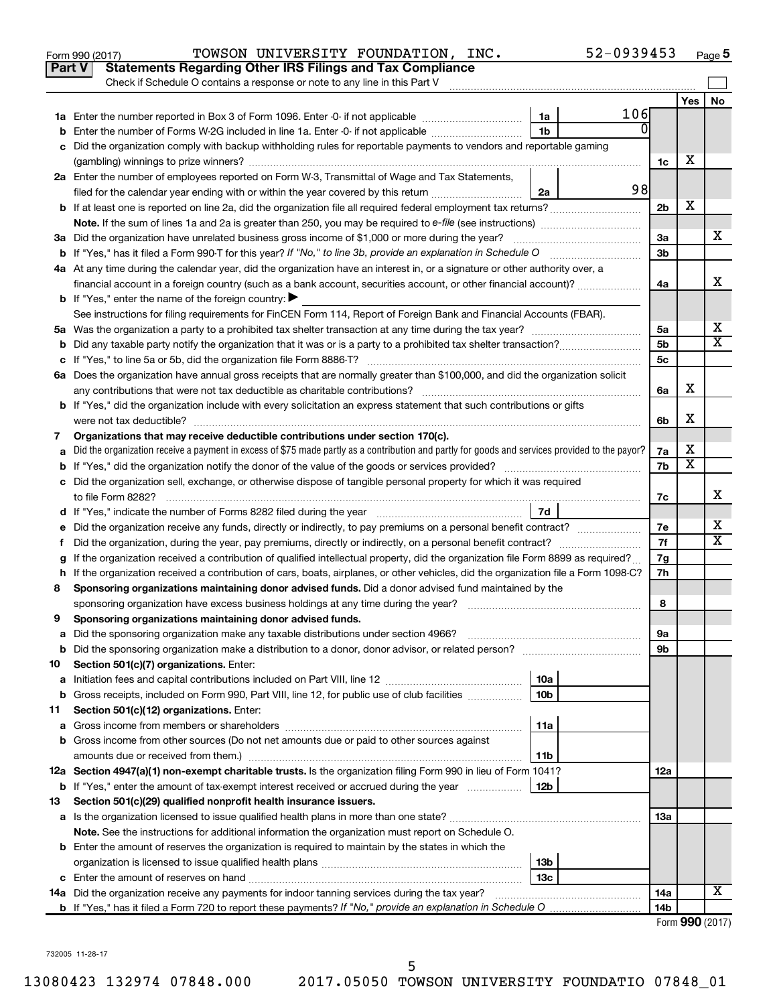|               | 52-0939453<br>TOWSON UNIVERSITY FOUNDATION, INC.<br>Form 990 (2017)                                                                             |                 |                         | Page 5    |
|---------------|-------------------------------------------------------------------------------------------------------------------------------------------------|-----------------|-------------------------|-----------|
| <b>Part V</b> | <b>Statements Regarding Other IRS Filings and Tax Compliance</b>                                                                                |                 |                         |           |
|               | Check if Schedule O contains a response or note to any line in this Part V                                                                      |                 |                         |           |
|               |                                                                                                                                                 |                 | Yes                     | <b>No</b> |
|               | 106<br>1a                                                                                                                                       |                 |                         |           |
|               | $\Omega$<br>1 <sub>b</sub><br>Enter the number of Forms W-2G included in line 1a. Enter -0- if not applicable                                   |                 |                         |           |
|               | Did the organization comply with backup withholding rules for reportable payments to vendors and reportable gaming                              |                 |                         |           |
|               |                                                                                                                                                 | 1c              | х                       |           |
|               | 2a Enter the number of employees reported on Form W-3, Transmittal of Wage and Tax Statements,                                                  |                 |                         |           |
|               | 98<br>filed for the calendar year ending with or within the year covered by this return<br>2a                                                   |                 |                         |           |
|               |                                                                                                                                                 | 2 <sub>b</sub>  | X                       |           |
|               |                                                                                                                                                 |                 |                         |           |
|               | 3a Did the organization have unrelated business gross income of \$1,000 or more during the year?                                                | За              |                         | х         |
|               |                                                                                                                                                 | 3 <sub>b</sub>  |                         |           |
|               | 4a At any time during the calendar year, did the organization have an interest in, or a signature or other authority over, a                    |                 |                         |           |
|               | financial account in a foreign country (such as a bank account, securities account, or other financial account)?                                | 4a              |                         | x         |
|               | <b>b</b> If "Yes," enter the name of the foreign country: $\blacktriangleright$                                                                 |                 |                         |           |
|               | See instructions for filing requirements for FinCEN Form 114, Report of Foreign Bank and Financial Accounts (FBAR).                             |                 |                         |           |
|               |                                                                                                                                                 | 5a              |                         | х         |
|               |                                                                                                                                                 | 5 <sub>b</sub>  |                         | х         |
|               |                                                                                                                                                 | 5с              |                         |           |
|               | 6a Does the organization have annual gross receipts that are normally greater than \$100,000, and did the organization solicit                  |                 |                         |           |
|               |                                                                                                                                                 | 6a              | х                       |           |
|               | <b>b</b> If "Yes," did the organization include with every solicitation an express statement that such contributions or gifts                   |                 |                         |           |
|               | were not tax deductible?                                                                                                                        | 6b              | х                       |           |
| 7             | Organizations that may receive deductible contributions under section 170(c).                                                                   |                 |                         |           |
|               | Did the organization receive a payment in excess of \$75 made partly as a contribution and partly for goods and services provided to the payor? | 7a              | х                       |           |
|               |                                                                                                                                                 | 7b              | $\overline{\mathbf{x}}$ |           |
|               | c Did the organization sell, exchange, or otherwise dispose of tangible personal property for which it was required                             |                 |                         |           |
|               |                                                                                                                                                 | 7с              |                         | X         |
|               | 7d                                                                                                                                              |                 |                         |           |
|               |                                                                                                                                                 | 7е              |                         | х         |
| f.            |                                                                                                                                                 | 7f              |                         | х         |
|               | If the organization received a contribution of qualified intellectual property, did the organization file Form 8899 as required?                | 7g              |                         |           |
|               | h If the organization received a contribution of cars, boats, airplanes, or other vehicles, did the organization file a Form 1098-C?            | 7h              |                         |           |
| 8             | Sponsoring organizations maintaining donor advised funds. Did a donor advised fund maintained by the                                            |                 |                         |           |
|               |                                                                                                                                                 | 8               |                         |           |
|               | Sponsoring organizations maintaining donor advised funds.                                                                                       |                 |                         |           |
| а             | Did the sponsoring organization make any taxable distributions under section 4966?                                                              | 9а              |                         |           |
| b             |                                                                                                                                                 | 9b              |                         |           |
| 10            | Section 501(c)(7) organizations. Enter:                                                                                                         |                 |                         |           |
| а             | 10a                                                                                                                                             |                 |                         |           |
| b             | Gross receipts, included on Form 990, Part VIII, line 12, for public use of club facilities<br>10b                                              |                 |                         |           |
| 11            | Section 501(c)(12) organizations. Enter:                                                                                                        |                 |                         |           |
| а             | 11a                                                                                                                                             |                 |                         |           |
|               | b Gross income from other sources (Do not net amounts due or paid to other sources against                                                      |                 |                         |           |
|               | amounts due or received from them.)<br>11b                                                                                                      |                 |                         |           |
|               | 12a Section 4947(a)(1) non-exempt charitable trusts. Is the organization filing Form 990 in lieu of Form 1041?                                  | 12a             |                         |           |
|               | 12b<br><b>b</b> If "Yes," enter the amount of tax-exempt interest received or accrued during the year                                           |                 |                         |           |
| 13            | Section 501(c)(29) qualified nonprofit health insurance issuers.                                                                                |                 |                         |           |
|               | a Is the organization licensed to issue qualified health plans in more than one state?                                                          | 13a             |                         |           |
|               | Note. See the instructions for additional information the organization must report on Schedule O.                                               |                 |                         |           |
|               | <b>b</b> Enter the amount of reserves the organization is required to maintain by the states in which the                                       |                 |                         |           |
|               | 13b                                                                                                                                             |                 |                         |           |
|               | 13c                                                                                                                                             |                 |                         | х         |
|               | 14a Did the organization receive any payments for indoor tanning services during the tax year?                                                  | 14a             |                         |           |
|               |                                                                                                                                                 | 14 <sub>b</sub> | Form 990 (2017)         |           |
|               |                                                                                                                                                 |                 |                         |           |

732005 11-28-17

5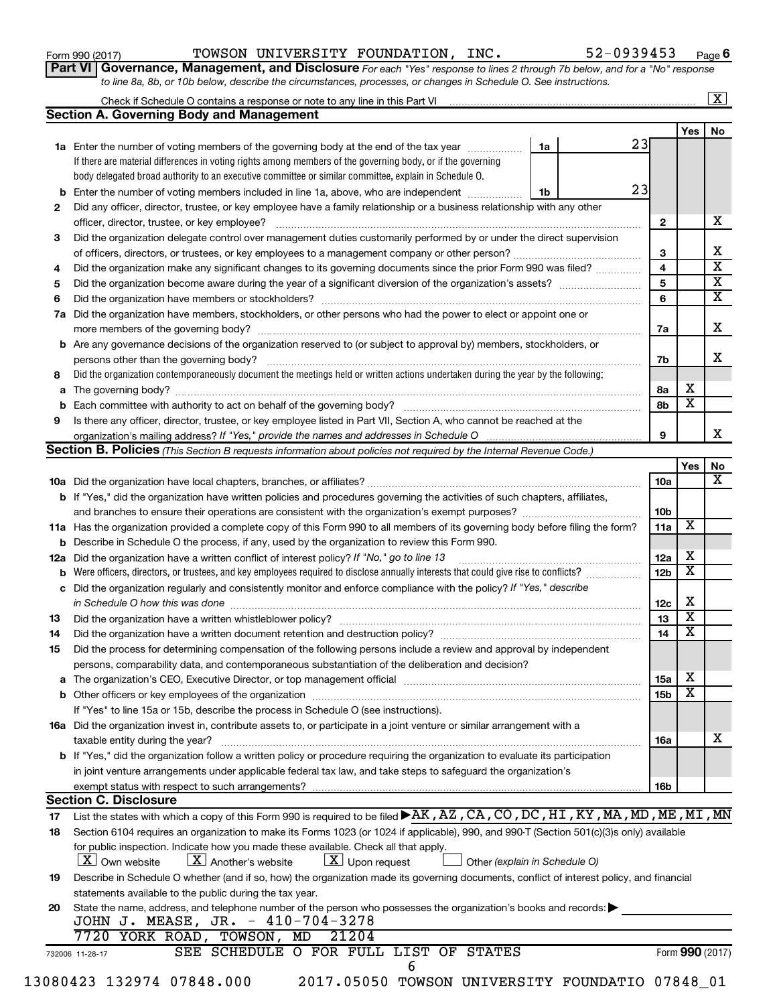Form 990 (2017) Page TOWSON UNIVERSITY FOUNDATION, INC. 52-0939453

**Part VI** Governance, Management, and Disclosure For each "Yes" response to lines 2 through 7b below, and for a "No" response *to line 8a, 8b, or 10b below, describe the circumstances, processes, or changes in Schedule O. See instructions.*

|     | <b>Section A. Governing Body and Management</b>                                                                                           |                               |                         |                         |  |
|-----|-------------------------------------------------------------------------------------------------------------------------------------------|-------------------------------|-------------------------|-------------------------|--|
|     |                                                                                                                                           |                               |                         | <b>Yes</b>              |  |
|     | 1a Enter the number of voting members of the governing body at the end of the tax year                                                    | 1a                            | 23                      |                         |  |
|     | If there are material differences in voting rights among members of the governing body, or if the governing                               |                               |                         |                         |  |
|     | body delegated broad authority to an executive committee or similar committee, explain in Schedule O.                                     |                               |                         |                         |  |
|     | <b>b</b> Enter the number of voting members included in line 1a, above, who are independent                                               | 1b                            | 23                      |                         |  |
| 2   | Did any officer, director, trustee, or key employee have a family relationship or a business relationship with any other                  |                               |                         |                         |  |
|     |                                                                                                                                           |                               | $\mathbf{2}$            |                         |  |
| 3   | Did the organization delegate control over management duties customarily performed by or under the direct supervision                     |                               |                         |                         |  |
|     |                                                                                                                                           |                               |                         |                         |  |
|     |                                                                                                                                           |                               | 3                       |                         |  |
| 4   | Did the organization make any significant changes to its governing documents since the prior Form 990 was filed?                          |                               | $\overline{\mathbf{4}}$ |                         |  |
| 5   |                                                                                                                                           |                               | 5                       |                         |  |
| 6   |                                                                                                                                           |                               | 6                       |                         |  |
| 7a  | Did the organization have members, stockholders, or other persons who had the power to elect or appoint one or                            |                               |                         |                         |  |
|     |                                                                                                                                           |                               | 7a                      |                         |  |
|     | <b>b</b> Are any governance decisions of the organization reserved to (or subject to approval by) members, stockholders, or               |                               |                         |                         |  |
|     | persons other than the governing body?                                                                                                    |                               | 7b                      |                         |  |
| 8   | Did the organization contemporaneously document the meetings held or written actions undertaken during the year by the following:         |                               |                         |                         |  |
|     |                                                                                                                                           |                               | 8a                      | х                       |  |
|     |                                                                                                                                           |                               | 8b                      | $\overline{\mathbf{x}}$ |  |
| 9   | Is there any officer, director, trustee, or key employee listed in Part VII, Section A, who cannot be reached at the                      |                               |                         |                         |  |
|     | organization's mailing address? If "Yes," provide the names and addresses in Schedule O multimarrow multimarrow                           |                               | 9                       |                         |  |
|     | Section B. Policies (This Section B requests information about policies not required by the Internal Revenue Code.)                       |                               |                         |                         |  |
|     |                                                                                                                                           |                               |                         |                         |  |
|     |                                                                                                                                           |                               |                         | Yes                     |  |
|     |                                                                                                                                           |                               | 10a                     |                         |  |
|     | <b>b</b> If "Yes," did the organization have written policies and procedures governing the activities of such chapters, affiliates,       |                               |                         |                         |  |
|     |                                                                                                                                           |                               | 10b                     |                         |  |
|     | 11a Has the organization provided a complete copy of this Form 990 to all members of its governing body before filing the form?           |                               | 11a                     | X                       |  |
|     | <b>b</b> Describe in Schedule O the process, if any, used by the organization to review this Form 990.                                    |                               |                         |                         |  |
| 12a | Did the organization have a written conflict of interest policy? If "No," go to line 13                                                   |                               | 12a                     | x                       |  |
| b   |                                                                                                                                           |                               | 12 <sub>b</sub>         | $\overline{\mathbf{X}}$ |  |
| c   | Did the organization regularly and consistently monitor and enforce compliance with the policy? If "Yes," describe                        |                               |                         |                         |  |
|     | in Schedule O how this was done <i>manufacture contract to the set of the set of the set of the set of the set of t</i>                   |                               | 12c                     | х                       |  |
| 13  |                                                                                                                                           |                               | 13                      | $\overline{\mathbf{X}}$ |  |
| 14  | Did the organization have a written document retention and destruction policy? [11] manufaction manufaction in                            |                               | 14                      | $\overline{\mathbf{X}}$ |  |
|     |                                                                                                                                           |                               |                         |                         |  |
| 15  | Did the process for determining compensation of the following persons include a review and approval by independent                        |                               |                         |                         |  |
|     | persons, comparability data, and contemporaneous substantiation of the deliberation and decision?                                         |                               |                         |                         |  |
|     |                                                                                                                                           |                               | 15a                     | x                       |  |
|     |                                                                                                                                           |                               | 15b                     | $\overline{\textbf{x}}$ |  |
|     | If "Yes" to line 15a or 15b, describe the process in Schedule O (see instructions).                                                       |                               |                         |                         |  |
|     | 16a Did the organization invest in, contribute assets to, or participate in a joint venture or similar arrangement with a                 |                               |                         |                         |  |
|     | taxable entity during the year?                                                                                                           |                               | 16a                     |                         |  |
|     | b If "Yes," did the organization follow a written policy or procedure requiring the organization to evaluate its participation            |                               |                         |                         |  |
|     | in joint venture arrangements under applicable federal tax law, and take steps to safeguard the organization's                            |                               |                         |                         |  |
|     | exempt status with respect to such arrangements?                                                                                          |                               | 16b                     |                         |  |
|     | <b>Section C. Disclosure</b>                                                                                                              |                               |                         |                         |  |
| 17  | List the states with which a copy of this Form 990 is required to be filed AK, AZ, CA, CO, DC, HI, KY, MA, MD, ME, MI, MN                 |                               |                         |                         |  |
| 18  | Section 6104 requires an organization to make its Forms 1023 (or 1024 if applicable), 990, and 990-T (Section 501(c)(3)s only) available  |                               |                         |                         |  |
|     |                                                                                                                                           |                               |                         |                         |  |
|     | for public inspection. Indicate how you made these available. Check all that apply.                                                       |                               |                         |                         |  |
|     | $\lfloor x \rfloor$ Another's website<br>$\lfloor x \rfloor$ Upon request<br><b>X</b> Own website                                         | Other (explain in Schedule O) |                         |                         |  |
| 19  | Describe in Schedule O whether (and if so, how) the organization made its governing documents, conflict of interest policy, and financial |                               |                         |                         |  |
|     | statements available to the public during the tax year.                                                                                   |                               |                         |                         |  |
| 20  | State the name, address, and telephone number of the person who possesses the organization's books and records:                           |                               |                         |                         |  |
|     | JOHN J. MEASE, JR. - 410-704-3278                                                                                                         |                               |                         |                         |  |
|     | 7720 YORK ROAD, TOWSON, MD<br>21204                                                                                                       |                               |                         |                         |  |
|     | SEE SCHEDULE O FOR FULL LIST OF STATES<br>732006 11-28-17                                                                                 |                               |                         | Form 990 (2017)         |  |
|     | 6                                                                                                                                         |                               |                         |                         |  |
|     | 13080423 132974 07848.000<br>2017.05050 TOWSON UNIVERSITY FOUNDATIO 07848_01                                                              |                               |                         |                         |  |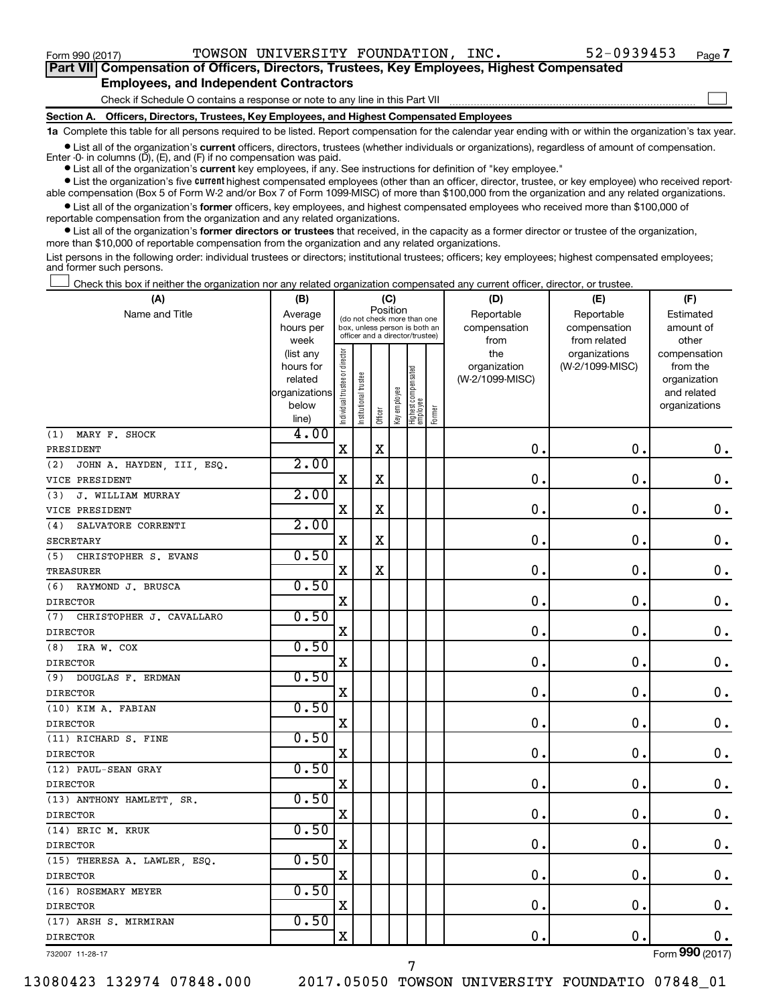Form 990 (2017) Page TOWSON UNIVERSITY FOUNDATION, INC. 52-0939453

 $\Box$ 

| Part VII Compensation of Officers, Directors, Trustees, Key Employees, Highest Compensated |
|--------------------------------------------------------------------------------------------|
| <b>Employees, and Independent Contractors</b>                                              |

### Check if Schedule O contains a response or note to any line in this Part VII

**Section A. Officers, Directors, Trustees, Key Employees, and Highest Compensated Employees**

**1a**  Complete this table for all persons required to be listed. Report compensation for the calendar year ending with or within the organization's tax year.

 $\bullet$  List all of the organization's current officers, directors, trustees (whether individuals or organizations), regardless of amount of compensation. Enter  $-0$ - in columns  $(D)$ ,  $(E)$ , and  $(F)$  if no compensation was paid.

**•** List all of the organization's **current** key employees, if any. See instructions for definition of "key employee."

**•** List the organization's five current highest compensated employees (other than an officer, director, trustee, or key employee) who received reportable compensation (Box 5 of Form W-2 and/or Box 7 of Form 1099-MISC) of more than \$100,000 from the organization and any related organizations.

**•** List all of the organization's former officers, key employees, and highest compensated employees who received more than \$100,000 of reportable compensation from the organization and any related organizations.

**•** List all of the organization's former directors or trustees that received, in the capacity as a former director or trustee of the organization, more than \$10,000 of reportable compensation from the organization and any related organizations.

List persons in the following order: individual trustees or directors; institutional trustees; officers; key employees; highest compensated employees; and former such persons.

Check this box if neither the organization nor any related organization compensated any current officer, director, or trustee.  $\Box$ 

| (A)                              | (B)                  |                                |                                                                  | (C)         |              |                                 |        | (D)                             | (E)             | (F)                      |
|----------------------------------|----------------------|--------------------------------|------------------------------------------------------------------|-------------|--------------|---------------------------------|--------|---------------------------------|-----------------|--------------------------|
| Name and Title                   | Average              |                                | (do not check more than one                                      | Position    |              |                                 |        | Reportable                      | Reportable      | Estimated                |
|                                  | hours per            |                                | box, unless person is both an<br>officer and a director/trustee) |             |              |                                 |        | compensation                    | compensation    | amount of                |
|                                  | week                 |                                |                                                                  |             |              |                                 |        | from                            | from related    | other                    |
|                                  | (list any            |                                |                                                                  |             |              |                                 |        | the                             | organizations   | compensation             |
|                                  | hours for<br>related |                                |                                                                  |             |              |                                 |        | organization<br>(W-2/1099-MISC) | (W-2/1099-MISC) | from the<br>organization |
|                                  | organizations        |                                |                                                                  |             |              |                                 |        |                                 |                 | and related              |
|                                  | below                |                                |                                                                  |             |              |                                 |        |                                 |                 | organizations            |
|                                  | line)                | Individual trustee or director | nstitutional trustee                                             | Officer     | Key employee | Highest compensated<br>employee | Former |                                 |                 |                          |
| MARY F. SHOCK<br>(1)             | 4.00                 |                                |                                                                  |             |              |                                 |        |                                 |                 |                          |
| PRESIDENT                        |                      | $\mathbf X$                    |                                                                  | X           |              |                                 |        | 0.                              | $\mathbf 0$ .   | 0.                       |
| JOHN A. HAYDEN, III, ESQ.<br>(2) | 2.00                 |                                |                                                                  |             |              |                                 |        |                                 |                 |                          |
| VICE PRESIDENT                   |                      | $\mathbf X$                    |                                                                  | $\mathbf X$ |              |                                 |        | $\mathbf 0$ .                   | $\mathbf 0$ .   | $\mathbf 0$ .            |
| J. WILLIAM MURRAY<br>(3)         | 2.00                 |                                |                                                                  |             |              |                                 |        |                                 |                 |                          |
| VICE PRESIDENT                   |                      | $\mathbf X$                    |                                                                  | $\mathbf X$ |              |                                 |        | $\mathbf 0$                     | $\mathbf 0$     | 0.                       |
| SALVATORE CORRENTI<br>(4)        | 2.00                 |                                |                                                                  |             |              |                                 |        |                                 |                 |                          |
| <b>SECRETARY</b>                 |                      | X                              |                                                                  | $\mathbf X$ |              |                                 |        | 0                               | $\mathbf 0$ .   | $\boldsymbol{0}$ .       |
| (5)<br>CHRISTOPHER S. EVANS      | 0.50                 |                                |                                                                  |             |              |                                 |        |                                 |                 |                          |
| <b>TREASURER</b>                 |                      | X                              |                                                                  | $\mathbf X$ |              |                                 |        | 0                               | $\mathbf 0$ .   | $\mathbf 0$ .            |
| RAYMOND J. BRUSCA<br>(6)         | 0.50                 |                                |                                                                  |             |              |                                 |        |                                 |                 |                          |
| <b>DIRECTOR</b>                  |                      | X                              |                                                                  |             |              |                                 |        | 0                               | $\mathbf 0$ .   | $\mathbf 0$ .            |
| (7)<br>CHRISTOPHER J. CAVALLARO  | 0.50                 |                                |                                                                  |             |              |                                 |        |                                 |                 |                          |
| <b>DIRECTOR</b>                  |                      | X                              |                                                                  |             |              |                                 |        | $\mathbf 0$                     | $\mathbf 0$     | $\mathbf 0$ .            |
| IRA W. COX<br>(8)                | 0.50                 |                                |                                                                  |             |              |                                 |        |                                 |                 |                          |
| <b>DIRECTOR</b>                  |                      | X                              |                                                                  |             |              |                                 |        | 0                               | $\mathbf 0$ .   | $\mathbf 0$ .            |
| DOUGLAS F. ERDMAN<br>(9)         | 0.50                 |                                |                                                                  |             |              |                                 |        |                                 |                 |                          |
| <b>DIRECTOR</b>                  |                      | X                              |                                                                  |             |              |                                 |        | 0                               | $\mathbf 0$ .   | $\mathbf 0$ .            |
| (10) KIM A. FABIAN               | 0.50                 |                                |                                                                  |             |              |                                 |        |                                 |                 |                          |
| <b>DIRECTOR</b>                  |                      | $\mathbf X$                    |                                                                  |             |              |                                 |        | $\mathbf 0$ .                   | $\mathbf 0$ .   | 0.                       |
| (11) RICHARD S. FINE             | 0.50                 |                                |                                                                  |             |              |                                 |        |                                 |                 |                          |
| <b>DIRECTOR</b>                  |                      | $\mathbf X$                    |                                                                  |             |              |                                 |        | 0                               | $\mathbf 0$     | $\mathbf 0$ .            |
| (12) PAUL-SEAN GRAY              | 0.50                 |                                |                                                                  |             |              |                                 |        |                                 |                 |                          |
| <b>DIRECTOR</b>                  |                      | X                              |                                                                  |             |              |                                 |        | 0                               | $\mathbf 0$ .   | $\mathbf 0$ .            |
| (13) ANTHONY HAMLETT, SR.        | 0.50                 |                                |                                                                  |             |              |                                 |        |                                 |                 |                          |
| <b>DIRECTOR</b>                  |                      | X                              |                                                                  |             |              |                                 |        | 0                               | $\mathbf 0$ .   | $\mathbf 0$ .            |
| (14) ERIC M. KRUK                | 0.50                 |                                |                                                                  |             |              |                                 |        |                                 |                 |                          |
| <b>DIRECTOR</b>                  |                      | $\mathbf X$                    |                                                                  |             |              |                                 |        | $\mathbf 0$                     | $\mathbf 0$ .   | $\mathbf 0$ .            |
| (15) THERESA A. LAWLER, ESQ.     | 0.50                 |                                |                                                                  |             |              |                                 |        |                                 |                 |                          |
| <b>DIRECTOR</b>                  |                      | X                              |                                                                  |             |              |                                 |        | 0                               | $\mathbf 0$     | $\mathbf 0$ .            |
| (16) ROSEMARY MEYER              | 0.50                 |                                |                                                                  |             |              |                                 |        |                                 |                 |                          |
| <b>DIRECTOR</b>                  |                      | X                              |                                                                  |             |              |                                 |        | 0                               | $\mathbf 0$ .   | $0$ .                    |
| (17) ARSH S. MIRMIRAN            | 0.50                 |                                |                                                                  |             |              |                                 |        |                                 |                 |                          |
| <b>DIRECTOR</b>                  |                      | $\mathbf X$                    |                                                                  |             |              |                                 |        | 0                               | $\mathbf 0$     | $0$ .                    |
| 732007 11-28-17                  |                      |                                |                                                                  |             |              |                                 |        |                                 |                 | Form 990 (2017)          |

13080423 132974 07848.000 2017.05050 TOWSON UNIVERSITY FOUNDATIO 07848\_01

7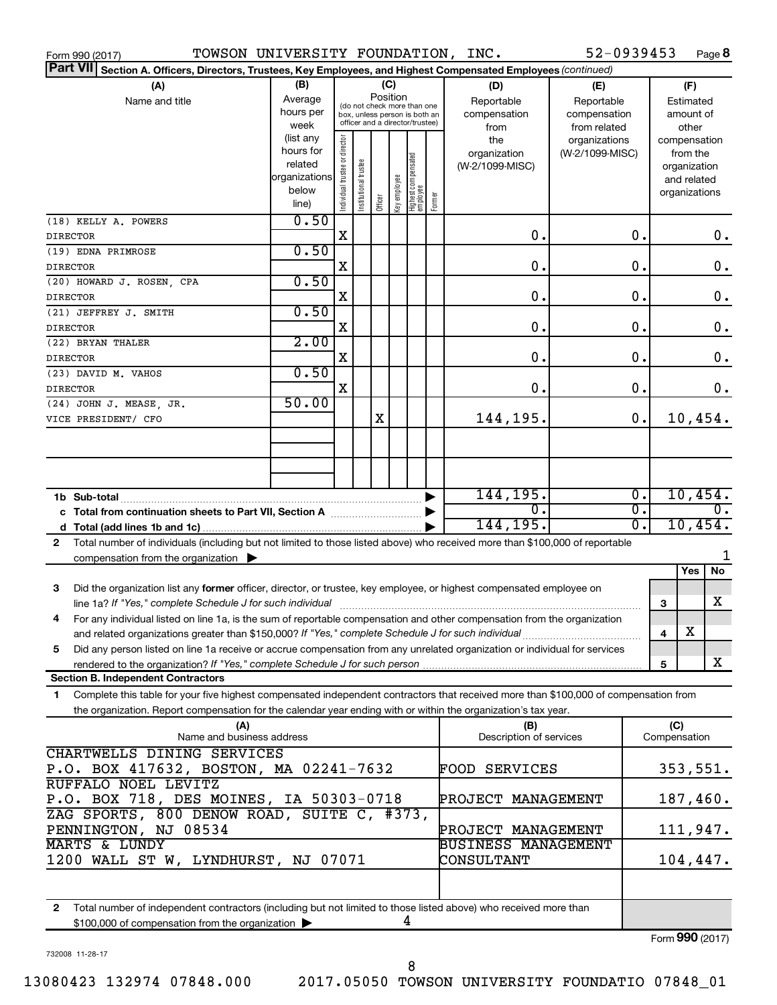|                 | TOWSON UNIVERSITY FOUNDATION, INC.<br>Form 990 (2017)                                                                                |                        |                                |                       |          |              |                                                                  |        |                                 | 52-0939453      |                        |              |                             | Page 8        |
|-----------------|--------------------------------------------------------------------------------------------------------------------------------------|------------------------|--------------------------------|-----------------------|----------|--------------|------------------------------------------------------------------|--------|---------------------------------|-----------------|------------------------|--------------|-----------------------------|---------------|
|                 | Part VII Section A. Officers, Directors, Trustees, Key Employees, and Highest Compensated Employees (continued)                      |                        |                                |                       |          |              |                                                                  |        |                                 |                 |                        |              |                             |               |
|                 | (A)                                                                                                                                  | (B)                    |                                |                       |          | (C)          |                                                                  |        | (D)                             | (E)             |                        |              | (F)                         |               |
|                 | Name and title                                                                                                                       | Average                |                                |                       | Position |              | (do not check more than one                                      |        | Reportable                      | Reportable      |                        |              | Estimated                   |               |
|                 |                                                                                                                                      | hours per              |                                |                       |          |              | box, unless person is both an<br>officer and a director/trustee) |        | compensation                    | compensation    | amount of              |              |                             |               |
|                 |                                                                                                                                      | week                   |                                |                       |          |              |                                                                  |        | from                            | from related    |                        |              | other                       |               |
|                 |                                                                                                                                      | (list any<br>hours for |                                |                       |          |              |                                                                  |        | the                             | organizations   |                        |              | compensation                |               |
|                 |                                                                                                                                      | related                |                                |                       |          |              |                                                                  |        | organization<br>(W-2/1099-MISC) | (W-2/1099-MISC) |                        |              | from the                    |               |
|                 |                                                                                                                                      | organizations          |                                |                       |          |              |                                                                  |        |                                 |                 |                        |              | organization<br>and related |               |
|                 |                                                                                                                                      | below                  |                                |                       |          |              |                                                                  |        |                                 |                 |                        |              | organizations               |               |
|                 |                                                                                                                                      | line)                  | Individual trustee or director | Institutional trustee | Officer  | Key employee | Highest compensated<br>  employee                                | Former |                                 |                 |                        |              |                             |               |
|                 | (18) KELLY A. POWERS                                                                                                                 | 0.50                   |                                |                       |          |              |                                                                  |        |                                 |                 |                        |              |                             |               |
| <b>DIRECTOR</b> |                                                                                                                                      |                        | X                              |                       |          |              |                                                                  |        | 0.                              |                 | 0.                     |              |                             | $0$ .         |
|                 | (19) EDNA PRIMROSE                                                                                                                   | 0.50                   |                                |                       |          |              |                                                                  |        |                                 |                 |                        |              |                             |               |
| <b>DIRECTOR</b> |                                                                                                                                      |                        | X                              |                       |          |              |                                                                  |        | 0.                              |                 | О.                     |              |                             | 0.            |
|                 | (20) HOWARD J. ROSEN, CPA                                                                                                            | 0.50                   |                                |                       |          |              |                                                                  |        |                                 |                 |                        |              |                             |               |
| <b>DIRECTOR</b> |                                                                                                                                      |                        | X                              |                       |          |              |                                                                  |        | 0.                              |                 | О.                     |              |                             | 0.            |
|                 | (21) JEFFREY J. SMITH                                                                                                                | 0.50                   |                                |                       |          |              |                                                                  |        |                                 |                 |                        |              |                             |               |
| <b>DIRECTOR</b> |                                                                                                                                      |                        | X                              |                       |          |              |                                                                  |        | 0.                              |                 | 0.                     |              |                             | 0.            |
|                 | (22) BRYAN THALER                                                                                                                    | 2.00                   |                                |                       |          |              |                                                                  |        |                                 |                 |                        |              |                             |               |
| <b>DIRECTOR</b> |                                                                                                                                      |                        | X                              |                       |          |              |                                                                  |        | 0.                              |                 | 0.                     |              |                             | 0.            |
|                 | (23) DAVID M. VAHOS                                                                                                                  | 0.50                   |                                |                       |          |              |                                                                  |        |                                 |                 |                        |              |                             |               |
| <b>DIRECTOR</b> |                                                                                                                                      |                        | X                              |                       |          |              |                                                                  |        | 0.                              |                 | 0.                     |              |                             | 0.            |
|                 | (24) JOHN J. MEASE, JR.                                                                                                              | 50.00                  |                                |                       |          |              |                                                                  |        |                                 |                 |                        |              |                             |               |
|                 | VICE PRESIDENT/ CFO                                                                                                                  |                        |                                |                       | X        |              |                                                                  |        | 144,195.                        |                 | 0.                     |              |                             | 10,454.       |
|                 |                                                                                                                                      |                        |                                |                       |          |              |                                                                  |        |                                 |                 |                        |              |                             |               |
|                 |                                                                                                                                      |                        |                                |                       |          |              |                                                                  |        |                                 |                 |                        |              |                             |               |
|                 |                                                                                                                                      |                        |                                |                       |          |              |                                                                  |        |                                 |                 |                        |              |                             |               |
|                 |                                                                                                                                      |                        |                                |                       |          |              |                                                                  |        |                                 |                 |                        |              |                             |               |
|                 | 1b Sub-total                                                                                                                         |                        |                                |                       |          |              |                                                                  |        | 144, 195.                       |                 | $\overline{0}$ .<br>σ. |              |                             | 10,454.       |
|                 | c Total from continuation sheets to Part VII, Section A manufactured by                                                              |                        |                                |                       |          |              |                                                                  |        | 0.<br>144,195.                  |                 | σ.                     |              |                             | 0.<br>10,454. |
|                 |                                                                                                                                      |                        |                                |                       |          |              |                                                                  |        |                                 |                 |                        |              |                             |               |
| 2               | Total number of individuals (including but not limited to those listed above) who received more than \$100,000 of reportable         |                        |                                |                       |          |              |                                                                  |        |                                 |                 |                        |              |                             | 1             |
|                 | compensation from the organization                                                                                                   |                        |                                |                       |          |              |                                                                  |        |                                 |                 |                        |              | Yes                         | No            |
|                 |                                                                                                                                      |                        |                                |                       |          |              |                                                                  |        |                                 |                 |                        |              |                             |               |
| 3               | Did the organization list any former officer, director, or trustee, key employee, or highest compensated employee on                 |                        |                                |                       |          |              |                                                                  |        |                                 |                 |                        |              |                             | х             |
|                 | For any individual listed on line 1a, is the sum of reportable compensation and other compensation from the organization             |                        |                                |                       |          |              |                                                                  |        |                                 |                 |                        | 3            |                             |               |
|                 | and related organizations greater than \$150,000? If "Yes," complete Schedule J for such individual                                  |                        |                                |                       |          |              |                                                                  |        |                                 |                 |                        | 4            | х                           |               |
| 5               | Did any person listed on line 1a receive or accrue compensation from any unrelated organization or individual for services           |                        |                                |                       |          |              |                                                                  |        |                                 |                 |                        |              |                             |               |
|                 | rendered to the organization? If "Yes," complete Schedule J for such person                                                          |                        |                                |                       |          |              |                                                                  |        |                                 |                 |                        | 5            |                             | X             |
|                 | <b>Section B. Independent Contractors</b>                                                                                            |                        |                                |                       |          |              |                                                                  |        |                                 |                 |                        |              |                             |               |
| 1.              | Complete this table for your five highest compensated independent contractors that received more than \$100,000 of compensation from |                        |                                |                       |          |              |                                                                  |        |                                 |                 |                        |              |                             |               |
|                 | the organization. Report compensation for the calendar year ending with or within the organization's tax year.                       |                        |                                |                       |          |              |                                                                  |        |                                 |                 |                        |              |                             |               |
|                 | (A)                                                                                                                                  |                        |                                |                       |          |              |                                                                  |        | (B)                             |                 |                        | (C)          |                             |               |
|                 | Name and business address                                                                                                            |                        |                                |                       |          |              |                                                                  |        | Description of services         |                 |                        | Compensation |                             |               |
|                 | CHARTWELLS DINING SERVICES                                                                                                           |                        |                                |                       |          |              |                                                                  |        |                                 |                 |                        |              |                             |               |
|                 | P.O. BOX 417632, BOSTON, MA 02241-7632                                                                                               |                        |                                |                       |          |              |                                                                  |        | FOOD SERVICES                   |                 |                        |              |                             | 353,551.      |
|                 | RUFFALO NOEL LEVITZ                                                                                                                  |                        |                                |                       |          |              |                                                                  |        |                                 |                 |                        |              |                             |               |
|                 | P.O. BOX 718, DES MOINES, IA 50303-0718                                                                                              |                        |                                |                       |          |              |                                                                  |        | PROJECT MANAGEMENT              |                 |                        |              |                             | 187,460.      |
|                 | ZAG SPORTS, 800 DENOW ROAD, SUITE C, #373,                                                                                           |                        |                                |                       |          |              |                                                                  |        |                                 |                 |                        |              |                             |               |
|                 | PENNINGTON, NJ 08534                                                                                                                 |                        |                                |                       |          |              |                                                                  |        | PROJECT MANAGEMENT              |                 |                        |              |                             | 111,947.      |
|                 | <b>MARTS &amp; LUNDY</b>                                                                                                             |                        |                                |                       |          |              |                                                                  |        | <b>BUSINESS MANAGEMENT</b>      |                 |                        |              |                             |               |
|                 | 1200 WALL ST W, LYNDHURST, NJ 07071                                                                                                  |                        |                                |                       |          |              |                                                                  |        | CONSULTANT                      |                 |                        |              |                             | 104,447.      |
|                 |                                                                                                                                      |                        |                                |                       |          |              |                                                                  |        |                                 |                 |                        |              |                             |               |
|                 |                                                                                                                                      |                        |                                |                       |          |              |                                                                  |        |                                 |                 |                        |              |                             |               |
|                 | 2 Total number of independent contractors (including but not limited to those listed above) who received more than                   |                        |                                |                       |          |              |                                                                  |        |                                 |                 |                        |              |                             |               |

**2** Total number of independent contractors (including but not limited to those listed above) who received more than \$100,000 of compensation from the organization 4

732008 11-28-17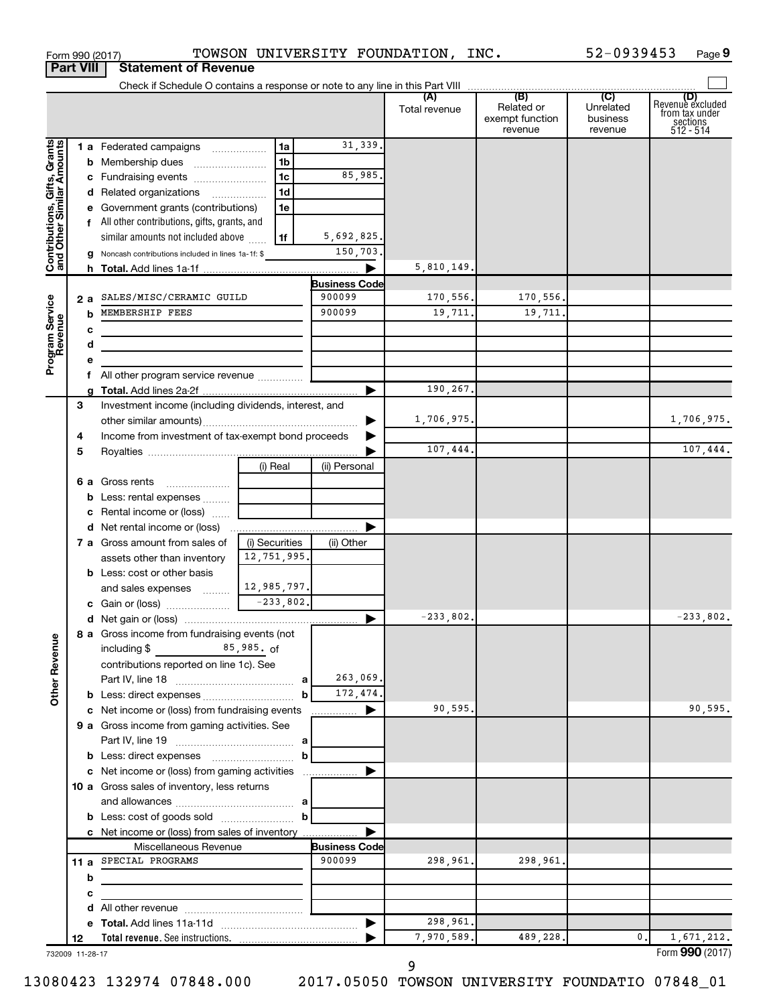|                                                           | <b>Part VIII</b>                                                        | <b>Statement of Revenue</b>                                             |                               |                      |               |                                          |                                  |                                                                    |
|-----------------------------------------------------------|-------------------------------------------------------------------------|-------------------------------------------------------------------------|-------------------------------|----------------------|---------------|------------------------------------------|----------------------------------|--------------------------------------------------------------------|
|                                                           |                                                                         |                                                                         |                               |                      |               |                                          |                                  |                                                                    |
|                                                           |                                                                         |                                                                         |                               |                      | Total revenue | Related or<br>exempt function<br>revenue | Unrelated<br>business<br>revenue | (D)<br>Revenue excluded<br>from tax under<br>sections<br>512 - 514 |
|                                                           |                                                                         | 1 a Federated campaigns                                                 | 1a                            | 31,339.              |               |                                          |                                  |                                                                    |
| Grants                                                    |                                                                         | <b>b</b> Membership dues                                                | 1b                            |                      |               |                                          |                                  |                                                                    |
|                                                           |                                                                         | c Fundraising events                                                    | 1c                            | 85,985.              |               |                                          |                                  |                                                                    |
|                                                           |                                                                         | d Related organizations                                                 | 1d                            |                      |               |                                          |                                  |                                                                    |
|                                                           |                                                                         | e Government grants (contributions)                                     | 1e                            |                      |               |                                          |                                  |                                                                    |
|                                                           |                                                                         | f All other contributions, gifts, grants, and                           |                               |                      |               |                                          |                                  |                                                                    |
|                                                           |                                                                         | similar amounts not included above                                      | 1f                            | 5,692,825.           |               |                                          |                                  |                                                                    |
| Contributions, Gifts, Grants<br>and Other Similar Amounts |                                                                         | g Noncash contributions included in lines 1a-1f: \$                     |                               | 150,703.             |               |                                          |                                  |                                                                    |
|                                                           |                                                                         |                                                                         |                               | ▶                    | 5,810,149.    |                                          |                                  |                                                                    |
|                                                           |                                                                         |                                                                         |                               | <b>Business Code</b> |               |                                          |                                  |                                                                    |
|                                                           | 2 a                                                                     | SALES/MISC/CERAMIC GUILD                                                |                               | 900099<br>900099     | 170,556.      | 170,556.                                 |                                  |                                                                    |
|                                                           | b                                                                       | MEMBERSHIP FEES                                                         |                               |                      | 19,711.       | 19,711.                                  |                                  |                                                                    |
|                                                           | с<br>d                                                                  |                                                                         |                               |                      |               |                                          |                                  |                                                                    |
| Program Service<br>Revenue                                | е                                                                       |                                                                         |                               |                      |               |                                          |                                  |                                                                    |
|                                                           | f.                                                                      |                                                                         |                               |                      |               |                                          |                                  |                                                                    |
|                                                           |                                                                         |                                                                         |                               |                      | 190,267.      |                                          |                                  |                                                                    |
|                                                           | 3                                                                       | Investment income (including dividends, interest, and                   |                               |                      |               |                                          |                                  |                                                                    |
|                                                           |                                                                         |                                                                         |                               |                      | 1,706,975.    |                                          |                                  | 1,706,975.                                                         |
|                                                           | 4                                                                       | Income from investment of tax-exempt bond proceeds                      |                               |                      |               |                                          |                                  |                                                                    |
|                                                           | 5                                                                       |                                                                         |                               |                      | 107,444.      |                                          |                                  | 107,444.                                                           |
|                                                           |                                                                         |                                                                         | (i) Real                      | (ii) Personal        |               |                                          |                                  |                                                                    |
|                                                           |                                                                         | 6 a Gross rents                                                         |                               |                      |               |                                          |                                  |                                                                    |
|                                                           |                                                                         | <b>b</b> Less: rental expenses                                          |                               |                      |               |                                          |                                  |                                                                    |
|                                                           |                                                                         | c Rental income or (loss)                                               |                               |                      |               |                                          |                                  |                                                                    |
|                                                           |                                                                         |                                                                         |                               |                      |               |                                          |                                  |                                                                    |
|                                                           |                                                                         | <b>7 a</b> Gross amount from sales of                                   | (i) Securities<br>12,751,995. | (ii) Other           |               |                                          |                                  |                                                                    |
|                                                           |                                                                         | assets other than inventory<br><b>b</b> Less: cost or other basis       |                               |                      |               |                                          |                                  |                                                                    |
|                                                           |                                                                         | and sales expenses                                                      | 12,985,797.                   |                      |               |                                          |                                  |                                                                    |
|                                                           |                                                                         |                                                                         |                               |                      |               |                                          |                                  |                                                                    |
|                                                           |                                                                         |                                                                         |                               | ▶                    | $-233,802.$   |                                          |                                  | $-233,802.$                                                        |
| <b>Other Revenue</b>                                      |                                                                         | 8 a Gross income from fundraising events (not                           |                               |                      |               |                                          |                                  |                                                                    |
|                                                           | $85,985.$ of<br>including \$<br>contributions reported on line 1c). See |                                                                         |                               |                      |               |                                          |                                  |                                                                    |
|                                                           |                                                                         |                                                                         |                               | 263,069.             |               |                                          |                                  |                                                                    |
|                                                           |                                                                         |                                                                         | b                             | 172,474.             |               |                                          |                                  |                                                                    |
|                                                           |                                                                         | c Net income or (loss) from fundraising events                          |                               | <u> …………</u> ▶       | 90,595.       |                                          |                                  | 90,595.                                                            |
|                                                           |                                                                         | 9 a Gross income from gaming activities. See                            |                               |                      |               |                                          |                                  |                                                                    |
|                                                           |                                                                         |                                                                         |                               |                      |               |                                          |                                  |                                                                    |
|                                                           |                                                                         |                                                                         | b                             |                      |               |                                          |                                  |                                                                    |
|                                                           |                                                                         | c Net income or (loss) from gaming activities                           |                               |                      |               |                                          |                                  |                                                                    |
|                                                           |                                                                         | 10 a Gross sales of inventory, less returns                             |                               |                      |               |                                          |                                  |                                                                    |
|                                                           |                                                                         |                                                                         |                               |                      |               |                                          |                                  |                                                                    |
|                                                           |                                                                         |                                                                         | b                             |                      |               |                                          |                                  |                                                                    |
|                                                           |                                                                         | c Net income or (loss) from sales of inventory<br>Miscellaneous Revenue |                               | <b>Business Code</b> |               |                                          |                                  |                                                                    |
|                                                           |                                                                         | 11 a SPECIAL PROGRAMS                                                   |                               | 900099               | 298,961.      | 298,961.                                 |                                  |                                                                    |
|                                                           | b                                                                       |                                                                         |                               |                      |               |                                          |                                  |                                                                    |
|                                                           | с                                                                       |                                                                         |                               |                      |               |                                          |                                  |                                                                    |
|                                                           | d                                                                       |                                                                         |                               |                      |               |                                          |                                  |                                                                    |
|                                                           |                                                                         |                                                                         |                               |                      | 298,961.      |                                          |                                  |                                                                    |
|                                                           | 12                                                                      |                                                                         |                               |                      | 7,970,589.    | 489,228.                                 | 0.                               | 1,671,212.                                                         |
|                                                           | 732009 11-28-17                                                         |                                                                         |                               |                      |               |                                          |                                  | Form 990 (2017)                                                    |

Form 990 (2017) Page TOWSON UNIVERSITY FOUNDATION, INC. 52-0939453

**9**

732009 11-28-17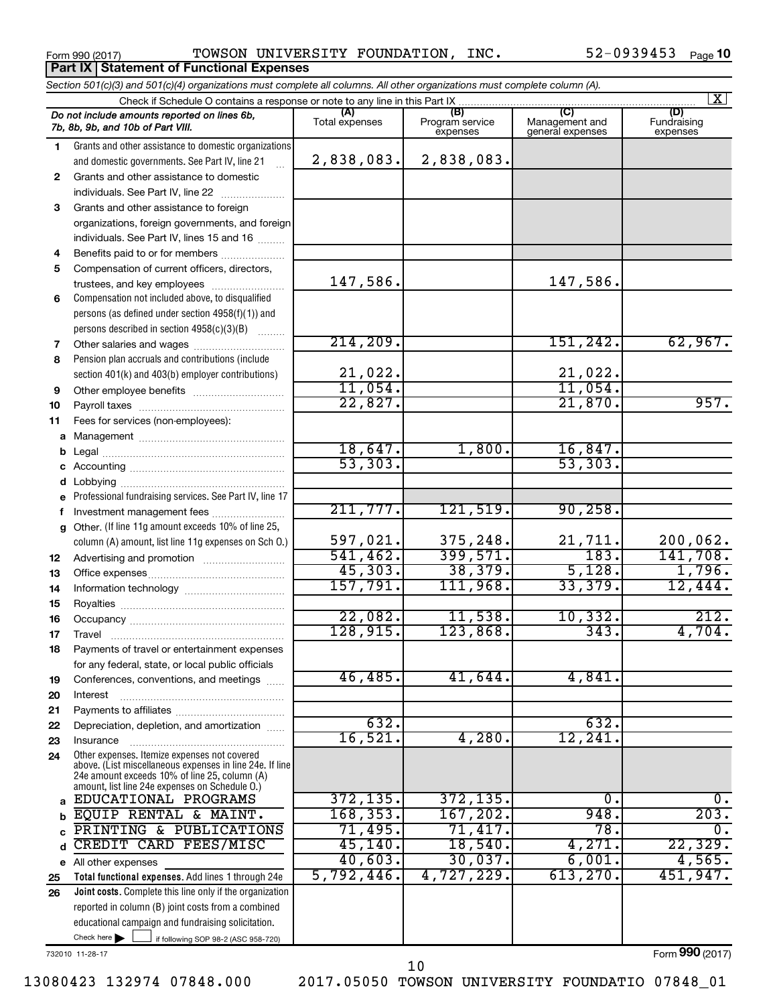**Part IX Statement of Functional Expenses**

Form 990 (2017) Page TOWSON UNIVERSITY FOUNDATION, INC. 52-0939453

|    | Section 501(c)(3) and 501(c)(4) organizations must complete all columns. All other organizations must complete column (A).                                                                                  |                         |                                    |                                           |                                |
|----|-------------------------------------------------------------------------------------------------------------------------------------------------------------------------------------------------------------|-------------------------|------------------------------------|-------------------------------------------|--------------------------------|
|    | Check if Schedule O contains a response or note to any line in this Part IX                                                                                                                                 |                         |                                    |                                           | $\mathbf{X}$                   |
|    | Do not include amounts reported on lines 6b,<br>7b, 8b, 9b, and 10b of Part VIII.                                                                                                                           | (A)<br>Total expenses   | (B)<br>Program service<br>expenses | (C)<br>Management and<br>general expenses | (D)<br>Fundraising<br>expenses |
| 1. | Grants and other assistance to domestic organizations                                                                                                                                                       |                         |                                    |                                           |                                |
|    | and domestic governments. See Part IV, line 21                                                                                                                                                              | 2,838,083.              | 2,838,083.                         |                                           |                                |
| 2  | Grants and other assistance to domestic                                                                                                                                                                     |                         |                                    |                                           |                                |
|    | individuals. See Part IV, line 22                                                                                                                                                                           |                         |                                    |                                           |                                |
| 3  | Grants and other assistance to foreign                                                                                                                                                                      |                         |                                    |                                           |                                |
|    | organizations, foreign governments, and foreign                                                                                                                                                             |                         |                                    |                                           |                                |
|    | individuals. See Part IV, lines 15 and 16                                                                                                                                                                   |                         |                                    |                                           |                                |
| 4  | Benefits paid to or for members                                                                                                                                                                             |                         |                                    |                                           |                                |
| 5  | Compensation of current officers, directors,                                                                                                                                                                |                         |                                    |                                           |                                |
|    | trustees, and key employees                                                                                                                                                                                 | 147,586.                |                                    | 147,586.                                  |                                |
| 6  | Compensation not included above, to disqualified                                                                                                                                                            |                         |                                    |                                           |                                |
|    | persons (as defined under section 4958(f)(1)) and                                                                                                                                                           |                         |                                    |                                           |                                |
|    | persons described in section 4958(c)(3)(B)                                                                                                                                                                  | 214, 209.               |                                    |                                           |                                |
| 7  | Other salaries and wages                                                                                                                                                                                    |                         |                                    | 151,242.                                  | 62,967.                        |
| 8  | Pension plan accruals and contributions (include                                                                                                                                                            |                         |                                    |                                           |                                |
|    | section 401(k) and 403(b) employer contributions)                                                                                                                                                           | $\frac{21,022}{11,054}$ |                                    | $\frac{21,022}{11,054}$                   |                                |
| 9  | Other employee benefits                                                                                                                                                                                     | 22,827.                 |                                    | 21,870.                                   | 957.                           |
| 10 |                                                                                                                                                                                                             |                         |                                    |                                           |                                |
| 11 | Fees for services (non-employees):                                                                                                                                                                          |                         |                                    |                                           |                                |
| a  |                                                                                                                                                                                                             | 18,647.                 | 1,800.                             | 16,847.                                   |                                |
| b  |                                                                                                                                                                                                             | 53, 303.                |                                    | 53, 303.                                  |                                |
|    |                                                                                                                                                                                                             |                         |                                    |                                           |                                |
| d  | Professional fundraising services. See Part IV, line 17                                                                                                                                                     |                         |                                    |                                           |                                |
| f  | Investment management fees                                                                                                                                                                                  | 211,777.                | 121,519.                           | 90, 258.                                  |                                |
| a  | Other. (If line 11g amount exceeds 10% of line 25,                                                                                                                                                          |                         |                                    |                                           |                                |
|    | column (A) amount, list line 11g expenses on Sch O.)                                                                                                                                                        | 597,021.                | 375,248.                           |                                           | 200,062.                       |
| 12 |                                                                                                                                                                                                             | 541, 462.               | 399,571.                           | $\frac{21,711}{183}$                      | 141,708.                       |
| 13 |                                                                                                                                                                                                             | 45,303.                 | 38,379.                            | 5,128.                                    | 1,796.                         |
| 14 |                                                                                                                                                                                                             | 157,791.                | 111,968.                           | 33,379.                                   | 12,444.                        |
| 15 |                                                                                                                                                                                                             |                         |                                    |                                           |                                |
| 16 |                                                                                                                                                                                                             | 22,082.                 | 11,538.                            | 10,332.                                   | 212.                           |
| 17 |                                                                                                                                                                                                             | 128,915.                | 123,868.                           | 343.                                      | 4,704.                         |
| 18 | Payments of travel or entertainment expenses                                                                                                                                                                |                         |                                    |                                           |                                |
|    | for any federal, state, or local public officials                                                                                                                                                           |                         |                                    |                                           |                                |
| 19 | Conferences, conventions, and meetings                                                                                                                                                                      | 46, 485.                | 41,644.                            | 4,841                                     |                                |
| 20 | Interest                                                                                                                                                                                                    |                         |                                    |                                           |                                |
| 21 |                                                                                                                                                                                                             |                         |                                    |                                           |                                |
| 22 | Depreciation, depletion, and amortization                                                                                                                                                                   | 632.                    |                                    | 632.                                      |                                |
| 23 | Insurance                                                                                                                                                                                                   | 16,521.                 | 4,280.                             | 12,241                                    |                                |
| 24 | Other expenses. Itemize expenses not covered<br>above. (List miscellaneous expenses in line 24e. If line<br>24e amount exceeds 10% of line 25, column (A)<br>amount, list line 24e expenses on Schedule O.) |                         |                                    |                                           |                                |
| a  | EDUCATIONAL PROGRAMS                                                                                                                                                                                        | 372, 135.               | 372, 135.                          | 0.                                        | 0.                             |
| b  | EQUIP RENTAL & MAINT.                                                                                                                                                                                       | 168, 353.               | 167,202.                           | 948.                                      | 203.                           |
| C  | PRINTING & PUBLICATIONS                                                                                                                                                                                     | 71,495.                 | 71,417.                            | 78.                                       | 0.                             |
| d  | CREDIT CARD FEES/MISC                                                                                                                                                                                       | 45, 140.                | 18,540.                            | 4,271.                                    | 22, 329.                       |
|    | e All other expenses                                                                                                                                                                                        | 40,603.                 | 30,037.                            | 6,001.                                    | 4,565.                         |
| 25 | Total functional expenses. Add lines 1 through 24e                                                                                                                                                          | 5,792,446.              | 4,727,229.                         | 613, 270.                                 | 451,947.                       |
| 26 | Joint costs. Complete this line only if the organization                                                                                                                                                    |                         |                                    |                                           |                                |
|    | reported in column (B) joint costs from a combined                                                                                                                                                          |                         |                                    |                                           |                                |
|    | educational campaign and fundraising solicitation.                                                                                                                                                          |                         |                                    |                                           |                                |
|    | Check here $\blacktriangleright$<br>if following SOP 98-2 (ASC 958-720)                                                                                                                                     |                         |                                    |                                           |                                |

732010 11-28-17

Form (2017) **990**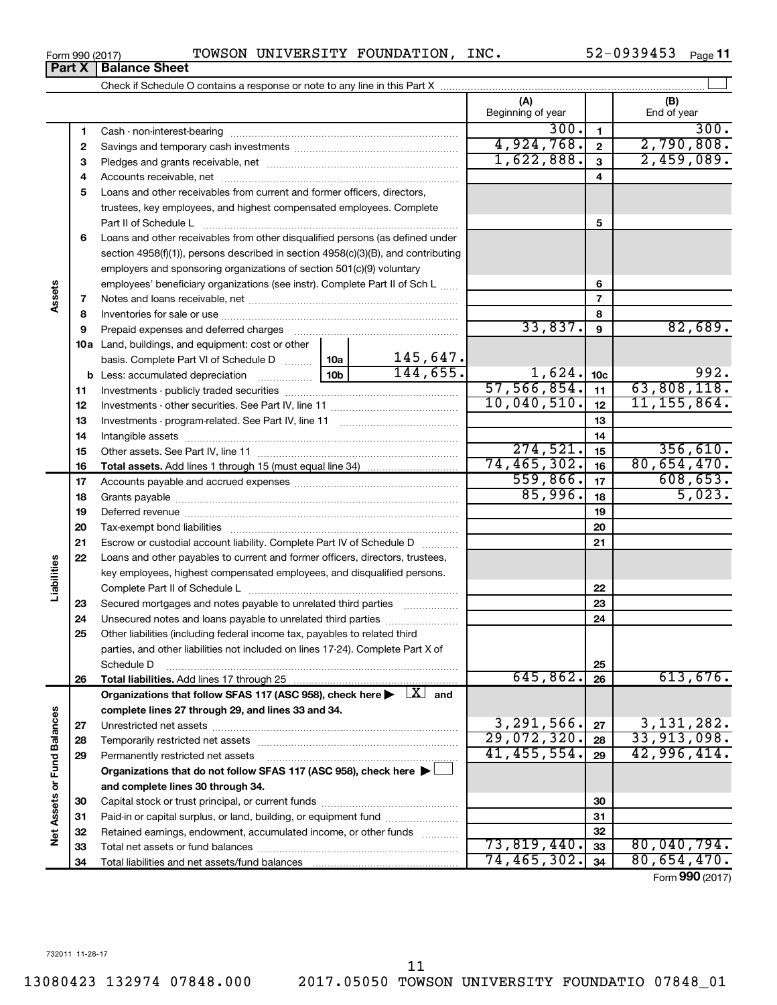| Form 990 (2017) |  | TOWSON UNIVERSITY FOUNDATION, | INC. | $-0939453$ | Page |
|-----------------|--|-------------------------------|------|------------|------|
|                 |  |                               |      |            |      |

|                             |          |                                                                                                                         |          | (A)<br>Beginning of year |                 | (B)<br>End of year |
|-----------------------------|----------|-------------------------------------------------------------------------------------------------------------------------|----------|--------------------------|-----------------|--------------------|
|                             | 1        |                                                                                                                         |          | 300.                     | $\mathbf{1}$    | 300.               |
|                             | 2        |                                                                                                                         |          | 4,924,768.               | $\overline{2}$  | 2,790,808.         |
|                             | з        |                                                                                                                         |          | 1,622,888.               | $\mathbf{3}$    | 2,459,089.         |
|                             | 4        |                                                                                                                         |          |                          | 4               |                    |
|                             | 5        | Loans and other receivables from current and former officers, directors,                                                |          |                          |                 |                    |
|                             |          | trustees, key employees, and highest compensated employees. Complete                                                    |          |                          |                 |                    |
|                             |          | Part II of Schedule L                                                                                                   |          |                          | 5               |                    |
|                             | 6        | Loans and other receivables from other disqualified persons (as defined under                                           |          |                          |                 |                    |
|                             |          | section 4958(f)(1)), persons described in section 4958(c)(3)(B), and contributing                                       |          |                          |                 |                    |
|                             |          | employers and sponsoring organizations of section 501(c)(9) voluntary                                                   |          |                          |                 |                    |
|                             |          | employees' beneficiary organizations (see instr). Complete Part II of Sch L                                             |          |                          | 6               |                    |
| Assets                      | 7        |                                                                                                                         |          |                          | $\overline{7}$  |                    |
|                             | 8        |                                                                                                                         |          |                          | 8               |                    |
|                             | 9        |                                                                                                                         |          | 33,837.                  | 9               | 82,689.            |
|                             |          | <b>10a</b> Land, buildings, and equipment: cost or other                                                                |          |                          |                 |                    |
|                             |          | basis. Complete Part VI of Schedule D  10a                                                                              | 145,647. |                          |                 |                    |
|                             |          |                                                                                                                         | 144,655. | 1,624.                   | 10 <sub>c</sub> | 992.               |
|                             | 11       |                                                                                                                         |          | 57,566,854.              | 11              | 63,808,118.        |
|                             | 12       |                                                                                                                         |          | 10,040,510.              | 12              | 11, 155, 864.      |
|                             | 13       |                                                                                                                         |          |                          | 13              |                    |
|                             | 14       |                                                                                                                         |          |                          | 14              |                    |
|                             | 15       |                                                                                                                         |          | 274,521.                 | 15              | 356,610.           |
|                             | 16       |                                                                                                                         |          | 74, 465, 302.            | 16              | 80,654,470.        |
|                             | 17       |                                                                                                                         |          | 559,866.                 | 17              | 608, 653.          |
|                             | 18       |                                                                                                                         |          | 85,996.                  | 18              | 5,023.             |
|                             | 19       |                                                                                                                         |          |                          | 19              |                    |
|                             | 20       |                                                                                                                         |          |                          | 20              |                    |
|                             | 21       | Escrow or custodial account liability. Complete Part IV of Schedule D                                                   |          |                          | 21              |                    |
|                             | 22       | Loans and other payables to current and former officers, directors, trustees,                                           |          |                          |                 |                    |
| Liabilities                 |          | key employees, highest compensated employees, and disqualified persons.                                                 |          |                          |                 |                    |
|                             |          |                                                                                                                         |          |                          | 22              |                    |
|                             | 23       | Secured mortgages and notes payable to unrelated third parties                                                          |          |                          | 23              |                    |
|                             | 24       |                                                                                                                         |          |                          | 24              |                    |
|                             | 25       | Other liabilities (including federal income tax, payables to related third                                              |          |                          |                 |                    |
|                             |          | parties, and other liabilities not included on lines 17-24). Complete Part X of                                         |          |                          |                 |                    |
|                             |          | Schedule D                                                                                                              |          | 645,862.                 | 25              | 613,676.           |
|                             | 26       | Total liabilities. Add lines 17 through 25                                                                              |          |                          | 26              |                    |
|                             |          | Organizations that follow SFAS 117 (ASC 958), check here $\blacktriangleright \begin{array}{c} \perp X \end{array}$ and |          |                          |                 |                    |
|                             |          | complete lines 27 through 29, and lines 33 and 34.                                                                      |          | 3,291,566.               | 27              | 3, 131, 282.       |
|                             | 27       | Temporarily restricted net assets                                                                                       |          | 29,072,320.              | 28              | 33,913,098.        |
|                             | 28<br>29 | Permanently restricted net assets                                                                                       |          | 41, 455, 554.            | 29              | 42,996,414.        |
|                             |          | Organizations that do not follow SFAS 117 (ASC 958), check here $\blacktriangleright$                                   |          |                          |                 |                    |
|                             |          | and complete lines 30 through 34.                                                                                       |          |                          |                 |                    |
| Net Assets or Fund Balances | 30       |                                                                                                                         |          |                          | 30              |                    |
|                             | 31       | Paid-in or capital surplus, or land, building, or equipment fund                                                        |          |                          | 31              |                    |
|                             | 32       | Retained earnings, endowment, accumulated income, or other funds                                                        |          |                          | 32              |                    |
|                             | 33       |                                                                                                                         |          | 73,819,440.              | 33              | 80,040,794.        |
|                             | 34       |                                                                                                                         |          | 74,465,302.              | 34              | 80,654,470.        |
|                             |          |                                                                                                                         |          |                          |                 | Form 990 (2017)    |

**Part X Balance Sheet**

 $\overline{a}$ 

 $\overline{\phantom{0}}$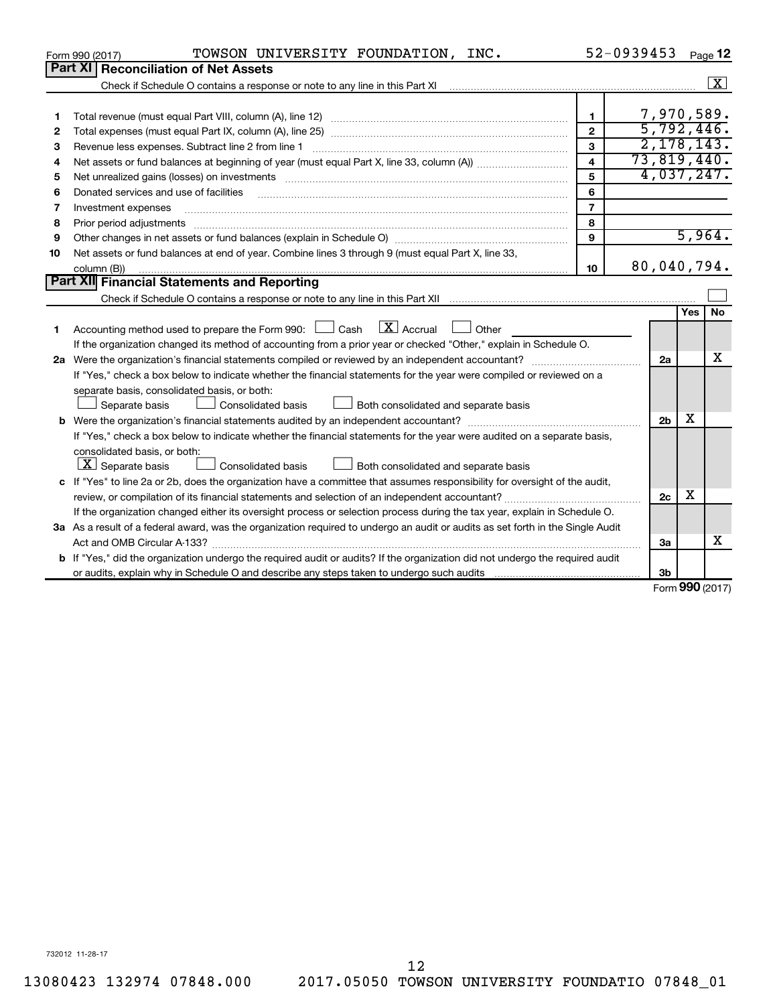|    | TOWSON UNIVERSITY FOUNDATION, INC.<br>Form 990 (2017)                                                                                                                                                                                                                                                                                                                                                                                                                                               |                         | 52-0939453     |     | Page 12                 |
|----|-----------------------------------------------------------------------------------------------------------------------------------------------------------------------------------------------------------------------------------------------------------------------------------------------------------------------------------------------------------------------------------------------------------------------------------------------------------------------------------------------------|-------------------------|----------------|-----|-------------------------|
|    | Part XI Reconciliation of Net Assets                                                                                                                                                                                                                                                                                                                                                                                                                                                                |                         |                |     |                         |
|    | Check if Schedule O contains a response or note to any line in this Part XI [11] [12] Check if Schedule O contains a response or note to any line in this Part XI                                                                                                                                                                                                                                                                                                                                   |                         |                |     | $\overline{\mathbf{x}}$ |
|    |                                                                                                                                                                                                                                                                                                                                                                                                                                                                                                     |                         |                |     |                         |
| 1  |                                                                                                                                                                                                                                                                                                                                                                                                                                                                                                     | 1                       |                |     | 7,970,589.              |
| 2  |                                                                                                                                                                                                                                                                                                                                                                                                                                                                                                     | $\overline{2}$          |                |     | 5,792,446.              |
| З  | Revenue less expenses. Subtract line 2 from line 1                                                                                                                                                                                                                                                                                                                                                                                                                                                  | 3                       |                |     | 2, 178, 143.            |
| 4  |                                                                                                                                                                                                                                                                                                                                                                                                                                                                                                     | $\overline{\mathbf{A}}$ | 73,819,440.    |     |                         |
| 5  | Net unrealized gains (losses) on investments [11] matter than the control of the state of the state of the state of the state of the state of the state of the state of the state of the state of the state of the state of th                                                                                                                                                                                                                                                                      | 5                       |                |     | 4,037,247.              |
| 6  | Donated services and use of facilities                                                                                                                                                                                                                                                                                                                                                                                                                                                              | 6                       |                |     |                         |
| 7  | Investment expenses                                                                                                                                                                                                                                                                                                                                                                                                                                                                                 | $\overline{7}$          |                |     |                         |
| 8  | Prior period adjustments<br>$\begin{minipage}{0.5\textwidth} \begin{tabular}{ l l l } \hline \multicolumn{1}{ l l l } \hline \multicolumn{1}{ l l } \hline \multicolumn{1}{ l } \multicolumn{1}{ l } \hline \multicolumn{1}{ l } \multicolumn{1}{ l } \multicolumn{1}{ l } \hline \multicolumn{1}{ l } \multicolumn{1}{ l } \multicolumn{1}{ l } \hline \multicolumn{1}{ l } \multicolumn{1}{ l } \hline \multicolumn{1}{ l } \multicolumn{1}{ l } \hline \multicolumn{1}{ $                        | 8                       |                |     |                         |
| 9  |                                                                                                                                                                                                                                                                                                                                                                                                                                                                                                     | 9                       |                |     | 5,964.                  |
| 10 | Net assets or fund balances at end of year. Combine lines 3 through 9 (must equal Part X, line 33,                                                                                                                                                                                                                                                                                                                                                                                                  |                         |                |     |                         |
|    | column (B))<br>$\begin{minipage}{0.9\linewidth} \begin{tabular}{l} \hline \textbf{0.01} \end{tabular} \end{minipage} \begin{tabular}{l} \hline \textbf{1.01} \end{tabular} \end{minipage} \begin{tabular}{l} \hline \textbf{1.01} \end{tabular} \end{minipage} \begin{minipage}{0.9\linewidth} \textbf{1.03} \end{minipage} \begin{tabular}{l} \hline \textbf{1.03} \end{tabular} \end{minipage} \begin{minipage}{0.9\linewidth} \textbf{1.03} \end{minipage} \begin{tabular}{l} \hline \textbf{1.$ | 10                      | 80,040,794.    |     |                         |
|    | Part XII Financial Statements and Reporting                                                                                                                                                                                                                                                                                                                                                                                                                                                         |                         |                |     |                         |
|    |                                                                                                                                                                                                                                                                                                                                                                                                                                                                                                     |                         |                |     |                         |
|    |                                                                                                                                                                                                                                                                                                                                                                                                                                                                                                     |                         |                | Yes | No.                     |
| 1  | $\mathbf{X}$ Accrual<br>Accounting method used to prepare the Form 990: [130] Cash<br>$\Box$ Other                                                                                                                                                                                                                                                                                                                                                                                                  |                         |                |     |                         |
|    | If the organization changed its method of accounting from a prior year or checked "Other," explain in Schedule O.                                                                                                                                                                                                                                                                                                                                                                                   |                         |                |     |                         |
|    |                                                                                                                                                                                                                                                                                                                                                                                                                                                                                                     |                         | 2a             |     | x                       |
|    | If "Yes," check a box below to indicate whether the financial statements for the year were compiled or reviewed on a                                                                                                                                                                                                                                                                                                                                                                                |                         |                |     |                         |
|    | separate basis, consolidated basis, or both:                                                                                                                                                                                                                                                                                                                                                                                                                                                        |                         |                |     |                         |
|    | Both consolidated and separate basis<br>Separate basis<br>Consolidated basis                                                                                                                                                                                                                                                                                                                                                                                                                        |                         |                |     |                         |
|    |                                                                                                                                                                                                                                                                                                                                                                                                                                                                                                     |                         | 2 <sub>b</sub> | х   |                         |
|    | If "Yes," check a box below to indicate whether the financial statements for the year were audited on a separate basis,                                                                                                                                                                                                                                                                                                                                                                             |                         |                |     |                         |
|    | consolidated basis, or both:                                                                                                                                                                                                                                                                                                                                                                                                                                                                        |                         |                |     |                         |
|    | $ \mathbf{X} $ Separate basis<br>Consolidated basis<br>Both consolidated and separate basis                                                                                                                                                                                                                                                                                                                                                                                                         |                         |                |     |                         |
|    | c If "Yes" to line 2a or 2b, does the organization have a committee that assumes responsibility for oversight of the audit,                                                                                                                                                                                                                                                                                                                                                                         |                         |                |     |                         |
|    |                                                                                                                                                                                                                                                                                                                                                                                                                                                                                                     |                         | 2 <sub>c</sub> | х   |                         |
|    | If the organization changed either its oversight process or selection process during the tax year, explain in Schedule O.                                                                                                                                                                                                                                                                                                                                                                           |                         |                |     |                         |
|    | 3a As a result of a federal award, was the organization required to undergo an audit or audits as set forth in the Single Audit                                                                                                                                                                                                                                                                                                                                                                     |                         |                |     |                         |
|    |                                                                                                                                                                                                                                                                                                                                                                                                                                                                                                     |                         | 3a             |     | x                       |
|    | <b>b</b> If "Yes," did the organization undergo the required audit or audits? If the organization did not undergo the required audit                                                                                                                                                                                                                                                                                                                                                                |                         |                |     |                         |
|    |                                                                                                                                                                                                                                                                                                                                                                                                                                                                                                     |                         | 3b             |     |                         |
|    |                                                                                                                                                                                                                                                                                                                                                                                                                                                                                                     |                         |                |     | $000 \, \text{GeV}$     |

Form (2017) **990**

732012 11-28-17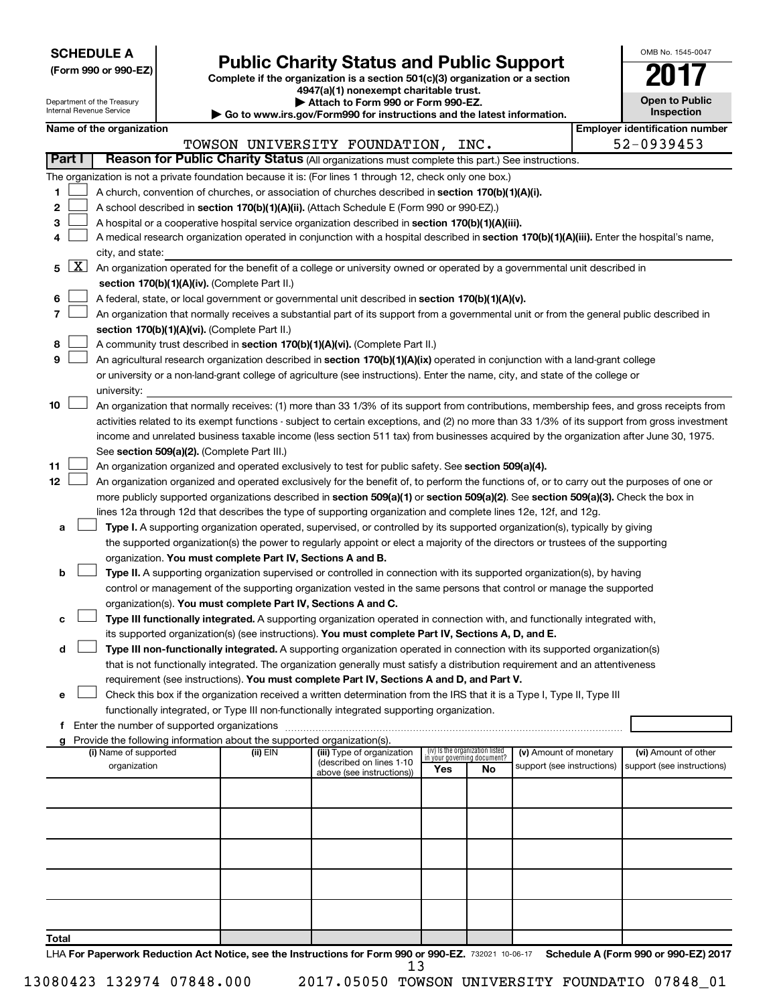|  |  | (Form 990 or 990-EZ) |
|--|--|----------------------|
|  |  |                      |

## Form 990 or 990-EZ) **Public Charity Status and Public Support** Form 990 or 990-EZ) Complete if the organization is a section 501(c)(3) organization or a section

**4947(a)(1) nonexempt charitable trust.**

| OMB No. 1545-0047                   |
|-------------------------------------|
| U.                                  |
| <b>Open to Public</b><br>Inspection |

|                |              | Department of the Treasury<br>Internal Revenue Service                                                                                                                     |  |                                                                        | Attach to Form 990 or Form 990-EZ.                                                                                                                                                                                                                        |     | <b>Inspection</b><br>Go to www.irs.gov/Form990 for instructions and the latest information. |                            | <b>Open to Public</b> |                                       |
|----------------|--------------|----------------------------------------------------------------------------------------------------------------------------------------------------------------------------|--|------------------------------------------------------------------------|-----------------------------------------------------------------------------------------------------------------------------------------------------------------------------------------------------------------------------------------------------------|-----|---------------------------------------------------------------------------------------------|----------------------------|-----------------------|---------------------------------------|
|                |              | Name of the organization                                                                                                                                                   |  |                                                                        |                                                                                                                                                                                                                                                           |     |                                                                                             |                            |                       | <b>Employer identification number</b> |
|                |              |                                                                                                                                                                            |  |                                                                        | TOWSON UNIVERSITY FOUNDATION, INC.                                                                                                                                                                                                                        |     |                                                                                             |                            |                       | 52-0939453                            |
| Part I         |              |                                                                                                                                                                            |  |                                                                        | Reason for Public Charity Status (All organizations must complete this part.) See instructions.                                                                                                                                                           |     |                                                                                             |                            |                       |                                       |
|                |              |                                                                                                                                                                            |  |                                                                        | The organization is not a private foundation because it is: (For lines 1 through 12, check only one box.)                                                                                                                                                 |     |                                                                                             |                            |                       |                                       |
| 1              |              |                                                                                                                                                                            |  |                                                                        | A church, convention of churches, or association of churches described in section 170(b)(1)(A)(i).                                                                                                                                                        |     |                                                                                             |                            |                       |                                       |
| 2              |              |                                                                                                                                                                            |  |                                                                        | A school described in section 170(b)(1)(A)(ii). (Attach Schedule E (Form 990 or 990-EZ).)                                                                                                                                                                 |     |                                                                                             |                            |                       |                                       |
| 3              |              |                                                                                                                                                                            |  |                                                                        | A hospital or a cooperative hospital service organization described in section 170(b)(1)(A)(iii).                                                                                                                                                         |     |                                                                                             |                            |                       |                                       |
| 4              |              |                                                                                                                                                                            |  |                                                                        | A medical research organization operated in conjunction with a hospital described in section 170(b)(1)(A)(iii). Enter the hospital's name,                                                                                                                |     |                                                                                             |                            |                       |                                       |
|                |              | city, and state:                                                                                                                                                           |  |                                                                        |                                                                                                                                                                                                                                                           |     |                                                                                             |                            |                       |                                       |
| 5              | $\mathbf{X}$ |                                                                                                                                                                            |  |                                                                        |                                                                                                                                                                                                                                                           |     |                                                                                             |                            |                       |                                       |
|                |              | An organization operated for the benefit of a college or university owned or operated by a governmental unit described in<br>section 170(b)(1)(A)(iv). (Complete Part II.) |  |                                                                        |                                                                                                                                                                                                                                                           |     |                                                                                             |                            |                       |                                       |
| 6              |              |                                                                                                                                                                            |  |                                                                        | A federal, state, or local government or governmental unit described in section 170(b)(1)(A)(v).                                                                                                                                                          |     |                                                                                             |                            |                       |                                       |
| $\overline{7}$ |              |                                                                                                                                                                            |  |                                                                        | An organization that normally receives a substantial part of its support from a governmental unit or from the general public described in                                                                                                                 |     |                                                                                             |                            |                       |                                       |
|                |              |                                                                                                                                                                            |  | section 170(b)(1)(A)(vi). (Complete Part II.)                          |                                                                                                                                                                                                                                                           |     |                                                                                             |                            |                       |                                       |
| 8              |              |                                                                                                                                                                            |  |                                                                        | A community trust described in section 170(b)(1)(A)(vi). (Complete Part II.)                                                                                                                                                                              |     |                                                                                             |                            |                       |                                       |
| 9              |              |                                                                                                                                                                            |  |                                                                        | An agricultural research organization described in section 170(b)(1)(A)(ix) operated in conjunction with a land-grant college                                                                                                                             |     |                                                                                             |                            |                       |                                       |
|                |              |                                                                                                                                                                            |  |                                                                        | or university or a non-land-grant college of agriculture (see instructions). Enter the name, city, and state of the college or                                                                                                                            |     |                                                                                             |                            |                       |                                       |
|                |              | university:                                                                                                                                                                |  |                                                                        |                                                                                                                                                                                                                                                           |     |                                                                                             |                            |                       |                                       |
| 10             |              |                                                                                                                                                                            |  |                                                                        | An organization that normally receives: (1) more than 33 1/3% of its support from contributions, membership fees, and gross receipts from                                                                                                                 |     |                                                                                             |                            |                       |                                       |
|                |              |                                                                                                                                                                            |  |                                                                        | activities related to its exempt functions - subject to certain exceptions, and (2) no more than 33 1/3% of its support from gross investment                                                                                                             |     |                                                                                             |                            |                       |                                       |
|                |              |                                                                                                                                                                            |  |                                                                        | income and unrelated business taxable income (less section 511 tax) from businesses acquired by the organization after June 30, 1975.                                                                                                                     |     |                                                                                             |                            |                       |                                       |
|                |              |                                                                                                                                                                            |  | See section 509(a)(2). (Complete Part III.)                            |                                                                                                                                                                                                                                                           |     |                                                                                             |                            |                       |                                       |
| 11             |              |                                                                                                                                                                            |  |                                                                        | An organization organized and operated exclusively to test for public safety. See section 509(a)(4).                                                                                                                                                      |     |                                                                                             |                            |                       |                                       |
| 12             |              |                                                                                                                                                                            |  |                                                                        | An organization organized and operated exclusively for the benefit of, to perform the functions of, or to carry out the purposes of one or                                                                                                                |     |                                                                                             |                            |                       |                                       |
|                |              |                                                                                                                                                                            |  |                                                                        | more publicly supported organizations described in section 509(a)(1) or section 509(a)(2). See section 509(a)(3). Check the box in                                                                                                                        |     |                                                                                             |                            |                       |                                       |
|                |              |                                                                                                                                                                            |  |                                                                        | lines 12a through 12d that describes the type of supporting organization and complete lines 12e, 12f, and 12g.                                                                                                                                            |     |                                                                                             |                            |                       |                                       |
| а              |              |                                                                                                                                                                            |  |                                                                        | Type I. A supporting organization operated, supervised, or controlled by its supported organization(s), typically by giving                                                                                                                               |     |                                                                                             |                            |                       |                                       |
|                |              |                                                                                                                                                                            |  |                                                                        | the supported organization(s) the power to regularly appoint or elect a majority of the directors or trustees of the supporting                                                                                                                           |     |                                                                                             |                            |                       |                                       |
|                |              |                                                                                                                                                                            |  | organization. You must complete Part IV, Sections A and B.             |                                                                                                                                                                                                                                                           |     |                                                                                             |                            |                       |                                       |
| b              |              |                                                                                                                                                                            |  |                                                                        | Type II. A supporting organization supervised or controlled in connection with its supported organization(s), by having                                                                                                                                   |     |                                                                                             |                            |                       |                                       |
|                |              |                                                                                                                                                                            |  |                                                                        | control or management of the supporting organization vested in the same persons that control or manage the supported                                                                                                                                      |     |                                                                                             |                            |                       |                                       |
|                |              |                                                                                                                                                                            |  | organization(s). You must complete Part IV, Sections A and C.          |                                                                                                                                                                                                                                                           |     |                                                                                             |                            |                       |                                       |
| с              |              |                                                                                                                                                                            |  |                                                                        | Type III functionally integrated. A supporting organization operated in connection with, and functionally integrated with,                                                                                                                                |     |                                                                                             |                            |                       |                                       |
|                |              |                                                                                                                                                                            |  |                                                                        | its supported organization(s) (see instructions). You must complete Part IV, Sections A, D, and E.                                                                                                                                                        |     |                                                                                             |                            |                       |                                       |
| d              |              |                                                                                                                                                                            |  |                                                                        | Type III non-functionally integrated. A supporting organization operated in connection with its supported organization(s)<br>that is not functionally integrated. The organization generally must satisfy a distribution requirement and an attentiveness |     |                                                                                             |                            |                       |                                       |
|                |              |                                                                                                                                                                            |  |                                                                        | requirement (see instructions). You must complete Part IV, Sections A and D, and Part V.                                                                                                                                                                  |     |                                                                                             |                            |                       |                                       |
| е              |              |                                                                                                                                                                            |  |                                                                        | Check this box if the organization received a written determination from the IRS that it is a Type I, Type II, Type III                                                                                                                                   |     |                                                                                             |                            |                       |                                       |
|                |              |                                                                                                                                                                            |  |                                                                        | functionally integrated, or Type III non-functionally integrated supporting organization.                                                                                                                                                                 |     |                                                                                             |                            |                       |                                       |
|                |              |                                                                                                                                                                            |  |                                                                        |                                                                                                                                                                                                                                                           |     |                                                                                             |                            |                       |                                       |
| g              |              |                                                                                                                                                                            |  | Provide the following information about the supported organization(s). |                                                                                                                                                                                                                                                           |     |                                                                                             |                            |                       |                                       |
|                |              | (i) Name of supported                                                                                                                                                      |  | (ii) EIN                                                               | (iii) Type of organization                                                                                                                                                                                                                                |     | (iv) Is the organization listed<br>in your governing document?                              | (v) Amount of monetary     |                       | (vi) Amount of other                  |
|                |              | organization                                                                                                                                                               |  |                                                                        | (described on lines 1-10<br>above (see instructions))                                                                                                                                                                                                     | Yes | No                                                                                          | support (see instructions) |                       | support (see instructions)            |
|                |              |                                                                                                                                                                            |  |                                                                        |                                                                                                                                                                                                                                                           |     |                                                                                             |                            |                       |                                       |
|                |              |                                                                                                                                                                            |  |                                                                        |                                                                                                                                                                                                                                                           |     |                                                                                             |                            |                       |                                       |
|                |              |                                                                                                                                                                            |  |                                                                        |                                                                                                                                                                                                                                                           |     |                                                                                             |                            |                       |                                       |
|                |              |                                                                                                                                                                            |  |                                                                        |                                                                                                                                                                                                                                                           |     |                                                                                             |                            |                       |                                       |
|                |              |                                                                                                                                                                            |  |                                                                        |                                                                                                                                                                                                                                                           |     |                                                                                             |                            |                       |                                       |
|                |              |                                                                                                                                                                            |  |                                                                        |                                                                                                                                                                                                                                                           |     |                                                                                             |                            |                       |                                       |
|                |              |                                                                                                                                                                            |  |                                                                        |                                                                                                                                                                                                                                                           |     |                                                                                             |                            |                       |                                       |
|                |              |                                                                                                                                                                            |  |                                                                        |                                                                                                                                                                                                                                                           |     |                                                                                             |                            |                       |                                       |
|                |              |                                                                                                                                                                            |  |                                                                        |                                                                                                                                                                                                                                                           |     |                                                                                             |                            |                       |                                       |
|                |              |                                                                                                                                                                            |  |                                                                        |                                                                                                                                                                                                                                                           |     |                                                                                             |                            |                       |                                       |
| Total          |              |                                                                                                                                                                            |  |                                                                        |                                                                                                                                                                                                                                                           |     |                                                                                             |                            |                       |                                       |

LHA For Paperwork Reduction Act Notice, see the Instructions for Form 990 or 990-EZ. 732021 10-06-17 Schedule A (Form 990 or 990-EZ) 2017 13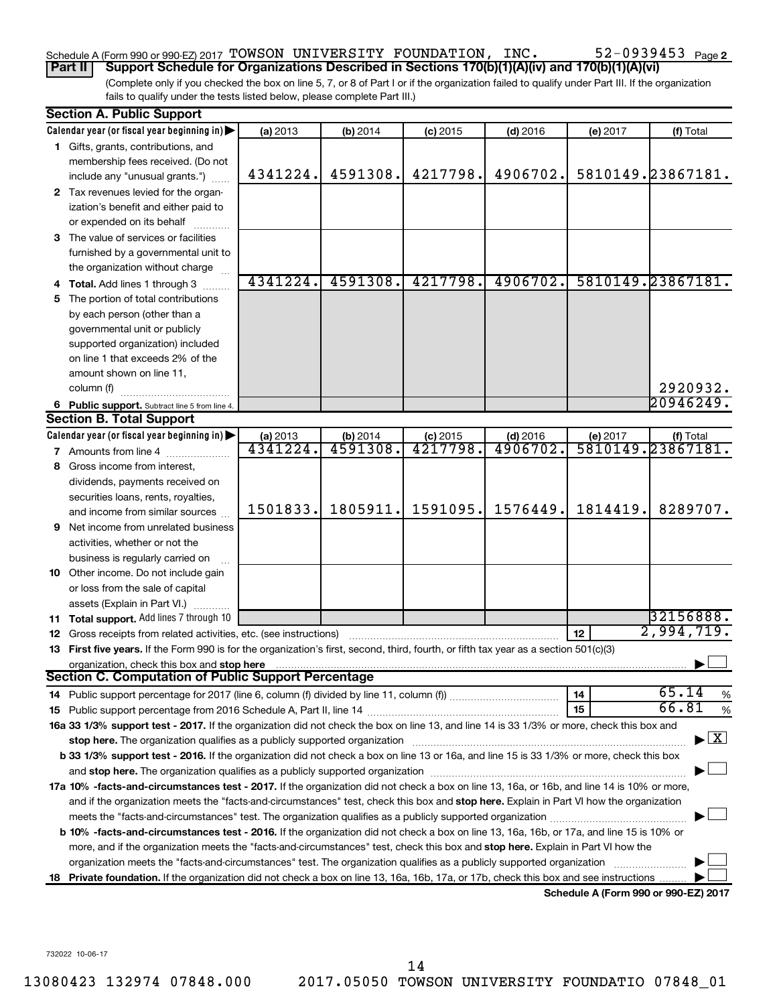## Schedule A (Form 990 or 990-EZ) 2017 Page TOWSON UNIVERSITY FOUNDATION, INC. 52-0939453

(Complete only if you checked the box on line 5, 7, or 8 of Part I or if the organization failed to qualify under Part III. If the organization fails to qualify under the tests listed below, please complete Part III.) **Part II** | Support Schedule for Organizations Described in Sections 170(b)(1)(A)(iv) and 170(b)(1)(A)(vi)

|    | <b>Section A. Public Support</b>                                                                                                                                                                                               |          |                                   |            |            |                 |                                         |
|----|--------------------------------------------------------------------------------------------------------------------------------------------------------------------------------------------------------------------------------|----------|-----------------------------------|------------|------------|-----------------|-----------------------------------------|
|    | Calendar year (or fiscal year beginning in)                                                                                                                                                                                    | (a) 2013 | (b) 2014                          | $(c)$ 2015 | $(d)$ 2016 | (e) 2017        | (f) Total                               |
|    | 1 Gifts, grants, contributions, and                                                                                                                                                                                            |          |                                   |            |            |                 |                                         |
|    | membership fees received. (Do not                                                                                                                                                                                              |          |                                   |            |            |                 |                                         |
|    | include any "unusual grants.")                                                                                                                                                                                                 | 4341224. | 4591308.                          | 4217798.   | 4906702.   |                 | 5810149.23867181.                       |
|    | 2 Tax revenues levied for the organ-                                                                                                                                                                                           |          |                                   |            |            |                 |                                         |
|    | ization's benefit and either paid to                                                                                                                                                                                           |          |                                   |            |            |                 |                                         |
|    | or expended on its behalf                                                                                                                                                                                                      |          |                                   |            |            |                 |                                         |
|    | 3 The value of services or facilities                                                                                                                                                                                          |          |                                   |            |            |                 |                                         |
|    | furnished by a governmental unit to                                                                                                                                                                                            |          |                                   |            |            |                 |                                         |
|    | the organization without charge                                                                                                                                                                                                |          |                                   |            |            |                 |                                         |
|    | 4 Total. Add lines 1 through 3                                                                                                                                                                                                 | 4341224. | 4591308.                          | 4217798.   | 4906702.   |                 | 5810149.23867181.                       |
|    | 5 The portion of total contributions                                                                                                                                                                                           |          |                                   |            |            |                 |                                         |
|    | by each person (other than a                                                                                                                                                                                                   |          |                                   |            |            |                 |                                         |
|    | governmental unit or publicly                                                                                                                                                                                                  |          |                                   |            |            |                 |                                         |
|    | supported organization) included                                                                                                                                                                                               |          |                                   |            |            |                 |                                         |
|    | on line 1 that exceeds 2% of the                                                                                                                                                                                               |          |                                   |            |            |                 |                                         |
|    | amount shown on line 11,                                                                                                                                                                                                       |          |                                   |            |            |                 |                                         |
|    | column (f)                                                                                                                                                                                                                     |          |                                   |            |            |                 | 2920932.                                |
|    | 6 Public support. Subtract line 5 from line 4.                                                                                                                                                                                 |          |                                   |            |            |                 | 20946249.                               |
|    | <b>Section B. Total Support</b>                                                                                                                                                                                                |          |                                   |            |            |                 |                                         |
|    | Calendar year (or fiscal year beginning in)                                                                                                                                                                                    | (a) 2013 | $\underbrace{(b) 2014}_{4591308}$ | $(c)$ 2015 | $(d)$ 2016 |                 | (e) 2017 (f) Total<br>5810149.23867181. |
|    | <b>7</b> Amounts from line 4                                                                                                                                                                                                   | 4341224  |                                   | 4217798    | 4906702    |                 |                                         |
| 8  | Gross income from interest,                                                                                                                                                                                                    |          |                                   |            |            |                 |                                         |
|    | dividends, payments received on                                                                                                                                                                                                |          |                                   |            |            |                 |                                         |
|    | securities loans, rents, royalties,                                                                                                                                                                                            |          |                                   |            |            |                 |                                         |
|    | and income from similar sources                                                                                                                                                                                                | 1501833. | 1805911.                          | 1591095.   | 1576449.   | 1814419.        | 8289707.                                |
|    | <b>9</b> Net income from unrelated business                                                                                                                                                                                    |          |                                   |            |            |                 |                                         |
|    | activities, whether or not the                                                                                                                                                                                                 |          |                                   |            |            |                 |                                         |
|    | business is regularly carried on                                                                                                                                                                                               |          |                                   |            |            |                 |                                         |
|    | 10 Other income. Do not include gain                                                                                                                                                                                           |          |                                   |            |            |                 |                                         |
|    | or loss from the sale of capital                                                                                                                                                                                               |          |                                   |            |            |                 |                                         |
|    | assets (Explain in Part VI.)                                                                                                                                                                                                   |          |                                   |            |            |                 |                                         |
|    | 11 Total support. Add lines 7 through 10                                                                                                                                                                                       |          |                                   |            |            |                 | 32156888.                               |
|    | 12 Gross receipts from related activities, etc. (see instructions)                                                                                                                                                             |          |                                   |            |            | 12 <sub>2</sub> | 2,994,719.                              |
|    | 13 First five years. If the Form 990 is for the organization's first, second, third, fourth, or fifth tax year as a section 501(c)(3)                                                                                          |          |                                   |            |            |                 |                                         |
|    | Section C. Computation of Public Support Percentage <b>Communication C. Computation of Public Support Percentage</b>                                                                                                           |          |                                   |            |            |                 |                                         |
|    |                                                                                                                                                                                                                                |          |                                   |            |            |                 |                                         |
|    | 14 Public support percentage for 2017 (line 6, column (f) divided by line 11, column (f) <i>mummumumum</i>                                                                                                                     |          |                                   |            |            | 14              | 65.14<br>%                              |
|    |                                                                                                                                                                                                                                |          |                                   |            |            | 15              | 66.81<br>$\%$                           |
|    | 16a 33 1/3% support test - 2017. If the organization did not check the box on line 13, and line 14 is 33 1/3% or more, check this box and                                                                                      |          |                                   |            |            |                 |                                         |
|    | stop here. The organization qualifies as a publicly supported organization manufaction manufacture or the organization manufacture or the state of the state of the state of the state of the state of the state of the state  |          |                                   |            |            |                 | X                                       |
|    | b 33 1/3% support test - 2016. If the organization did not check a box on line 13 or 16a, and line 15 is 33 1/3% or more, check this box                                                                                       |          |                                   |            |            |                 |                                         |
|    | and stop here. The organization qualifies as a publicly supported organization [11] manuscription manuscription manuscription manuscription manuscription manuscription and a state of the organization manuscription and stat |          |                                   |            |            |                 |                                         |
|    | 17a 10% -facts-and-circumstances test - 2017. If the organization did not check a box on line 13, 16a, or 16b, and line 14 is 10% or more,                                                                                     |          |                                   |            |            |                 |                                         |
|    | and if the organization meets the "facts-and-circumstances" test, check this box and stop here. Explain in Part VI how the organization                                                                                        |          |                                   |            |            |                 |                                         |
|    | meets the "facts-and-circumstances" test. The organization qualifies as a publicly supported organization <i>manumumumumum</i>                                                                                                 |          |                                   |            |            |                 |                                         |
|    | b 10% -facts-and-circumstances test - 2016. If the organization did not check a box on line 13, 16a, 16b, or 17a, and line 15 is 10% or                                                                                        |          |                                   |            |            |                 |                                         |
|    | more, and if the organization meets the "facts-and-circumstances" test, check this box and stop here. Explain in Part VI how the                                                                                               |          |                                   |            |            |                 |                                         |
|    | organization meets the "facts-and-circumstances" test. The organization qualifies as a publicly supported organization                                                                                                         |          |                                   |            |            |                 |                                         |
| 18 | Private foundation. If the organization did not check a box on line 13, 16a, 16b, 17a, or 17b, check this box and see instructions                                                                                             |          |                                   |            |            |                 | Schedule A (Form 990 or 990-EZ) 2017    |
|    |                                                                                                                                                                                                                                |          |                                   |            |            |                 |                                         |

732022 10-06-17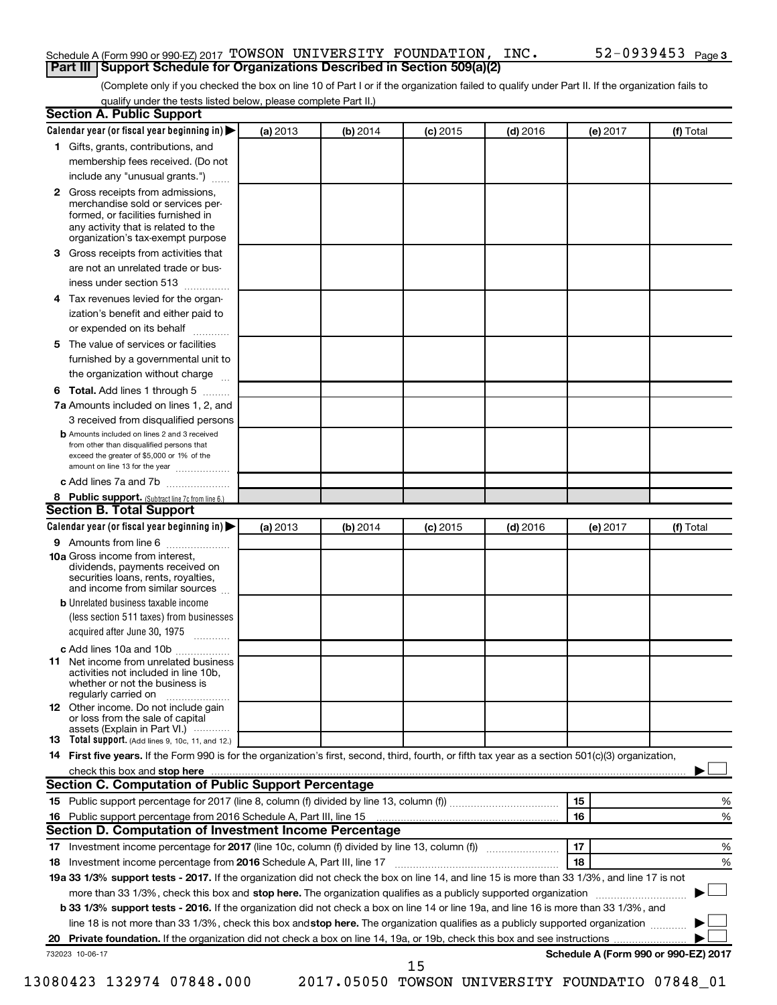## Schedule A (Form 990 or 990-EZ) 2017 Page TOWSON UNIVERSITY FOUNDATION, INC. 52-0939453 **Part III | Support Schedule for Organizations Described in Section 509(a)(2)**

(Complete only if you checked the box on line 10 of Part I or if the organization failed to qualify under Part II. If the organization fails to qualify under the tests listed below, please complete Part II.)

|    | <b>Section A. Public Support</b>                                                                                                                                                                                       |          |          |            |            |          |                                      |
|----|------------------------------------------------------------------------------------------------------------------------------------------------------------------------------------------------------------------------|----------|----------|------------|------------|----------|--------------------------------------|
|    | Calendar year (or fiscal year beginning in)                                                                                                                                                                            | (a) 2013 | (b) 2014 | $(c)$ 2015 | $(d)$ 2016 | (e) 2017 | (f) Total                            |
|    | 1 Gifts, grants, contributions, and                                                                                                                                                                                    |          |          |            |            |          |                                      |
|    | membership fees received. (Do not                                                                                                                                                                                      |          |          |            |            |          |                                      |
|    | include any "unusual grants.")                                                                                                                                                                                         |          |          |            |            |          |                                      |
|    | <b>2</b> Gross receipts from admissions,<br>merchandise sold or services per-<br>formed, or facilities furnished in<br>any activity that is related to the<br>organization's tax-exempt purpose                        |          |          |            |            |          |                                      |
|    | 3 Gross receipts from activities that                                                                                                                                                                                  |          |          |            |            |          |                                      |
|    | are not an unrelated trade or bus-                                                                                                                                                                                     |          |          |            |            |          |                                      |
|    | iness under section 513                                                                                                                                                                                                |          |          |            |            |          |                                      |
|    | 4 Tax revenues levied for the organ-                                                                                                                                                                                   |          |          |            |            |          |                                      |
|    | ization's benefit and either paid to                                                                                                                                                                                   |          |          |            |            |          |                                      |
|    | or expended on its behalf                                                                                                                                                                                              |          |          |            |            |          |                                      |
|    | 5 The value of services or facilities                                                                                                                                                                                  |          |          |            |            |          |                                      |
|    | furnished by a governmental unit to                                                                                                                                                                                    |          |          |            |            |          |                                      |
|    | the organization without charge                                                                                                                                                                                        |          |          |            |            |          |                                      |
|    | 6 Total. Add lines 1 through 5                                                                                                                                                                                         |          |          |            |            |          |                                      |
|    | 7a Amounts included on lines 1, 2, and                                                                                                                                                                                 |          |          |            |            |          |                                      |
|    | 3 received from disqualified persons                                                                                                                                                                                   |          |          |            |            |          |                                      |
|    | <b>b</b> Amounts included on lines 2 and 3 received<br>from other than disqualified persons that<br>exceed the greater of \$5,000 or 1% of the<br>amount on line 13 for the year                                       |          |          |            |            |          |                                      |
|    | c Add lines 7a and 7b                                                                                                                                                                                                  |          |          |            |            |          |                                      |
|    | 8 Public support. (Subtract line 7c from line 6.)                                                                                                                                                                      |          |          |            |            |          |                                      |
|    | <b>Section B. Total Support</b>                                                                                                                                                                                        |          |          |            |            |          |                                      |
|    | Calendar year (or fiscal year beginning in)                                                                                                                                                                            | (a) 2013 | (b) 2014 | $(c)$ 2015 | $(d)$ 2016 | (e) 2017 | (f) Total                            |
|    | 9 Amounts from line 6                                                                                                                                                                                                  |          |          |            |            |          |                                      |
|    | <b>10a</b> Gross income from interest,<br>dividends, payments received on<br>securities loans, rents, royalties,<br>and income from similar sources                                                                    |          |          |            |            |          |                                      |
|    | <b>b</b> Unrelated business taxable income<br>(less section 511 taxes) from businesses<br>acquired after June 30, 1975                                                                                                 |          |          |            |            |          |                                      |
|    | c Add lines 10a and 10b                                                                                                                                                                                                |          |          |            |            |          |                                      |
|    | <b>11</b> Net income from unrelated business<br>activities not included in line 10b.<br>whether or not the business is<br>regularly carried on                                                                         |          |          |            |            |          |                                      |
|    | <b>12</b> Other income. Do not include gain<br>or loss from the sale of capital<br>assets (Explain in Part VI.)                                                                                                        |          |          |            |            |          |                                      |
|    | <b>13</b> Total support. (Add lines 9, 10c, 11, and 12.)                                                                                                                                                               |          |          |            |            |          |                                      |
|    | 14 First five years. If the Form 990 is for the organization's first, second, third, fourth, or fifth tax year as a section 501(c)(3) organization,                                                                    |          |          |            |            |          |                                      |
|    | check this box and stop here <b>contained and stop here contained and stop here contained a stop here contained a stop here contained a stop here contained a stop here contained a stop here contained a stop her</b> |          |          |            |            |          |                                      |
|    | Section C. Computation of Public Support Percentage                                                                                                                                                                    |          |          |            |            |          |                                      |
|    |                                                                                                                                                                                                                        |          |          |            |            | 15       | ℅                                    |
|    |                                                                                                                                                                                                                        |          |          |            |            | 16       | %                                    |
|    | <b>Section D. Computation of Investment Income Percentage</b>                                                                                                                                                          |          |          |            |            |          |                                      |
|    |                                                                                                                                                                                                                        |          |          |            |            | 17       | %                                    |
|    | 18 Investment income percentage from 2016 Schedule A, Part III, line 17                                                                                                                                                |          |          |            |            | 18       | %                                    |
|    | 19a 33 1/3% support tests - 2017. If the organization did not check the box on line 14, and line 15 is more than 33 1/3%, and line 17 is not                                                                           |          |          |            |            |          |                                      |
|    | more than 33 1/3%, check this box and stop here. The organization qualifies as a publicly supported organization                                                                                                       |          |          |            |            |          |                                      |
|    | b 33 1/3% support tests - 2016. If the organization did not check a box on line 14 or line 19a, and line 16 is more than 33 1/3%, and                                                                                  |          |          |            |            |          |                                      |
|    | line 18 is not more than 33 1/3%, check this box and stop here. The organization qualifies as a publicly supported organization                                                                                        |          |          |            |            |          |                                      |
| 20 |                                                                                                                                                                                                                        |          |          |            |            |          |                                      |
|    | 732023 10-06-17                                                                                                                                                                                                        |          |          |            |            |          | Schedule A (Form 990 or 990-EZ) 2017 |
|    |                                                                                                                                                                                                                        |          |          | 15         |            |          |                                      |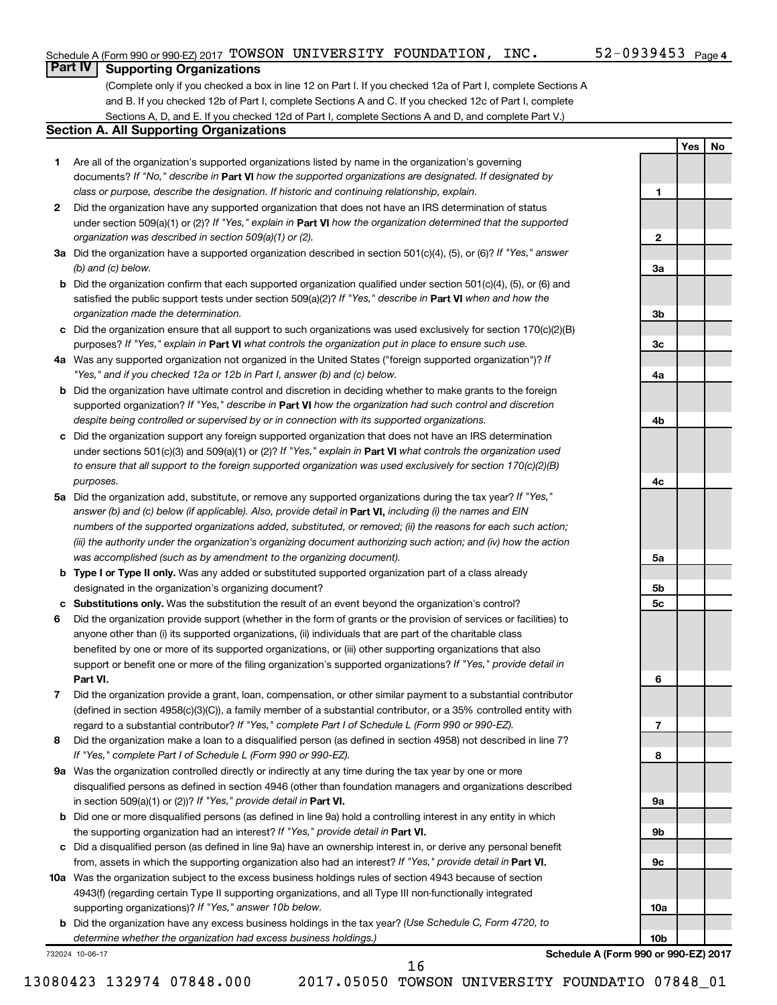**1**

**2**

**3a**

**3b**

**3c**

**4a**

**4b**

**4c**

**5a**

**5b 5c**

**6**

**7**

**8**

**9a**

**9b**

**9c**

**10a**

**10b**

**Yes No**

## **Part IV Supporting Organizations**

(Complete only if you checked a box in line 12 on Part I. If you checked 12a of Part I, complete Sections A and B. If you checked 12b of Part I, complete Sections A and C. If you checked 12c of Part I, complete Sections A, D, and E. If you checked 12d of Part I, complete Sections A and D, and complete Part V.)

## **Section A. All Supporting Organizations**

- **1** Are all of the organization's supported organizations listed by name in the organization's governing documents? If "No," describe in Part VI how the supported organizations are designated. If designated by *class or purpose, describe the designation. If historic and continuing relationship, explain.*
- **2** Did the organization have any supported organization that does not have an IRS determination of status under section 509(a)(1) or (2)? If "Yes," explain in Part **VI** how the organization determined that the supported *organization was described in section 509(a)(1) or (2).*
- **3a** Did the organization have a supported organization described in section 501(c)(4), (5), or (6)? If "Yes," answer *(b) and (c) below.*
- **b** Did the organization confirm that each supported organization qualified under section 501(c)(4), (5), or (6) and satisfied the public support tests under section 509(a)(2)? If "Yes," describe in Part VI when and how the *organization made the determination.*
- **c** Did the organization ensure that all support to such organizations was used exclusively for section 170(c)(2)(B) purposes? If "Yes," explain in Part VI what controls the organization put in place to ensure such use.
- **4 a** *If* Was any supported organization not organized in the United States ("foreign supported organization")? *"Yes," and if you checked 12a or 12b in Part I, answer (b) and (c) below.*
- **b** Did the organization have ultimate control and discretion in deciding whether to make grants to the foreign supported organization? If "Yes," describe in Part VI how the organization had such control and discretion *despite being controlled or supervised by or in connection with its supported organizations.*
- **c** Did the organization support any foreign supported organization that does not have an IRS determination under sections 501(c)(3) and 509(a)(1) or (2)? If "Yes," explain in Part VI what controls the organization used *to ensure that all support to the foreign supported organization was used exclusively for section 170(c)(2)(B) purposes.*
- **5a** Did the organization add, substitute, or remove any supported organizations during the tax year? If "Yes," answer (b) and (c) below (if applicable). Also, provide detail in **Part VI,** including (i) the names and EIN *numbers of the supported organizations added, substituted, or removed; (ii) the reasons for each such action; (iii) the authority under the organization's organizing document authorizing such action; and (iv) how the action was accomplished (such as by amendment to the organizing document).*
- **b Type I or Type II only.** Was any added or substituted supported organization part of a class already designated in the organization's organizing document?
- **c Substitutions only.**  Was the substitution the result of an event beyond the organization's control?
- **6** Did the organization provide support (whether in the form of grants or the provision of services or facilities) to **Part VI.** support or benefit one or more of the filing organization's supported organizations? If "Yes," provide detail in anyone other than (i) its supported organizations, (ii) individuals that are part of the charitable class benefited by one or more of its supported organizations, or (iii) other supporting organizations that also
- **7** Did the organization provide a grant, loan, compensation, or other similar payment to a substantial contributor regard to a substantial contributor? If "Yes," complete Part I of Schedule L (Form 990 or 990-EZ). (defined in section 4958(c)(3)(C)), a family member of a substantial contributor, or a 35% controlled entity with
- **8** Did the organization make a loan to a disqualified person (as defined in section 4958) not described in line 7? *If "Yes," complete Part I of Schedule L (Form 990 or 990-EZ).*
- **9 a** Was the organization controlled directly or indirectly at any time during the tax year by one or more in section 509(a)(1) or (2))? If "Yes," provide detail in **Part VI.** disqualified persons as defined in section 4946 (other than foundation managers and organizations described
- **b** Did one or more disqualified persons (as defined in line 9a) hold a controlling interest in any entity in which the supporting organization had an interest? If "Yes," provide detail in Part VI.
- **c** Did a disqualified person (as defined in line 9a) have an ownership interest in, or derive any personal benefit from, assets in which the supporting organization also had an interest? If "Yes," provide detail in Part VI.
- **10 a** Was the organization subject to the excess business holdings rules of section 4943 because of section supporting organizations)? If "Yes," answer 10b below. 4943(f) (regarding certain Type II supporting organizations, and all Type III non-functionally integrated
	- **b** Did the organization have any excess business holdings in the tax year? (Use Schedule C, Form 4720, to *determine whether the organization had excess business holdings.)*

732024 10-06-17

**Schedule A (Form 990 or 990-EZ) 2017**

13080423 132974 07848.000 2017.05050 TOWSON UNIVERSITY FOUNDATIO 07848\_01

16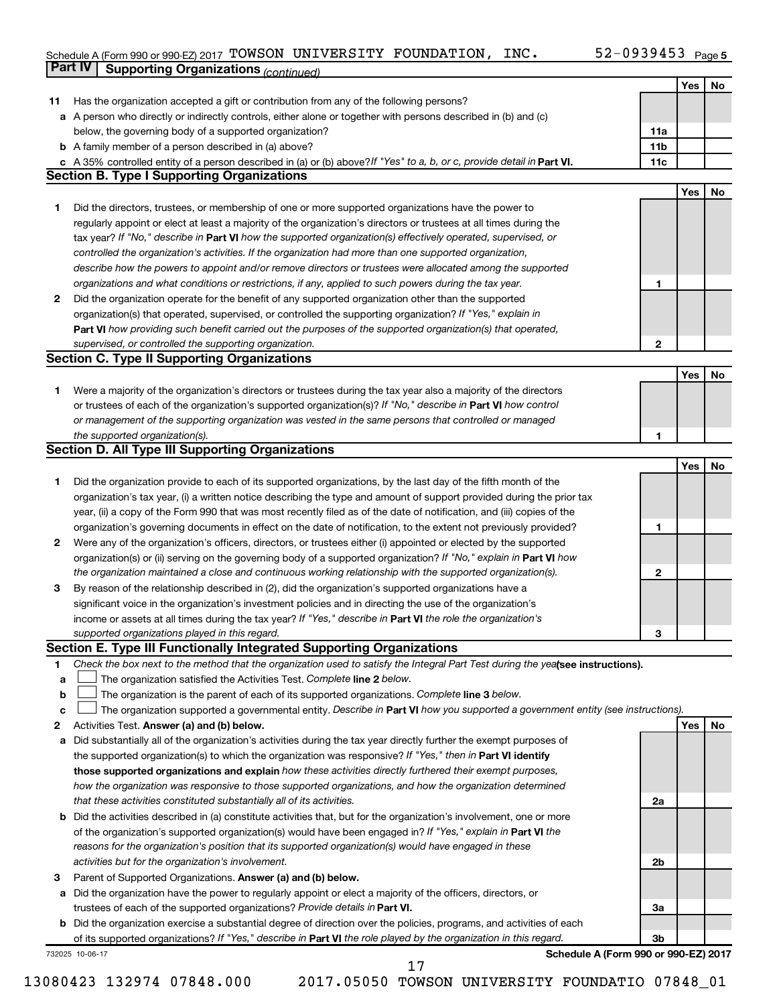#### Schedule A (Form 990 or 990-EZ) 2017 'I'OWSON UNIVERSITY FOUNDATION,INC。 52-U939453 Page TOWSON UNIVERSITY FOUNDATION, INC. 52-0939453

|    | Part IV<br><b>Supporting Organizations (continued)</b>                                                                                                                                                                                            |                 |     |     |
|----|---------------------------------------------------------------------------------------------------------------------------------------------------------------------------------------------------------------------------------------------------|-----------------|-----|-----|
|    |                                                                                                                                                                                                                                                   |                 | Yes | No  |
| 11 | Has the organization accepted a gift or contribution from any of the following persons?                                                                                                                                                           |                 |     |     |
|    | a A person who directly or indirectly controls, either alone or together with persons described in (b) and (c)                                                                                                                                    |                 |     |     |
|    | below, the governing body of a supported organization?                                                                                                                                                                                            | 11a             |     |     |
|    | <b>b</b> A family member of a person described in (a) above?                                                                                                                                                                                      | 11 <sub>b</sub> |     |     |
|    | c A 35% controlled entity of a person described in (a) or (b) above? If "Yes" to a, b, or c, provide detail in Part VI.                                                                                                                           | 11c             |     |     |
|    | <b>Section B. Type I Supporting Organizations</b>                                                                                                                                                                                                 |                 |     |     |
|    |                                                                                                                                                                                                                                                   |                 | Yes | No  |
| 1  | Did the directors, trustees, or membership of one or more supported organizations have the power to                                                                                                                                               |                 |     |     |
|    | regularly appoint or elect at least a majority of the organization's directors or trustees at all times during the                                                                                                                                |                 |     |     |
|    | tax year? If "No," describe in Part VI how the supported organization(s) effectively operated, supervised, or                                                                                                                                     |                 |     |     |
|    | controlled the organization's activities. If the organization had more than one supported organization,                                                                                                                                           |                 |     |     |
|    | describe how the powers to appoint and/or remove directors or trustees were allocated among the supported                                                                                                                                         |                 |     |     |
|    | organizations and what conditions or restrictions, if any, applied to such powers during the tax year.                                                                                                                                            | 1               |     |     |
| 2  | Did the organization operate for the benefit of any supported organization other than the supported                                                                                                                                               |                 |     |     |
|    | organization(s) that operated, supervised, or controlled the supporting organization? If "Yes," explain in                                                                                                                                        |                 |     |     |
|    | Part VI how providing such benefit carried out the purposes of the supported organization(s) that operated,                                                                                                                                       |                 |     |     |
|    | supervised, or controlled the supporting organization.                                                                                                                                                                                            | 2               |     |     |
|    | <b>Section C. Type II Supporting Organizations</b>                                                                                                                                                                                                |                 |     |     |
|    |                                                                                                                                                                                                                                                   |                 | Yes | No  |
| 1  | Were a majority of the organization's directors or trustees during the tax year also a majority of the directors                                                                                                                                  |                 |     |     |
|    | or trustees of each of the organization's supported organization(s)? If "No," describe in Part VI how control                                                                                                                                     |                 |     |     |
|    | or management of the supporting organization was vested in the same persons that controlled or managed                                                                                                                                            |                 |     |     |
|    | the supported organization(s).                                                                                                                                                                                                                    | 1               |     |     |
|    | <b>Section D. All Type III Supporting Organizations</b>                                                                                                                                                                                           |                 |     |     |
|    |                                                                                                                                                                                                                                                   |                 | Yes | No  |
| 1  | Did the organization provide to each of its supported organizations, by the last day of the fifth month of the                                                                                                                                    |                 |     |     |
|    | organization's tax year, (i) a written notice describing the type and amount of support provided during the prior tax                                                                                                                             |                 |     |     |
|    | year, (ii) a copy of the Form 990 that was most recently filed as of the date of notification, and (iii) copies of the                                                                                                                            |                 |     |     |
|    | organization's governing documents in effect on the date of notification, to the extent not previously provided?                                                                                                                                  | 1               |     |     |
| 2  | Were any of the organization's officers, directors, or trustees either (i) appointed or elected by the supported                                                                                                                                  |                 |     |     |
|    | organization(s) or (ii) serving on the governing body of a supported organization? If "No," explain in Part VI how                                                                                                                                |                 |     |     |
|    | the organization maintained a close and continuous working relationship with the supported organization(s).                                                                                                                                       | $\mathbf{2}$    |     |     |
| 3  | By reason of the relationship described in (2), did the organization's supported organizations have a                                                                                                                                             |                 |     |     |
|    | significant voice in the organization's investment policies and in directing the use of the organization's                                                                                                                                        |                 |     |     |
|    | income or assets at all times during the tax year? If "Yes," describe in Part VI the role the organization's                                                                                                                                      |                 |     |     |
|    | supported organizations played in this regard.                                                                                                                                                                                                    | 3               |     |     |
|    | Section E. Type III Functionally Integrated Supporting Organizations                                                                                                                                                                              |                 |     |     |
| 1  | Check the box next to the method that the organization used to satisfy the Integral Part Test during the yealsee instructions).                                                                                                                   |                 |     |     |
| a  | The organization satisfied the Activities Test. Complete line 2 below.                                                                                                                                                                            |                 |     |     |
| b  | The organization is the parent of each of its supported organizations. Complete line 3 below.                                                                                                                                                     |                 |     |     |
| с  | The organization supported a governmental entity. Describe in Part VI how you supported a government entity (see instructions).                                                                                                                   |                 |     |     |
| 2  | Activities Test. Answer (a) and (b) below.                                                                                                                                                                                                        |                 | Yes | No. |
| а  | Did substantially all of the organization's activities during the tax year directly further the exempt purposes of                                                                                                                                |                 |     |     |
|    | the supported organization(s) to which the organization was responsive? If "Yes," then in Part VI identify                                                                                                                                        |                 |     |     |
|    | those supported organizations and explain how these activities directly furthered their exempt purposes,                                                                                                                                          |                 |     |     |
|    | how the organization was responsive to those supported organizations, and how the organization determined                                                                                                                                         |                 |     |     |
|    | that these activities constituted substantially all of its activities.                                                                                                                                                                            | 2a              |     |     |
| b  | Did the activities described in (a) constitute activities that, but for the organization's involvement, one or more                                                                                                                               |                 |     |     |
|    | of the organization's supported organization(s) would have been engaged in? If "Yes," explain in Part VI the                                                                                                                                      |                 |     |     |
|    | reasons for the organization's position that its supported organization(s) would have engaged in these                                                                                                                                            |                 |     |     |
|    | activities but for the organization's involvement.                                                                                                                                                                                                | 2b              |     |     |
| з  | Parent of Supported Organizations. Answer (a) and (b) below.                                                                                                                                                                                      |                 |     |     |
| а  | Did the organization have the power to regularly appoint or elect a majority of the officers, directors, or                                                                                                                                       |                 |     |     |
|    | trustees of each of the supported organizations? Provide details in Part VI.                                                                                                                                                                      | За              |     |     |
|    | <b>b</b> Did the organization exercise a substantial degree of direction over the policies, programs, and activities of each<br>of its supported organizations? If "Yes," describe in Part VI the role played by the organization in this regard. | Зb              |     |     |
|    | Schedule A (Form 990 or 990-EZ) 2017<br>732025 10-06-17                                                                                                                                                                                           |                 |     |     |
|    | 17                                                                                                                                                                                                                                                |                 |     |     |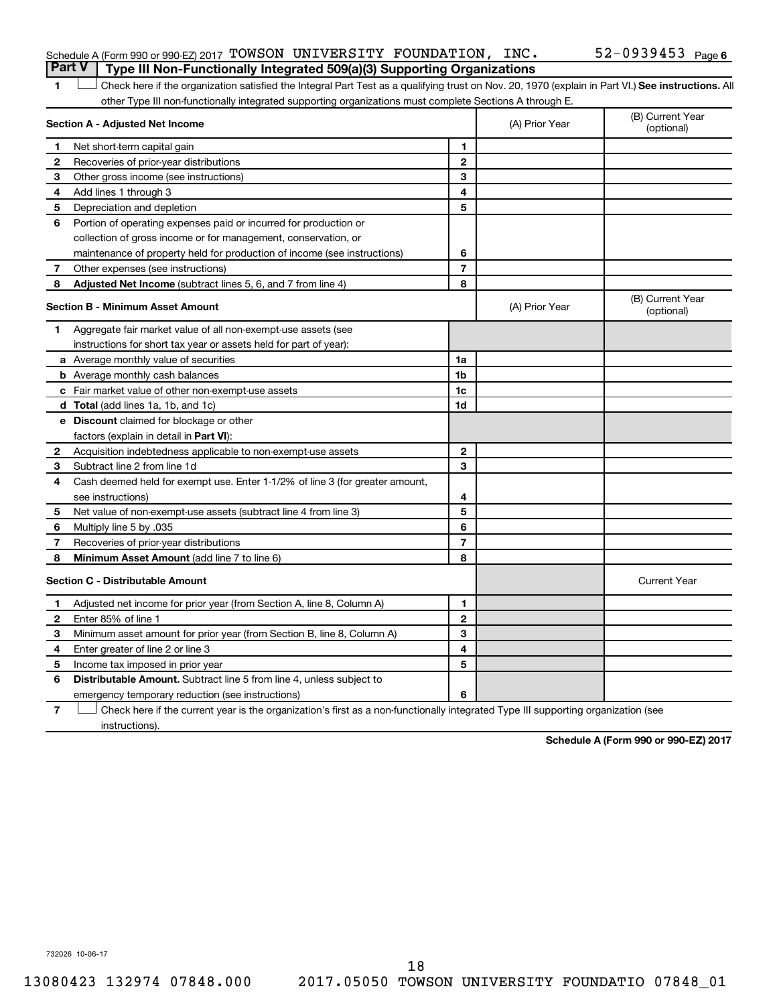| <b>Part V</b> Type III Non-Functionally Integrated 509(a)(3) Supporting Organizations |  |  |                       |  |
|---------------------------------------------------------------------------------------|--|--|-----------------------|--|
| Schedule A (Form 990 or 990-EZ) 2017 TOWSON UNIVERSITY FOUNDATION, INC.               |  |  | $52 - 0939453$ Page 6 |  |

1 Check here if the organization satisfied the Integral Part Test as a qualifying trust on Nov. 20, 1970 (explain in Part VI.) See instructions. All other Type III non-functionally integrated supporting organizations must complete Sections A through E.

|              | Section A - Adjusted Net Income                                              |                | (A) Prior Year | (B) Current Year<br>(optional) |
|--------------|------------------------------------------------------------------------------|----------------|----------------|--------------------------------|
| 1            | Net short-term capital gain                                                  | 1              |                |                                |
| $\mathbf{2}$ | Recoveries of prior-year distributions                                       | $\mathbf{2}$   |                |                                |
| 3            | Other gross income (see instructions)                                        | 3              |                |                                |
| 4            | Add lines 1 through 3                                                        | 4              |                |                                |
| 5            | Depreciation and depletion                                                   | 5              |                |                                |
| 6            | Portion of operating expenses paid or incurred for production or             |                |                |                                |
|              | collection of gross income or for management, conservation, or               |                |                |                                |
|              | maintenance of property held for production of income (see instructions)     | 6              |                |                                |
| 7            | Other expenses (see instructions)                                            | $\overline{7}$ |                |                                |
| 8            | Adjusted Net Income (subtract lines 5, 6, and 7 from line 4)                 | 8              |                |                                |
|              | <b>Section B - Minimum Asset Amount</b>                                      |                | (A) Prior Year | (B) Current Year<br>(optional) |
| 1.           | Aggregate fair market value of all non-exempt-use assets (see                |                |                |                                |
|              | instructions for short tax year or assets held for part of year):            |                |                |                                |
|              | <b>a</b> Average monthly value of securities                                 | 1a             |                |                                |
|              | <b>b</b> Average monthly cash balances                                       | 1 <sub>b</sub> |                |                                |
|              | <b>c</b> Fair market value of other non-exempt-use assets                    | 1c             |                |                                |
|              | d Total (add lines 1a, 1b, and 1c)                                           | 1d             |                |                                |
|              | e Discount claimed for blockage or other                                     |                |                |                                |
|              | factors (explain in detail in Part VI):                                      |                |                |                                |
| 2            | Acquisition indebtedness applicable to non-exempt-use assets                 | $\mathbf{2}$   |                |                                |
| 3            | Subtract line 2 from line 1d                                                 | 3              |                |                                |
| 4            | Cash deemed held for exempt use. Enter 1-1/2% of line 3 (for greater amount, |                |                |                                |
|              | see instructions)                                                            | 4              |                |                                |
| 5            | Net value of non-exempt-use assets (subtract line 4 from line 3)             | 5              |                |                                |
| 6            | Multiply line 5 by .035                                                      | 6              |                |                                |
| 7            | Recoveries of prior-year distributions                                       | $\overline{7}$ |                |                                |
| 8            | <b>Minimum Asset Amount (add line 7 to line 6)</b>                           | 8              |                |                                |
|              | <b>Section C - Distributable Amount</b>                                      |                |                | <b>Current Year</b>            |
| 1            | Adjusted net income for prior year (from Section A, line 8, Column A)        | 1              |                |                                |
| $\mathbf{2}$ | Enter 85% of line 1                                                          | $\mathbf{2}$   |                |                                |
| 3            | Minimum asset amount for prior year (from Section B, line 8, Column A)       | 3              |                |                                |
| 4            | Enter greater of line 2 or line 3                                            | 4              |                |                                |
| 5            | Income tax imposed in prior year                                             | 5              |                |                                |
| 6            | <b>Distributable Amount.</b> Subtract line 5 from line 4, unless subject to  |                |                |                                |
|              | emergency temporary reduction (see instructions)                             | 6              |                |                                |
|              |                                                                              |                |                |                                |

**7** Check here if the current year is the organization's first as a non-functionally integrated Type III supporting organization (see instructions).

**Schedule A (Form 990 or 990-EZ) 2017**

732026 10-06-17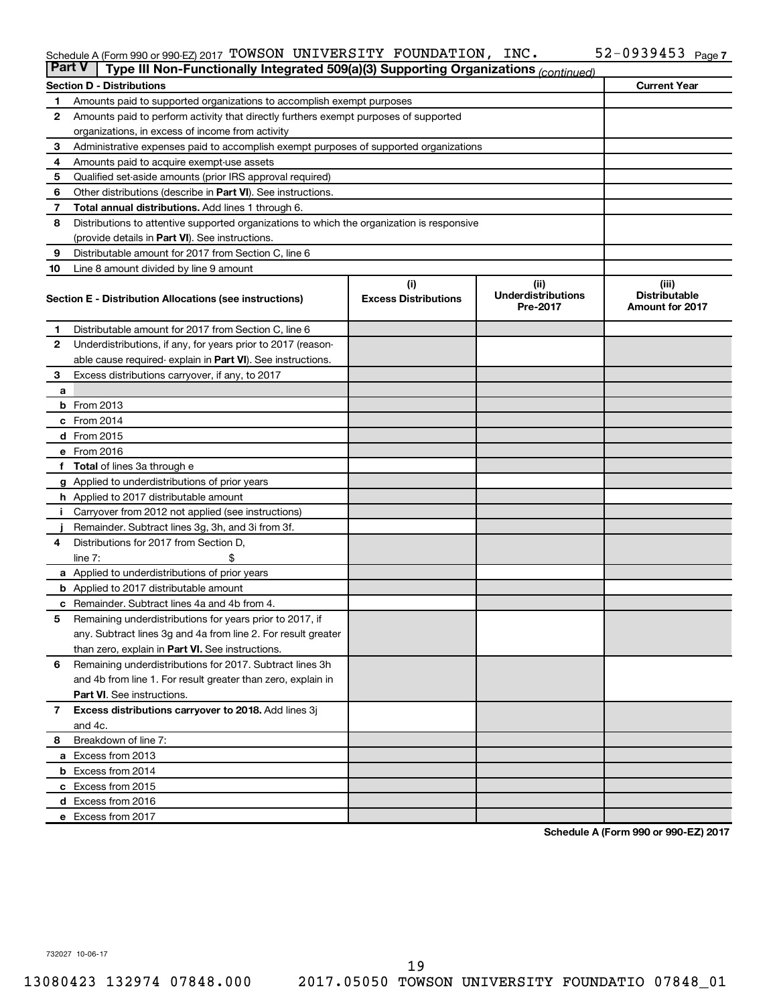#### Schedule A (Form 990 or 990-EZ) 2017 'I'OWSON UNIVERSITY FOUNDATION,INC。 52-U939453 Page TOWSON UNIVERSITY FOUNDATION, INC. 52-0939453

| Part V | Type III Non-Functionally Integrated 509(a)(3) Supporting Organizations (continued)        |                                    |                                               |                                                         |  |  |  |  |  |  |  |
|--------|--------------------------------------------------------------------------------------------|------------------------------------|-----------------------------------------------|---------------------------------------------------------|--|--|--|--|--|--|--|
|        | <b>Section D - Distributions</b>                                                           |                                    |                                               | <b>Current Year</b>                                     |  |  |  |  |  |  |  |
| 1.     | Amounts paid to supported organizations to accomplish exempt purposes                      |                                    |                                               |                                                         |  |  |  |  |  |  |  |
| 2      | Amounts paid to perform activity that directly furthers exempt purposes of supported       |                                    |                                               |                                                         |  |  |  |  |  |  |  |
|        | organizations, in excess of income from activity                                           |                                    |                                               |                                                         |  |  |  |  |  |  |  |
| З      | Administrative expenses paid to accomplish exempt purposes of supported organizations      |                                    |                                               |                                                         |  |  |  |  |  |  |  |
| 4      | Amounts paid to acquire exempt-use assets                                                  |                                    |                                               |                                                         |  |  |  |  |  |  |  |
| 5      | Qualified set-aside amounts (prior IRS approval required)                                  |                                    |                                               |                                                         |  |  |  |  |  |  |  |
| 6      | Other distributions (describe in <b>Part VI</b> ). See instructions.                       |                                    |                                               |                                                         |  |  |  |  |  |  |  |
| 7      | <b>Total annual distributions.</b> Add lines 1 through 6.                                  |                                    |                                               |                                                         |  |  |  |  |  |  |  |
| 8      | Distributions to attentive supported organizations to which the organization is responsive |                                    |                                               |                                                         |  |  |  |  |  |  |  |
|        | (provide details in Part VI). See instructions.                                            |                                    |                                               |                                                         |  |  |  |  |  |  |  |
| 9      | Distributable amount for 2017 from Section C, line 6                                       |                                    |                                               |                                                         |  |  |  |  |  |  |  |
| 10     | Line 8 amount divided by line 9 amount                                                     |                                    |                                               |                                                         |  |  |  |  |  |  |  |
|        | Section E - Distribution Allocations (see instructions)                                    | (i)<br><b>Excess Distributions</b> | (ii)<br><b>Underdistributions</b><br>Pre-2017 | (iii)<br><b>Distributable</b><br><b>Amount for 2017</b> |  |  |  |  |  |  |  |
| 1.     | Distributable amount for 2017 from Section C, line 6                                       |                                    |                                               |                                                         |  |  |  |  |  |  |  |
| 2      | Underdistributions, if any, for years prior to 2017 (reason-                               |                                    |                                               |                                                         |  |  |  |  |  |  |  |
|        | able cause required-explain in Part VI). See instructions.                                 |                                    |                                               |                                                         |  |  |  |  |  |  |  |
| З      | Excess distributions carryover, if any, to 2017                                            |                                    |                                               |                                                         |  |  |  |  |  |  |  |
| a      |                                                                                            |                                    |                                               |                                                         |  |  |  |  |  |  |  |
|        | $b$ From 2013                                                                              |                                    |                                               |                                                         |  |  |  |  |  |  |  |
|        | $c$ From 2014                                                                              |                                    |                                               |                                                         |  |  |  |  |  |  |  |
|        | d From 2015                                                                                |                                    |                                               |                                                         |  |  |  |  |  |  |  |
|        | e From 2016                                                                                |                                    |                                               |                                                         |  |  |  |  |  |  |  |
|        | f Total of lines 3a through e                                                              |                                    |                                               |                                                         |  |  |  |  |  |  |  |
|        | <b>g</b> Applied to underdistributions of prior years                                      |                                    |                                               |                                                         |  |  |  |  |  |  |  |
|        | <b>h</b> Applied to 2017 distributable amount                                              |                                    |                                               |                                                         |  |  |  |  |  |  |  |
| Ť.     | Carryover from 2012 not applied (see instructions)                                         |                                    |                                               |                                                         |  |  |  |  |  |  |  |
|        | Remainder. Subtract lines 3g, 3h, and 3i from 3f.                                          |                                    |                                               |                                                         |  |  |  |  |  |  |  |
| 4      | Distributions for 2017 from Section D,                                                     |                                    |                                               |                                                         |  |  |  |  |  |  |  |
|        | line $7:$                                                                                  |                                    |                                               |                                                         |  |  |  |  |  |  |  |
|        | <b>a</b> Applied to underdistributions of prior years                                      |                                    |                                               |                                                         |  |  |  |  |  |  |  |
|        | <b>b</b> Applied to 2017 distributable amount                                              |                                    |                                               |                                                         |  |  |  |  |  |  |  |
|        | <b>c</b> Remainder. Subtract lines 4a and 4b from 4.                                       |                                    |                                               |                                                         |  |  |  |  |  |  |  |
| 5      | Remaining underdistributions for years prior to 2017, if                                   |                                    |                                               |                                                         |  |  |  |  |  |  |  |
|        | any. Subtract lines 3g and 4a from line 2. For result greater                              |                                    |                                               |                                                         |  |  |  |  |  |  |  |
|        | than zero, explain in Part VI. See instructions.                                           |                                    |                                               |                                                         |  |  |  |  |  |  |  |
| 6      | Remaining underdistributions for 2017. Subtract lines 3h                                   |                                    |                                               |                                                         |  |  |  |  |  |  |  |
|        | and 4b from line 1. For result greater than zero, explain in                               |                                    |                                               |                                                         |  |  |  |  |  |  |  |
|        | <b>Part VI.</b> See instructions.                                                          |                                    |                                               |                                                         |  |  |  |  |  |  |  |
| 7      | Excess distributions carryover to 2018. Add lines 3j                                       |                                    |                                               |                                                         |  |  |  |  |  |  |  |
|        | and 4c.                                                                                    |                                    |                                               |                                                         |  |  |  |  |  |  |  |
| 8      | Breakdown of line 7:                                                                       |                                    |                                               |                                                         |  |  |  |  |  |  |  |
|        | a Excess from 2013                                                                         |                                    |                                               |                                                         |  |  |  |  |  |  |  |
|        | <b>b</b> Excess from 2014                                                                  |                                    |                                               |                                                         |  |  |  |  |  |  |  |
|        | c Excess from 2015                                                                         |                                    |                                               |                                                         |  |  |  |  |  |  |  |
|        | d Excess from 2016                                                                         |                                    |                                               |                                                         |  |  |  |  |  |  |  |
|        | e Excess from 2017                                                                         |                                    |                                               |                                                         |  |  |  |  |  |  |  |

**Schedule A (Form 990 or 990-EZ) 2017**

732027 10-06-17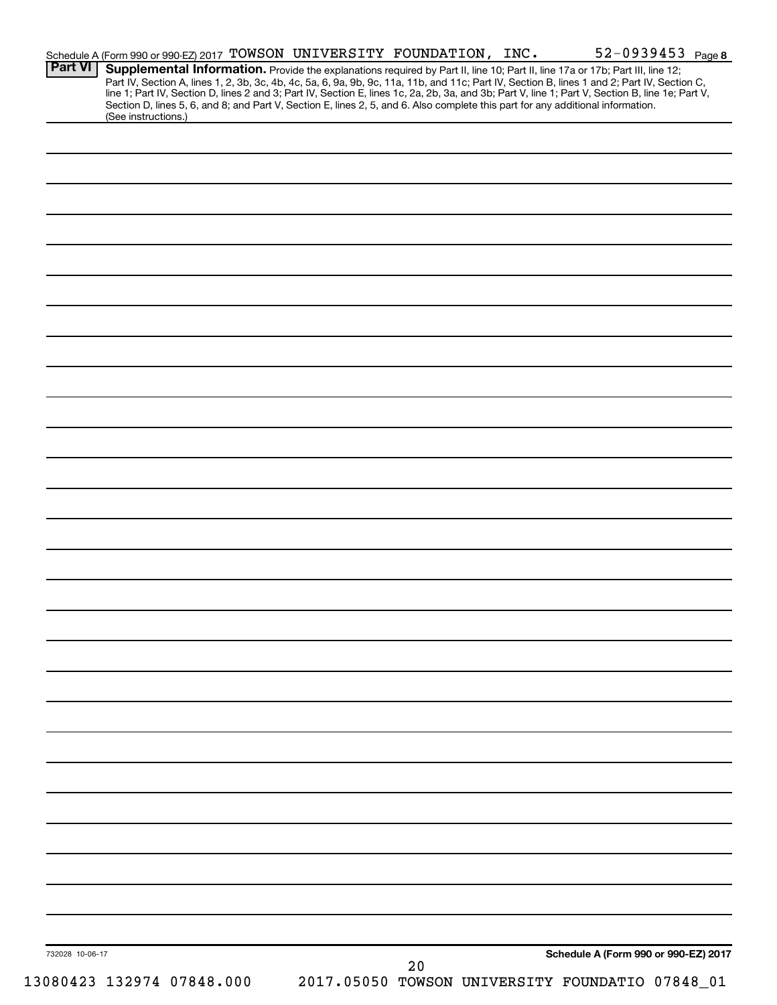| <b>Part VI</b>  | Schedule A (Form 990 or 990-EZ) 2017 TOWSON UNIVERSITY FOUNDATION, INC.<br>Supplemental Information. Provide the explanations required by Part II, line 10; Part II, line 17a or 17b; Part III, line 12;                                                                            |    | $52 - 0939453$ Page 8                           |
|-----------------|-------------------------------------------------------------------------------------------------------------------------------------------------------------------------------------------------------------------------------------------------------------------------------------|----|-------------------------------------------------|
|                 | Part IV, Section A, lines 1, 2, 3b, 3c, 4b, 4c, 5a, 6, 9a, 9b, 9c, 11a, 11b, and 11c; Part IV, Section B, lines 1 and 2; Part IV, Section C,                                                                                                                                        |    |                                                 |
|                 | line 1; Part IV, Section D, lines 2 and 3; Part IV, Section E, lines 1c, 2a, 2b, 3a, and 3b; Part V, line 1; Part V, Section B, line 1e; Part V,<br>Section D, lines 5, 6, and 8; and Part V, Section E, lines 2, 5, and 6. Also complete this part for any additional information. |    |                                                 |
|                 | (See instructions.)                                                                                                                                                                                                                                                                 |    |                                                 |
|                 |                                                                                                                                                                                                                                                                                     |    |                                                 |
|                 |                                                                                                                                                                                                                                                                                     |    |                                                 |
|                 |                                                                                                                                                                                                                                                                                     |    |                                                 |
|                 |                                                                                                                                                                                                                                                                                     |    |                                                 |
|                 |                                                                                                                                                                                                                                                                                     |    |                                                 |
|                 |                                                                                                                                                                                                                                                                                     |    |                                                 |
|                 |                                                                                                                                                                                                                                                                                     |    |                                                 |
|                 |                                                                                                                                                                                                                                                                                     |    |                                                 |
|                 |                                                                                                                                                                                                                                                                                     |    |                                                 |
|                 |                                                                                                                                                                                                                                                                                     |    |                                                 |
|                 |                                                                                                                                                                                                                                                                                     |    |                                                 |
|                 |                                                                                                                                                                                                                                                                                     |    |                                                 |
|                 |                                                                                                                                                                                                                                                                                     |    |                                                 |
|                 |                                                                                                                                                                                                                                                                                     |    |                                                 |
|                 |                                                                                                                                                                                                                                                                                     |    |                                                 |
|                 |                                                                                                                                                                                                                                                                                     |    |                                                 |
|                 |                                                                                                                                                                                                                                                                                     |    |                                                 |
|                 |                                                                                                                                                                                                                                                                                     |    |                                                 |
|                 |                                                                                                                                                                                                                                                                                     |    |                                                 |
|                 |                                                                                                                                                                                                                                                                                     |    |                                                 |
|                 |                                                                                                                                                                                                                                                                                     |    |                                                 |
|                 |                                                                                                                                                                                                                                                                                     |    |                                                 |
|                 |                                                                                                                                                                                                                                                                                     |    |                                                 |
|                 |                                                                                                                                                                                                                                                                                     |    |                                                 |
|                 |                                                                                                                                                                                                                                                                                     |    |                                                 |
|                 |                                                                                                                                                                                                                                                                                     |    |                                                 |
|                 |                                                                                                                                                                                                                                                                                     |    |                                                 |
|                 |                                                                                                                                                                                                                                                                                     |    |                                                 |
|                 |                                                                                                                                                                                                                                                                                     |    |                                                 |
|                 |                                                                                                                                                                                                                                                                                     |    |                                                 |
|                 |                                                                                                                                                                                                                                                                                     |    |                                                 |
|                 |                                                                                                                                                                                                                                                                                     |    |                                                 |
|                 |                                                                                                                                                                                                                                                                                     |    |                                                 |
|                 |                                                                                                                                                                                                                                                                                     |    |                                                 |
|                 |                                                                                                                                                                                                                                                                                     |    |                                                 |
|                 |                                                                                                                                                                                                                                                                                     |    |                                                 |
|                 |                                                                                                                                                                                                                                                                                     |    |                                                 |
|                 |                                                                                                                                                                                                                                                                                     |    |                                                 |
|                 |                                                                                                                                                                                                                                                                                     |    |                                                 |
|                 |                                                                                                                                                                                                                                                                                     |    |                                                 |
|                 |                                                                                                                                                                                                                                                                                     |    |                                                 |
|                 |                                                                                                                                                                                                                                                                                     |    |                                                 |
|                 |                                                                                                                                                                                                                                                                                     |    |                                                 |
|                 |                                                                                                                                                                                                                                                                                     |    |                                                 |
|                 |                                                                                                                                                                                                                                                                                     |    |                                                 |
|                 |                                                                                                                                                                                                                                                                                     |    |                                                 |
|                 |                                                                                                                                                                                                                                                                                     |    |                                                 |
|                 |                                                                                                                                                                                                                                                                                     |    |                                                 |
|                 |                                                                                                                                                                                                                                                                                     |    |                                                 |
|                 |                                                                                                                                                                                                                                                                                     |    |                                                 |
|                 |                                                                                                                                                                                                                                                                                     |    |                                                 |
|                 |                                                                                                                                                                                                                                                                                     |    |                                                 |
|                 |                                                                                                                                                                                                                                                                                     |    |                                                 |
| 732028 10-06-17 |                                                                                                                                                                                                                                                                                     | 20 | Schedule A (Form 990 or 990-EZ) 2017            |
|                 | 13080423 132974 07848.000                                                                                                                                                                                                                                                           |    | 2017.05050 TOWSON UNIVERSITY FOUNDATIO 07848_01 |
|                 |                                                                                                                                                                                                                                                                                     |    |                                                 |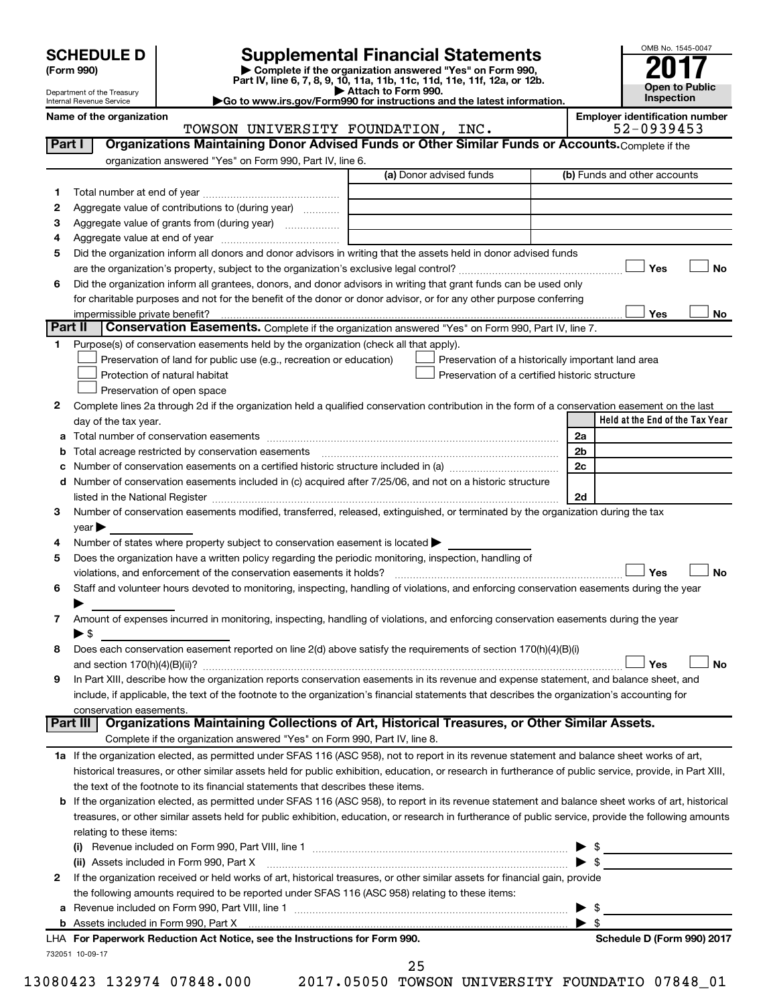| (Form 990) |  |
|------------|--|
|------------|--|

# **SCHEDULE D Supplemental Financial Statements**<br>(Form 990) **2017 Complete if the organization answered** "Yes" on Form 990, **2017**

**(Form 990) | Complete if the organization answered "Yes" on Form 990, Part IV, line 6, 7, 8, 9, 10, 11a, 11b, 11c, 11d, 11e, 11f, 12a, or 12b.**



Department of the Treasury Internal Revenue Service

**| Attach to Form 990. |Go to www.irs.gov/Form990 for instructions and the latest information. Name of the organization Employer identification number**

|         | TOWSON UNIVERSITY FOUNDATION, INC.                                                                                                                        |                         |                                                | 52-0939453                                         |
|---------|-----------------------------------------------------------------------------------------------------------------------------------------------------------|-------------------------|------------------------------------------------|----------------------------------------------------|
| Part I  | Organizations Maintaining Donor Advised Funds or Other Similar Funds or Accounts. Complete if the                                                         |                         |                                                |                                                    |
|         | organization answered "Yes" on Form 990, Part IV, line 6.                                                                                                 |                         |                                                |                                                    |
|         |                                                                                                                                                           | (a) Donor advised funds |                                                | (b) Funds and other accounts                       |
| 1       |                                                                                                                                                           |                         |                                                |                                                    |
| 2       | Aggregate value of contributions to (during year)                                                                                                         |                         |                                                |                                                    |
| з       | Aggregate value of grants from (during year)                                                                                                              |                         |                                                |                                                    |
| 4       |                                                                                                                                                           |                         |                                                |                                                    |
| 5       | Did the organization inform all donors and donor advisors in writing that the assets held in donor advised funds                                          |                         |                                                |                                                    |
|         |                                                                                                                                                           |                         |                                                | Yes<br>No                                          |
| 6       | Did the organization inform all grantees, donors, and donor advisors in writing that grant funds can be used only                                         |                         |                                                |                                                    |
|         | for charitable purposes and not for the benefit of the donor or donor advisor, or for any other purpose conferring                                        |                         |                                                |                                                    |
|         | impermissible private benefit?                                                                                                                            |                         |                                                | Yes<br>No                                          |
| Part II | Conservation Easements. Complete if the organization answered "Yes" on Form 990, Part IV, line 7.                                                         |                         |                                                |                                                    |
| 1.      | Purpose(s) of conservation easements held by the organization (check all that apply).                                                                     |                         |                                                |                                                    |
|         | Preservation of land for public use (e.g., recreation or education)                                                                                       |                         |                                                | Preservation of a historically important land area |
|         | Protection of natural habitat                                                                                                                             |                         | Preservation of a certified historic structure |                                                    |
|         | Preservation of open space                                                                                                                                |                         |                                                |                                                    |
| 2       | Complete lines 2a through 2d if the organization held a qualified conservation contribution in the form of a conservation easement on the last            |                         |                                                |                                                    |
|         | day of the tax year.                                                                                                                                      |                         |                                                | Held at the End of the Tax Year                    |
|         |                                                                                                                                                           |                         |                                                | 2a                                                 |
|         | Total acreage restricted by conservation easements                                                                                                        |                         |                                                | 2 <sub>b</sub>                                     |
|         |                                                                                                                                                           |                         |                                                | 2c                                                 |
|         | d Number of conservation easements included in (c) acquired after 7/25/06, and not on a historic structure                                                |                         |                                                |                                                    |
|         |                                                                                                                                                           |                         |                                                | 2d                                                 |
| 3       | Number of conservation easements modified, transferred, released, extinguished, or terminated by the organization during the tax                          |                         |                                                |                                                    |
|         | year                                                                                                                                                      |                         |                                                |                                                    |
| 4       | Number of states where property subject to conservation easement is located >                                                                             |                         |                                                |                                                    |
| 5       | Does the organization have a written policy regarding the periodic monitoring, inspection, handling of                                                    |                         |                                                |                                                    |
|         | violations, and enforcement of the conservation easements it holds?                                                                                       |                         |                                                | Yes<br><b>No</b>                                   |
| 6       | Staff and volunteer hours devoted to monitoring, inspecting, handling of violations, and enforcing conservation easements during the year                 |                         |                                                |                                                    |
|         |                                                                                                                                                           |                         |                                                |                                                    |
| 7       | Amount of expenses incurred in monitoring, inspecting, handling of violations, and enforcing conservation easements during the year                       |                         |                                                |                                                    |
|         | ► \$                                                                                                                                                      |                         |                                                |                                                    |
| 8       | Does each conservation easement reported on line 2(d) above satisfy the requirements of section 170(h)(4)(B)(i)                                           |                         |                                                |                                                    |
|         |                                                                                                                                                           |                         |                                                | Yes<br>No                                          |
| 9       | In Part XIII, describe how the organization reports conservation easements in its revenue and expense statement, and balance sheet, and                   |                         |                                                |                                                    |
|         | include, if applicable, the text of the footnote to the organization's financial statements that describes the organization's accounting for              |                         |                                                |                                                    |
|         | conservation easements.                                                                                                                                   |                         |                                                |                                                    |
|         | Organizations Maintaining Collections of Art, Historical Treasures, or Other Similar Assets.<br>Part III                                                  |                         |                                                |                                                    |
|         | Complete if the organization answered "Yes" on Form 990, Part IV, line 8.                                                                                 |                         |                                                |                                                    |
|         | 1a If the organization elected, as permitted under SFAS 116 (ASC 958), not to report in its revenue statement and balance sheet works of art,             |                         |                                                |                                                    |
|         | historical treasures, or other similar assets held for public exhibition, education, or research in furtherance of public service, provide, in Part XIII, |                         |                                                |                                                    |
|         | the text of the footnote to its financial statements that describes these items.                                                                          |                         |                                                |                                                    |
|         | b If the organization elected, as permitted under SFAS 116 (ASC 958), to report in its revenue statement and balance sheet works of art, historical       |                         |                                                |                                                    |
|         | treasures, or other similar assets held for public exhibition, education, or research in furtherance of public service, provide the following amounts     |                         |                                                |                                                    |
|         | relating to these items:                                                                                                                                  |                         |                                                |                                                    |
|         |                                                                                                                                                           |                         |                                                |                                                    |
|         | (ii) Assets included in Form 990, Part X                                                                                                                  |                         |                                                |                                                    |
| 2       | If the organization received or held works of art, historical treasures, or other similar assets for financial gain, provide                              |                         |                                                | $\triangleright$ \$                                |
|         | the following amounts required to be reported under SFAS 116 (ASC 958) relating to these items:                                                           |                         |                                                |                                                    |
| a       |                                                                                                                                                           |                         |                                                | \$                                                 |
| b       |                                                                                                                                                           |                         |                                                | ▶<br>$\blacktriangleright$ s                       |
|         | LHA For Paperwork Reduction Act Notice, see the Instructions for Form 990.                                                                                |                         |                                                | Schedule D (Form 990) 2017                         |
|         | 732051 10-09-17                                                                                                                                           |                         |                                                |                                                    |
|         |                                                                                                                                                           |                         |                                                |                                                    |

25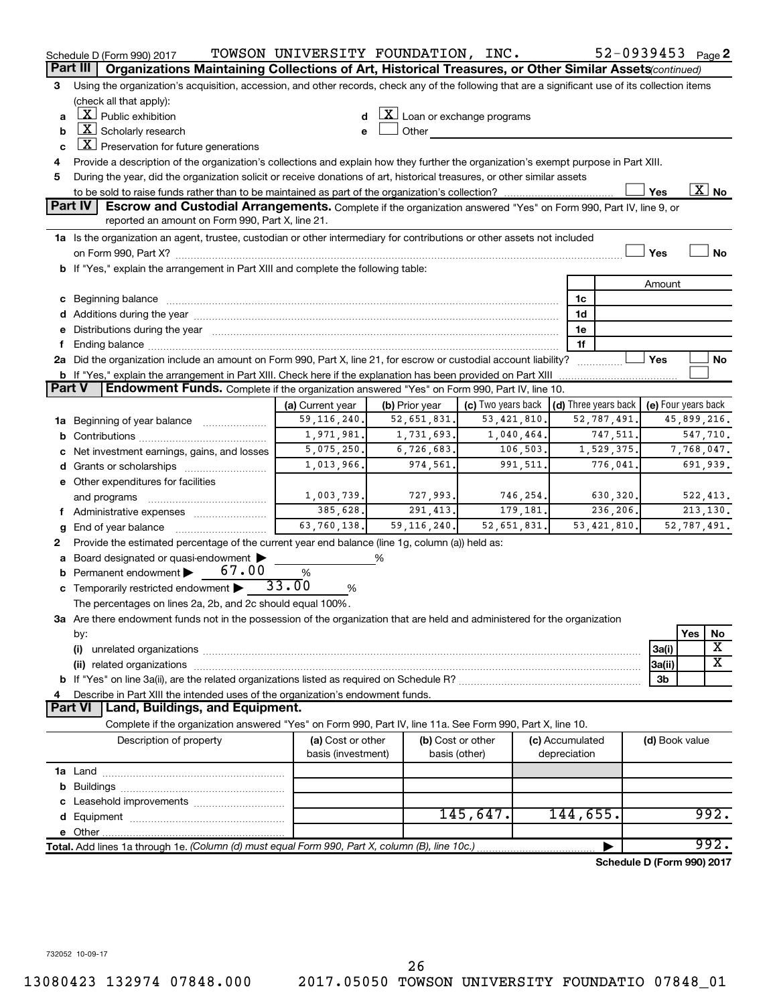|               | Schedule D (Form 990) 2017                                                                                                                                                                                                     | TOWSON UNIVERSITY FOUNDATION, INC.      |                                                           |                                    |          |                                 | 52-0939453 Page 2          |                     |             |                       |
|---------------|--------------------------------------------------------------------------------------------------------------------------------------------------------------------------------------------------------------------------------|-----------------------------------------|-----------------------------------------------------------|------------------------------------|----------|---------------------------------|----------------------------|---------------------|-------------|-----------------------|
|               | Organizations Maintaining Collections of Art, Historical Treasures, or Other Similar Assets (continued)<br>Part III                                                                                                            |                                         |                                                           |                                    |          |                                 |                            |                     |             |                       |
| 3             | Using the organization's acquisition, accession, and other records, check any of the following that are a significant use of its collection items                                                                              |                                         |                                                           |                                    |          |                                 |                            |                     |             |                       |
|               | (check all that apply):                                                                                                                                                                                                        |                                         |                                                           |                                    |          |                                 |                            |                     |             |                       |
| a             | $\lfloor x \rfloor$ Public exhibition                                                                                                                                                                                          |                                         | $\lfloor \underline{X} \rfloor$ Loan or exchange programs |                                    |          |                                 |                            |                     |             |                       |
| b             | $X$ Scholarly research                                                                                                                                                                                                         |                                         | Other                                                     |                                    |          |                                 |                            |                     |             |                       |
| C             | $ \underline{X} $ Preservation for future generations                                                                                                                                                                          |                                         |                                                           |                                    |          |                                 |                            |                     |             |                       |
| 4             | Provide a description of the organization's collections and explain how they further the organization's exempt purpose in Part XIII.                                                                                           |                                         |                                                           |                                    |          |                                 |                            |                     |             |                       |
| 5             | During the year, did the organization solicit or receive donations of art, historical treasures, or other similar assets                                                                                                       |                                         |                                                           |                                    |          |                                 |                            |                     |             |                       |
|               |                                                                                                                                                                                                                                |                                         |                                                           |                                    |          |                                 |                            | Yes                 |             | $\boxed{\text{X}}$ No |
|               | Part IV<br>Escrow and Custodial Arrangements. Complete if the organization answered "Yes" on Form 990, Part IV, line 9, or                                                                                                     |                                         |                                                           |                                    |          |                                 |                            |                     |             |                       |
|               | reported an amount on Form 990, Part X, line 21.                                                                                                                                                                               |                                         |                                                           |                                    |          |                                 |                            |                     |             |                       |
|               | 1a Is the organization an agent, trustee, custodian or other intermediary for contributions or other assets not included                                                                                                       |                                         |                                                           |                                    |          |                                 |                            |                     |             |                       |
|               |                                                                                                                                                                                                                                |                                         |                                                           |                                    |          |                                 |                            | Yes                 |             | <b>No</b>             |
|               | b If "Yes," explain the arrangement in Part XIII and complete the following table:                                                                                                                                             |                                         |                                                           |                                    |          |                                 |                            |                     |             |                       |
|               |                                                                                                                                                                                                                                |                                         |                                                           |                                    |          |                                 |                            | Amount              |             |                       |
|               | c Beginning balance measurements and the contract of the contract of the contract of the contract of the contract of the contract of the contract of the contract of the contract of the contract of the contract of the contr |                                         |                                                           |                                    |          | 1c<br>1d                        |                            |                     |             |                       |
|               |                                                                                                                                                                                                                                |                                         |                                                           |                                    |          | 1e                              |                            |                     |             |                       |
| f.            | e Distributions during the year manufactured and continuum and contact the year manufactured and contact the year manufactured and contact the year manufactured and contact the year manufactured and contact the year manufa |                                         |                                                           |                                    |          | 1f                              |                            |                     |             |                       |
|               | 2a Did the organization include an amount on Form 990, Part X, line 21, for escrow or custodial account liability?                                                                                                             |                                         |                                                           |                                    |          |                                 | .                          | Yes                 |             | No                    |
|               | <b>b</b> If "Yes," explain the arrangement in Part XIII. Check here if the explanation has been provided on Part XIII                                                                                                          |                                         |                                                           |                                    |          |                                 |                            |                     |             |                       |
| <b>Part V</b> | Endowment Funds. Complete if the organization answered "Yes" on Form 990, Part IV, line 10.                                                                                                                                    |                                         |                                                           |                                    |          |                                 |                            |                     |             |                       |
|               |                                                                                                                                                                                                                                | (a) Current year                        | (b) Prior year                                            | (c) Two years back                 |          |                                 | (d) Three years back       | (e) Four years back |             |                       |
|               | 1a Beginning of year balance                                                                                                                                                                                                   | 59, 116, 240.                           | 52,651,831.                                               | 53,421,810                         |          |                                 | 52,787,491.                |                     | 45,899,216. |                       |
|               |                                                                                                                                                                                                                                | 1,971,981.                              | 1,731,693.                                                | 1,040,464.                         |          |                                 | 747,511.                   |                     | 547,710.    |                       |
|               | c Net investment earnings, gains, and losses                                                                                                                                                                                   | 5,075,250.                              | 6,726,683.                                                |                                    | 106,503. |                                 | 1,529,375.                 |                     | 7,768,047.  |                       |
|               |                                                                                                                                                                                                                                | 1,013,966.                              | 974,561.                                                  |                                    | 991,511. |                                 | 776,041.                   |                     | 691,939.    |                       |
|               | e Other expenditures for facilities                                                                                                                                                                                            |                                         |                                                           |                                    |          |                                 |                            |                     |             |                       |
|               | and programs                                                                                                                                                                                                                   | 1,003,739.                              | 727,993.                                                  |                                    | 746,254. |                                 | 630,320.                   |                     | 522,413.    |                       |
|               | f Administrative expenses                                                                                                                                                                                                      | 385,628.                                | 291, 413.                                                 |                                    | 179,181. |                                 | 236,206.                   |                     | 213,130.    |                       |
| g             |                                                                                                                                                                                                                                | 63,760,138.                             | 59, 116, 240.                                             | 52,651,831.                        |          |                                 | 53,421,810.                |                     | 52,787,491. |                       |
| 2             | Provide the estimated percentage of the current year end balance (line 1g, column (a)) held as:                                                                                                                                |                                         |                                                           |                                    |          |                                 |                            |                     |             |                       |
|               | a Board designated or quasi-endowment                                                                                                                                                                                          |                                         | %                                                         |                                    |          |                                 |                            |                     |             |                       |
| b             | 67.00<br>Permanent endowment                                                                                                                                                                                                   | %                                       |                                                           |                                    |          |                                 |                            |                     |             |                       |
|               | <b>c</b> Temporarily restricted endowment $\blacktriangleright$                                                                                                                                                                | 33.00<br>%                              |                                                           |                                    |          |                                 |                            |                     |             |                       |
|               | The percentages on lines 2a, 2b, and 2c should equal 100%.                                                                                                                                                                     |                                         |                                                           |                                    |          |                                 |                            |                     |             |                       |
|               | 3a Are there endowment funds not in the possession of the organization that are held and administered for the organization                                                                                                     |                                         |                                                           |                                    |          |                                 |                            |                     |             |                       |
|               | by:                                                                                                                                                                                                                            |                                         |                                                           |                                    |          |                                 |                            |                     | Yes         | No                    |
|               | (i)                                                                                                                                                                                                                            |                                         |                                                           |                                    |          |                                 |                            | 3a(i)               |             | х                     |
|               |                                                                                                                                                                                                                                |                                         |                                                           |                                    |          |                                 |                            | 3a(ii)              |             | X                     |
|               |                                                                                                                                                                                                                                |                                         |                                                           |                                    |          |                                 |                            | 3b                  |             |                       |
| 4             | Describe in Part XIII the intended uses of the organization's endowment funds.<br>Land, Buildings, and Equipment.<br>Part VI                                                                                                   |                                         |                                                           |                                    |          |                                 |                            |                     |             |                       |
|               | Complete if the organization answered "Yes" on Form 990, Part IV, line 11a. See Form 990, Part X, line 10.                                                                                                                     |                                         |                                                           |                                    |          |                                 |                            |                     |             |                       |
|               |                                                                                                                                                                                                                                |                                         |                                                           |                                    |          |                                 |                            |                     |             |                       |
|               | Description of property                                                                                                                                                                                                        | (a) Cost or other<br>basis (investment) |                                                           | (b) Cost or other<br>basis (other) |          | (c) Accumulated<br>depreciation |                            | (d) Book value      |             |                       |
|               |                                                                                                                                                                                                                                |                                         |                                                           |                                    |          |                                 |                            |                     |             |                       |
|               |                                                                                                                                                                                                                                |                                         |                                                           |                                    |          |                                 |                            |                     |             |                       |
| c             | Leasehold improvements                                                                                                                                                                                                         |                                         |                                                           |                                    |          |                                 |                            |                     |             |                       |
|               |                                                                                                                                                                                                                                |                                         |                                                           | 145,647.                           |          | 144,655.                        |                            |                     |             | 992.                  |
|               |                                                                                                                                                                                                                                |                                         |                                                           |                                    |          |                                 |                            |                     |             |                       |
|               | Total. Add lines 1a through 1e. (Column (d) must equal Form 990, Part X, column (B), line 10c.)                                                                                                                                |                                         |                                                           |                                    |          |                                 |                            |                     |             | 992.                  |
|               |                                                                                                                                                                                                                                |                                         |                                                           |                                    |          |                                 | Schedule D (Form 990) 2017 |                     |             |                       |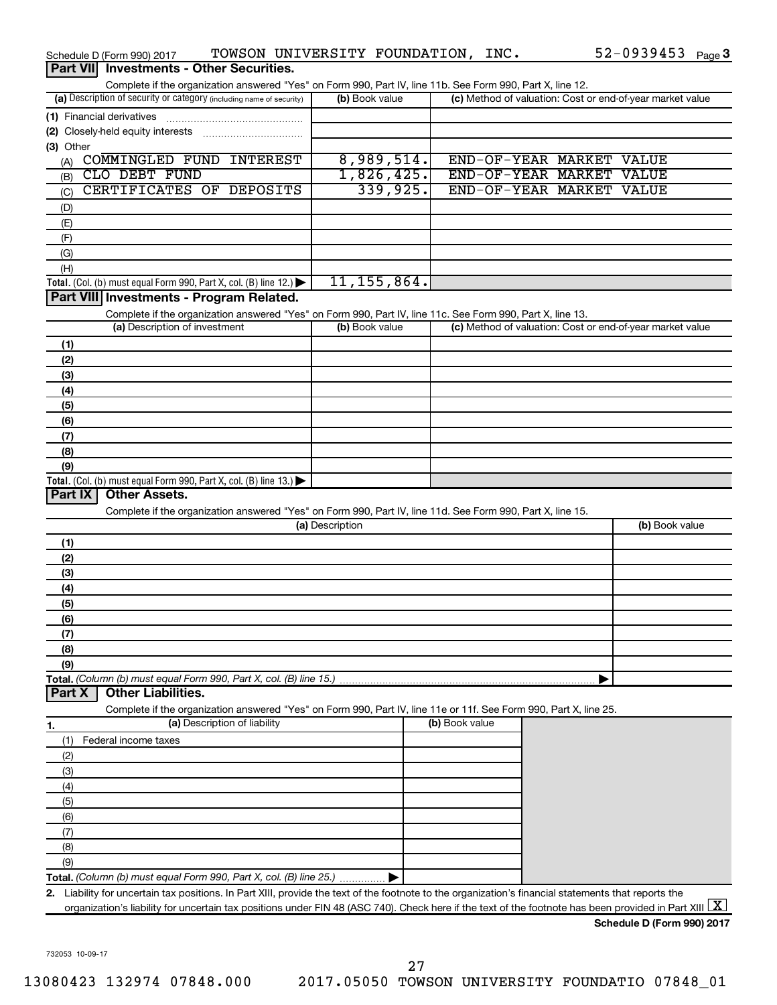|                 | Schedule D (Form 990) 2017                                                                                                                                                                   |                              | TOWSON UNIVERSITY FOUNDATION, INC. |               |                |                                                           | 52-0939453 Page 3          |  |
|-----------------|----------------------------------------------------------------------------------------------------------------------------------------------------------------------------------------------|------------------------------|------------------------------------|---------------|----------------|-----------------------------------------------------------|----------------------------|--|
| <b>Part VII</b> | <b>Investments - Other Securities.</b>                                                                                                                                                       |                              |                                    |               |                |                                                           |                            |  |
|                 | Complete if the organization answered "Yes" on Form 990, Part IV, line 11b. See Form 990, Part X, line 12.                                                                                   |                              |                                    |               |                |                                                           |                            |  |
|                 | (a) Description of security or category (including name of security)                                                                                                                         |                              | (b) Book value                     |               |                | (c) Method of valuation: Cost or end-of-year market value |                            |  |
|                 | (1) Financial derivatives                                                                                                                                                                    |                              |                                    |               |                |                                                           |                            |  |
|                 | (2) Closely-held equity interests                                                                                                                                                            |                              |                                    |               |                |                                                           |                            |  |
| (3) Other       |                                                                                                                                                                                              |                              |                                    |               |                |                                                           |                            |  |
| (A)             | COMMINGLED FUND INTEREST                                                                                                                                                                     |                              |                                    | 8,989,514.    |                | END-OF-YEAR MARKET VALUE                                  |                            |  |
| (B)             | CLO DEBT FUND                                                                                                                                                                                |                              |                                    | 1,826,425.    |                | END-OF-YEAR MARKET VALUE                                  | <b>VALUE</b>               |  |
| (C)             | CERTIFICATES OF DEPOSITS                                                                                                                                                                     |                              |                                    | 339,925.      |                | END-OF-YEAR MARKET                                        |                            |  |
| (D)             |                                                                                                                                                                                              |                              |                                    |               |                |                                                           |                            |  |
| (E)             |                                                                                                                                                                                              |                              |                                    |               |                |                                                           |                            |  |
| (F)<br>(G)      |                                                                                                                                                                                              |                              |                                    |               |                |                                                           |                            |  |
| (H)             |                                                                                                                                                                                              |                              |                                    |               |                |                                                           |                            |  |
|                 | Total. (Col. (b) must equal Form 990, Part X, col. (B) line 12.)                                                                                                                             |                              |                                    | 11, 155, 864. |                |                                                           |                            |  |
|                 | Part VIII Investments - Program Related.                                                                                                                                                     |                              |                                    |               |                |                                                           |                            |  |
|                 | Complete if the organization answered "Yes" on Form 990, Part IV, line 11c. See Form 990, Part X, line 13.                                                                                   |                              |                                    |               |                |                                                           |                            |  |
|                 | (a) Description of investment                                                                                                                                                                |                              | (b) Book value                     |               |                | (c) Method of valuation: Cost or end-of-year market value |                            |  |
| (1)             |                                                                                                                                                                                              |                              |                                    |               |                |                                                           |                            |  |
| (2)             |                                                                                                                                                                                              |                              |                                    |               |                |                                                           |                            |  |
| (3)             |                                                                                                                                                                                              |                              |                                    |               |                |                                                           |                            |  |
| (4)             |                                                                                                                                                                                              |                              |                                    |               |                |                                                           |                            |  |
| (5)             |                                                                                                                                                                                              |                              |                                    |               |                |                                                           |                            |  |
| (6)             |                                                                                                                                                                                              |                              |                                    |               |                |                                                           |                            |  |
| (7)             |                                                                                                                                                                                              |                              |                                    |               |                |                                                           |                            |  |
| (8)             |                                                                                                                                                                                              |                              |                                    |               |                |                                                           |                            |  |
| (9)             | Total. (Col. (b) must equal Form 990, Part X, col. (B) line 13.) $\blacktriangleright$                                                                                                       |                              |                                    |               |                |                                                           |                            |  |
| <b>Part IX</b>  | <b>Other Assets.</b>                                                                                                                                                                         |                              |                                    |               |                |                                                           |                            |  |
|                 | Complete if the organization answered "Yes" on Form 990, Part IV, line 11d. See Form 990, Part X, line 15.                                                                                   |                              |                                    |               |                |                                                           |                            |  |
|                 |                                                                                                                                                                                              |                              | (a) Description                    |               |                |                                                           | (b) Book value             |  |
| (1)             |                                                                                                                                                                                              |                              |                                    |               |                |                                                           |                            |  |
| (2)             |                                                                                                                                                                                              |                              |                                    |               |                |                                                           |                            |  |
| (3)             |                                                                                                                                                                                              |                              |                                    |               |                |                                                           |                            |  |
| (4)             |                                                                                                                                                                                              |                              |                                    |               |                |                                                           |                            |  |
| (5)             |                                                                                                                                                                                              |                              |                                    |               |                |                                                           |                            |  |
| (6)             |                                                                                                                                                                                              |                              |                                    |               |                |                                                           |                            |  |
| (7)             |                                                                                                                                                                                              |                              |                                    |               |                |                                                           |                            |  |
| (8)             |                                                                                                                                                                                              |                              |                                    |               |                |                                                           |                            |  |
| (9)             |                                                                                                                                                                                              |                              |                                    |               |                |                                                           |                            |  |
| <b>Part X</b>   | Total. (Column (b) must equal Form 990, Part X, col. (B) line 15.)<br><b>Other Liabilities.</b>                                                                                              |                              |                                    |               |                |                                                           |                            |  |
|                 | Complete if the organization answered "Yes" on Form 990, Part IV, line 11e or 11f. See Form 990, Part X, line 25.                                                                            |                              |                                    |               |                |                                                           |                            |  |
| 1.              |                                                                                                                                                                                              | (a) Description of liability |                                    |               | (b) Book value |                                                           |                            |  |
| (1)             | Federal income taxes                                                                                                                                                                         |                              |                                    |               |                |                                                           |                            |  |
| (2)             |                                                                                                                                                                                              |                              |                                    |               |                |                                                           |                            |  |
| (3)             |                                                                                                                                                                                              |                              |                                    |               |                |                                                           |                            |  |
| (4)             |                                                                                                                                                                                              |                              |                                    |               |                |                                                           |                            |  |
| (5)             |                                                                                                                                                                                              |                              |                                    |               |                |                                                           |                            |  |
| (6)             |                                                                                                                                                                                              |                              |                                    |               |                |                                                           |                            |  |
| (7)             |                                                                                                                                                                                              |                              |                                    |               |                |                                                           |                            |  |
| (8)             |                                                                                                                                                                                              |                              |                                    |               |                |                                                           |                            |  |
| (9)             |                                                                                                                                                                                              |                              |                                    |               |                |                                                           |                            |  |
|                 | Total. (Column (b) must equal Form 990, Part X, col. (B) line 25.)                                                                                                                           |                              |                                    |               |                |                                                           |                            |  |
|                 | 2. Liability for uncertain tax positions. In Part XIII, provide the text of the footnote to the organization's financial statements that reports the                                         |                              |                                    |               |                |                                                           |                            |  |
|                 | organization's liability for uncertain tax positions under FIN 48 (ASC 740). Check here if the text of the footnote has been provided in Part XIII $\lfloor \textnormal{\textbf{X}} \rfloor$ |                              |                                    |               |                |                                                           |                            |  |
|                 |                                                                                                                                                                                              |                              |                                    |               |                |                                                           | Schedule D (Form 990) 2017 |  |

732053 10-09-17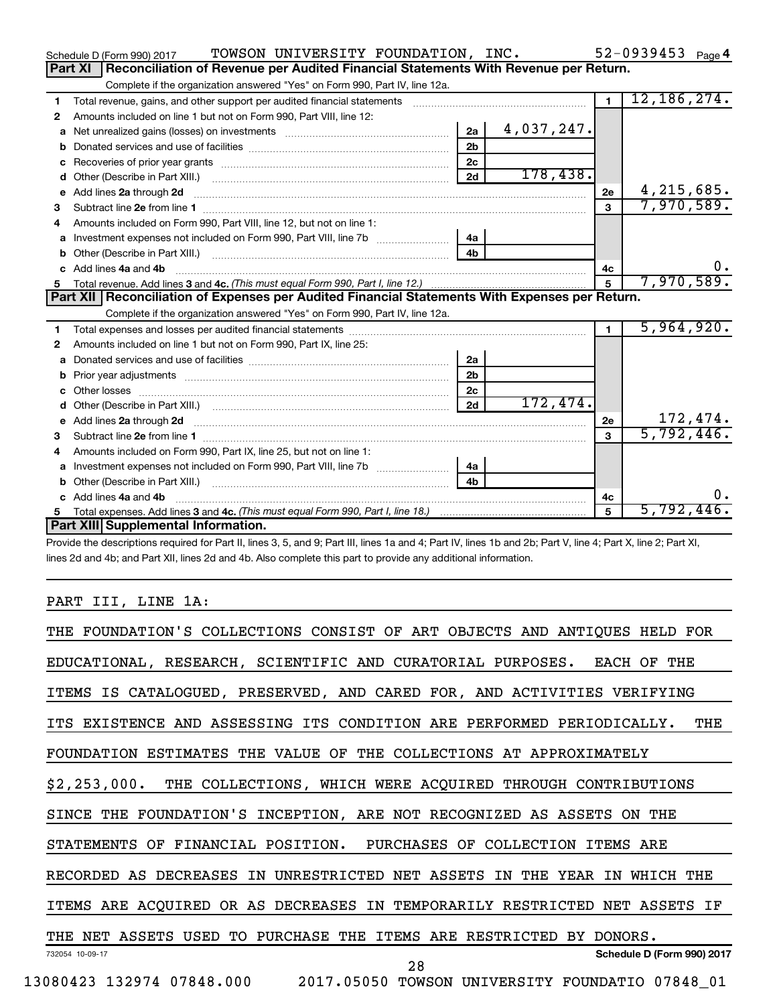|   | TOWSON UNIVERSITY FOUNDATION, INC.<br>Schedule D (Form 990) 2017                                              |                |            |                | 52-0939453 $_{Page 4}$ |
|---|---------------------------------------------------------------------------------------------------------------|----------------|------------|----------------|------------------------|
|   | Part XI<br>Reconciliation of Revenue per Audited Financial Statements With Revenue per Return.                |                |            |                |                        |
|   | Complete if the organization answered "Yes" on Form 990, Part IV, line 12a.                                   |                |            |                |                        |
| 1 | Total revenue, gains, and other support per audited financial statements [[[[[[[[[[[[[[[[[[[[[[[[[]]]]]]]]]]] |                |            | $\overline{1}$ | 12, 186, 274.          |
| 2 | Amounts included on line 1 but not on Form 990, Part VIII, line 12:                                           |                |            |                |                        |
| a |                                                                                                               | 2a             | 4,037,247. |                |                        |
|   |                                                                                                               | 2 <sub>b</sub> |            |                |                        |
| C |                                                                                                               | 2c             |            |                |                        |
|   |                                                                                                               | 2d             | 178,438.   |                |                        |
|   |                                                                                                               |                |            | 2e             | 4, 215, 685.           |
| 3 |                                                                                                               |                |            | $\mathbf{a}$   | 7,970,589.             |
| 4 | Amounts included on Form 990, Part VIII, line 12, but not on line 1:                                          |                |            |                |                        |
|   |                                                                                                               | 4a             |            |                |                        |
|   |                                                                                                               | 4 <sub>h</sub> |            |                |                        |
|   | c Add lines 4a and 4b                                                                                         |                |            | 4c             | $0$ .                  |
|   |                                                                                                               |                |            | 5              | 7,970,589.             |
|   |                                                                                                               |                |            |                |                        |
|   | Part XII   Reconciliation of Expenses per Audited Financial Statements With Expenses per Return.              |                |            |                |                        |
|   | Complete if the organization answered "Yes" on Form 990, Part IV, line 12a.                                   |                |            |                |                        |
| 1 |                                                                                                               |                |            | $\blacksquare$ | 5,964,920.             |
| 2 | Amounts included on line 1 but not on Form 990, Part IX, line 25:                                             |                |            |                |                        |
| a |                                                                                                               | 2a             |            |                |                        |
| b |                                                                                                               | 2 <sub>b</sub> |            |                |                        |
|   |                                                                                                               | 2 <sub>c</sub> |            |                |                        |
|   |                                                                                                               | 2d             | 172,474.   |                |                        |
|   |                                                                                                               |                |            | 2e             | 172,474.               |
| 3 |                                                                                                               |                |            | 3              | 5,792,446.             |
| 4 | Amounts included on Form 990, Part IX, line 25, but not on line 1:                                            |                |            |                |                        |
| a |                                                                                                               | 4a             |            |                |                        |
|   |                                                                                                               | 4b             |            |                |                        |
|   | c Add lines 4a and 4b                                                                                         |                |            | 4с             | 0.                     |
|   | Part XIII Supplemental Information.                                                                           |                |            | $\mathbf{F}$   | 5,792,446.             |

Provide the descriptions required for Part II, lines 3, 5, and 9; Part III, lines 1a and 4; Part IV, lines 1b and 2b; Part V, line 4; Part X, line 2; Part XI, lines 2d and 4b; and Part XII, lines 2d and 4b. Also complete this part to provide any additional information.

## PART III, LINE 1A:

| THE FOUNDATION'S COLLECTIONS CONSIST OF ART OBJECTS AND ANTIQUES HELD FOR    |
|------------------------------------------------------------------------------|
| EDUCATIONAL, RESEARCH, SCIENTIFIC AND CURATORIAL PURPOSES. EACH OF THE       |
| ITEMS IS CATALOGUED, PRESERVED, AND CARED FOR, AND ACTIVITIES VERIFYING      |
| ITS EXISTENCE AND ASSESSING ITS CONDITION ARE PERFORMED PERIODICALLY.<br>THE |
| FOUNDATION ESTIMATES THE VALUE OF THE COLLECTIONS AT APPROXIMATELY           |
| \$2,253,000. THE COLLECTIONS, WHICH WERE ACQUIRED THROUGH CONTRIBUTIONS      |
| SINCE THE FOUNDATION'S INCEPTION, ARE NOT RECOGNIZED AS ASSETS ON THE        |
| STATEMENTS OF FINANCIAL POSITION. PURCHASES OF COLLECTION ITEMS ARE          |
| RECORDED AS DECREASES IN UNRESTRICTED NET ASSETS IN THE YEAR IN<br>WHICH THE |
| ITEMS ARE ACQUIRED OR AS DECREASES IN TEMPORARILY RESTRICTED NET ASSETS IF   |
| THE NET ASSETS USED TO PURCHASE THE ITEMS ARE RESTRICTED BY DONORS.          |
| Schedule D (Form 990) 2017<br>732054 10-09-17<br>28                          |
| 13080423 132974 07848.000  2017.05050 TOWSON UNIVERSITY FOUNDATIO  07848 01  |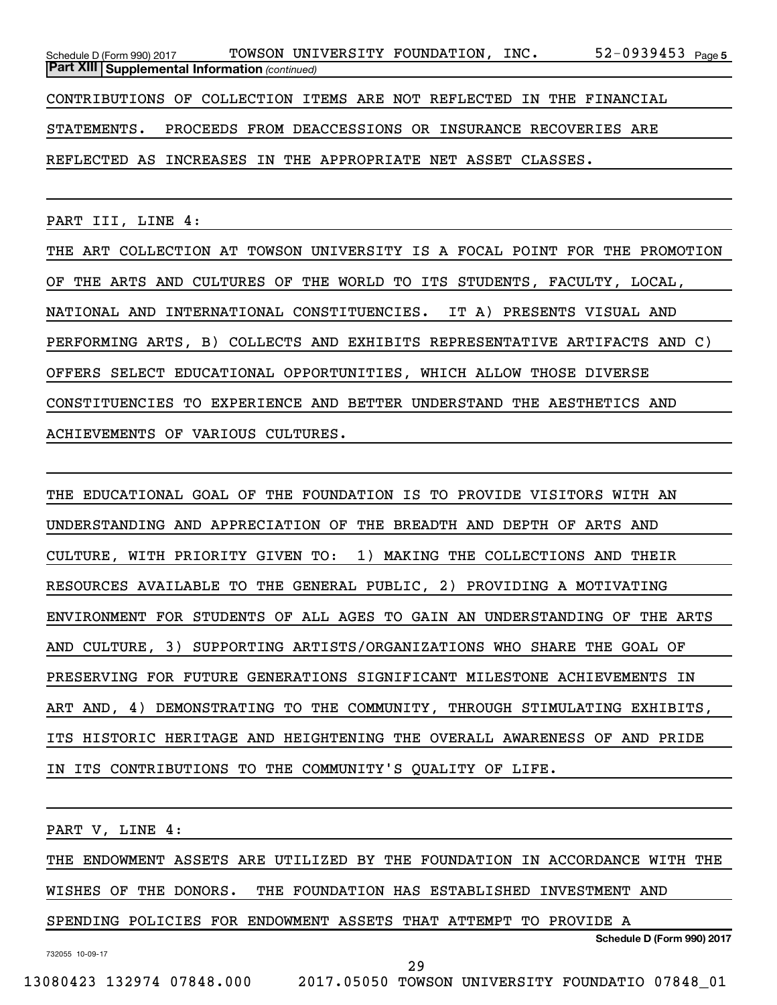52-0939453 <sub>Page 5</sub> *(continued)* **Part XIII Supplemental Information**  Schedule D (Form 990) 2017  $\,$  TOWSON UNIVERSITY FOUNDATION, INC.  $\,$  52–0939453  $_{\rm Page}$ CONTRIBUTIONS OF COLLECTION ITEMS ARE NOT REFLECTED IN THE FINANCIAL STATEMENTS. PROCEEDS FROM DEACCESSIONS OR INSURANCE RECOVERIES ARE REFLECTED AS INCREASES IN THE APPROPRIATE NET ASSET CLASSES.

PART III, LINE 4:

THE ART COLLECTION AT TOWSON UNIVERSITY IS A FOCAL POINT FOR THE PROMOTION OF THE ARTS AND CULTURES OF THE WORLD TO ITS STUDENTS, FACULTY, LOCAL, NATIONAL AND INTERNATIONAL CONSTITUENCIES. IT A) PRESENTS VISUAL AND PERFORMING ARTS, B) COLLECTS AND EXHIBITS REPRESENTATIVE ARTIFACTS AND C) OFFERS SELECT EDUCATIONAL OPPORTUNITIES, WHICH ALLOW THOSE DIVERSE CONSTITUENCIES TO EXPERIENCE AND BETTER UNDERSTAND THE AESTHETICS AND ACHIEVEMENTS OF VARIOUS CULTURES.

THE EDUCATIONAL GOAL OF THE FOUNDATION IS TO PROVIDE VISITORS WITH AN UNDERSTANDING AND APPRECIATION OF THE BREADTH AND DEPTH OF ARTS AND CULTURE, WITH PRIORITY GIVEN TO: 1) MAKING THE COLLECTIONS AND THEIR RESOURCES AVAILABLE TO THE GENERAL PUBLIC, 2) PROVIDING A MOTIVATING ENVIRONMENT FOR STUDENTS OF ALL AGES TO GAIN AN UNDERSTANDING OF THE ARTS AND CULTURE, 3) SUPPORTING ARTISTS/ORGANIZATIONS WHO SHARE THE GOAL OF PRESERVING FOR FUTURE GENERATIONS SIGNIFICANT MILESTONE ACHIEVEMENTS IN ART AND, 4) DEMONSTRATING TO THE COMMUNITY, THROUGH STIMULATING EXHIBITS, ITS HISTORIC HERITAGE AND HEIGHTENING THE OVERALL AWARENESS OF AND PRIDE IN ITS CONTRIBUTIONS TO THE COMMUNITY'S QUALITY OF LIFE.

PART V, LINE 4:

THE ENDOWMENT ASSETS ARE UTILIZED BY THE FOUNDATION IN ACCORDANCE WITH THE WISHES OF THE DONORS. THE FOUNDATION HAS ESTABLISHED INVESTMENT AND SPENDING POLICIES FOR ENDOWMENT ASSETS THAT ATTEMPT TO PROVIDE A

732055 10-09-17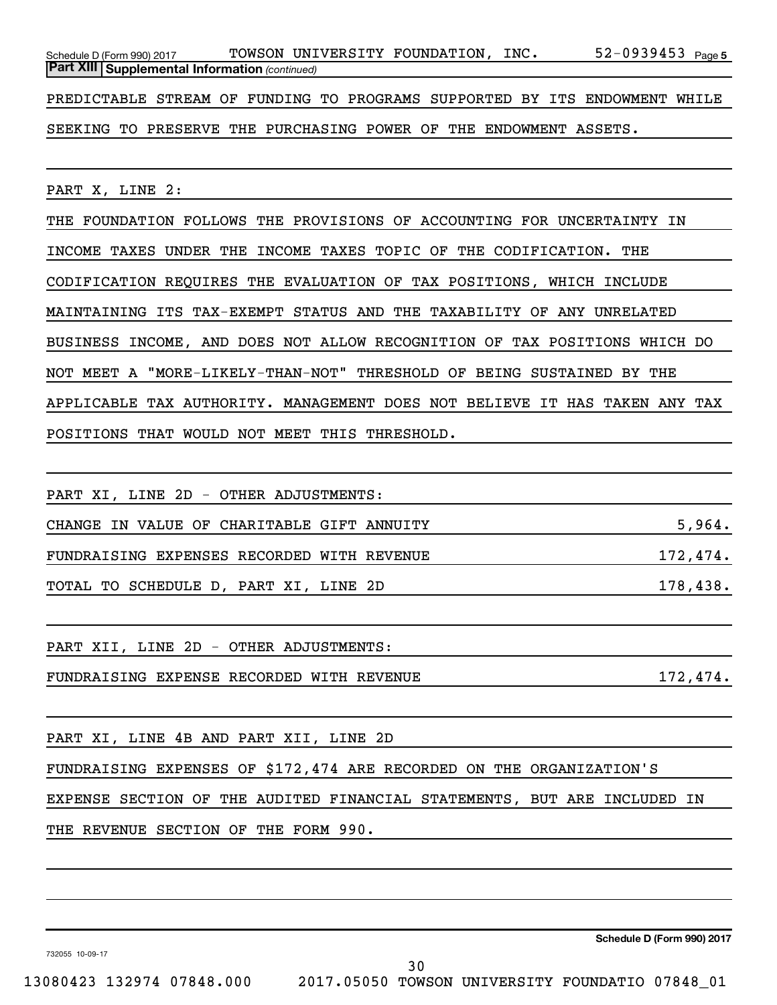52-0939453 Page 5 *(continued)* **Part XIII Supplemental Information**  Schedule D (Form 990) 2017  $\,$  TOWSON UNIVERSITY FOUNDATION, INC.  $\,$  52–0939453  $_{\rm Page}$ PREDICTABLE STREAM OF FUNDING TO PROGRAMS SUPPORTED BY ITS ENDOWMENT WHILE

SEEKING TO PRESERVE THE PURCHASING POWER OF THE ENDOWMENT ASSETS.

PART X, LINE 2:

THE FOUNDATION FOLLOWS THE PROVISIONS OF ACCOUNTING FOR UNCERTAINTY IN INCOME TAXES UNDER THE INCOME TAXES TOPIC OF THE CODIFICATION. THE CODIFICATION REQUIRES THE EVALUATION OF TAX POSITIONS, WHICH INCLUDE MAINTAINING ITS TAX-EXEMPT STATUS AND THE TAXABILITY OF ANY UNRELATED BUSINESS INCOME, AND DOES NOT ALLOW RECOGNITION OF TAX POSITIONS WHICH DO NOT MEET A "MORE-LIKELY-THAN-NOT" THRESHOLD OF BEING SUSTAINED BY THE APPLICABLE TAX AUTHORITY. MANAGEMENT DOES NOT BELIEVE IT HAS TAKEN ANY TAX POSITIONS THAT WOULD NOT MEET THIS THRESHOLD.

| PART XI, LINE 2D - OTHER ADJUSTMENTS:      |          |
|--------------------------------------------|----------|
| CHANGE IN VALUE OF CHARITABLE GIFT ANNUITY | 5,964.   |
| FUNDRAISING EXPENSES RECORDED WITH REVENUE | 172,474. |
| TOTAL TO SCHEDULE D, PART XI, LINE 2D      | 178,438. |
| PART XII, LINE 2D - OTHER ADJUSTMENTS:     |          |
| FUNDRAISING EXPENSE RECORDED WITH REVENUE  | 172,474. |
|                                            |          |

PART XI, LINE 4B AND PART XII, LINE 2D

FUNDRAISING EXPENSES OF \$172,474 ARE RECORDED ON THE ORGANIZATION'S

EXPENSE SECTION OF THE AUDITED FINANCIAL STATEMENTS, BUT ARE INCLUDED IN

30

THE REVENUE SECTION OF THE FORM 990.

**Schedule D (Form 990) 2017**

732055 10-09-17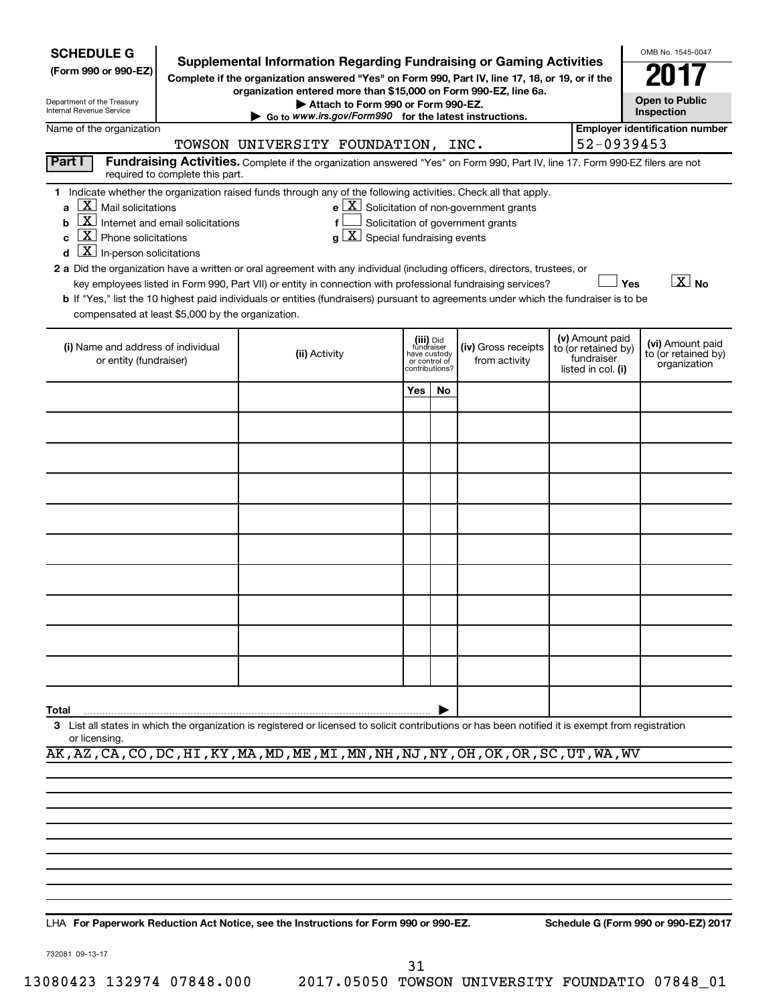| <b>SCHEDULE G</b><br>(Form 990 or 990-EZ)<br>Department of the Treasury<br>Internal Revenue Service                                                                                                                                                                             |                                 | <b>Supplemental Information Regarding Fundraising or Gaming Activities</b><br>Complete if the organization answered "Yes" on Form 990, Part IV, line 17, 18, or 19, or if the<br>organization entered more than \$15,000 on Form 990-EZ, line 6a.<br>Attach to Form 990 or Form 990-EZ.<br>$\triangleright$ Go to www.irs.gov/Form990 for the latest instructions.                                                                                                                                                     |                                           |                            |                                              |                                                                                                   |                                                                            | OMB No. 1545-0047<br><b>Open to Public</b><br>Inspection |
|---------------------------------------------------------------------------------------------------------------------------------------------------------------------------------------------------------------------------------------------------------------------------------|---------------------------------|------------------------------------------------------------------------------------------------------------------------------------------------------------------------------------------------------------------------------------------------------------------------------------------------------------------------------------------------------------------------------------------------------------------------------------------------------------------------------------------------------------------------|-------------------------------------------|----------------------------|----------------------------------------------|---------------------------------------------------------------------------------------------------|----------------------------------------------------------------------------|----------------------------------------------------------|
| Name of the organization                                                                                                                                                                                                                                                        |                                 |                                                                                                                                                                                                                                                                                                                                                                                                                                                                                                                        |                                           |                            |                                              |                                                                                                   |                                                                            | <b>Employer identification number</b>                    |
|                                                                                                                                                                                                                                                                                 |                                 | TOWSON UNIVERSITY FOUNDATION, INC.                                                                                                                                                                                                                                                                                                                                                                                                                                                                                     |                                           |                            |                                              |                                                                                                   | 52-0939453                                                                 |                                                          |
| Part I                                                                                                                                                                                                                                                                          | required to complete this part. | Fundraising Activities. Complete if the organization answered "Yes" on Form 990, Part IV, line 17. Form 990-EZ filers are not                                                                                                                                                                                                                                                                                                                                                                                          |                                           |                            |                                              |                                                                                                   |                                                                            |                                                          |
| $\lfloor X \rfloor$ Mail solicitations<br>$\mathbf{a}$<br>$\boxed{\textbf{X}}$ Internet and email solicitations<br>b<br>$\boxed{\textbf{X}}$ Phone solicitations<br>C<br>$\boxed{\textbf{X}}$ In-person solicitations<br>d<br>compensated at least \$5,000 by the organization. |                                 | 1 Indicate whether the organization raised funds through any of the following activities. Check all that apply.<br>f<br>$\alpha$<br>2 a Did the organization have a written or oral agreement with any individual (including officers, directors, trustees, or<br>key employees listed in Form 990, Part VII) or entity in connection with professional fundraising services?<br>b If "Yes," list the 10 highest paid individuals or entities (fundraisers) pursuant to agreements under which the fundraiser is to be | $ \mathbf{X} $ Special fundraising events |                            |                                              | $e$ $\boxed{\text{X}}$ Solicitation of non-government grants<br>Solicitation of government grants |                                                                            | $\boxed{\text{X}}$ No<br>Yes                             |
| (i) Name and address of individual<br>or entity (fundraiser)                                                                                                                                                                                                                    |                                 | (ii) Activity                                                                                                                                                                                                                                                                                                                                                                                                                                                                                                          |                                           | (iii) Did<br>or control of | fundraiser<br>have custody<br>contributions? | (iv) Gross receipts<br>from activity                                                              | (v) Amount paid<br>to (or retained by)<br>fundraiser<br>listed in col. (i) | (vi) Amount paid<br>to (or retained by)<br>organization  |
|                                                                                                                                                                                                                                                                                 |                                 |                                                                                                                                                                                                                                                                                                                                                                                                                                                                                                                        |                                           | Yes                        | No.                                          |                                                                                                   |                                                                            |                                                          |
|                                                                                                                                                                                                                                                                                 |                                 |                                                                                                                                                                                                                                                                                                                                                                                                                                                                                                                        |                                           |                            |                                              |                                                                                                   |                                                                            |                                                          |
|                                                                                                                                                                                                                                                                                 |                                 |                                                                                                                                                                                                                                                                                                                                                                                                                                                                                                                        |                                           |                            |                                              |                                                                                                   |                                                                            |                                                          |
|                                                                                                                                                                                                                                                                                 |                                 |                                                                                                                                                                                                                                                                                                                                                                                                                                                                                                                        |                                           |                            |                                              |                                                                                                   |                                                                            |                                                          |
|                                                                                                                                                                                                                                                                                 |                                 |                                                                                                                                                                                                                                                                                                                                                                                                                                                                                                                        |                                           |                            |                                              |                                                                                                   |                                                                            |                                                          |
|                                                                                                                                                                                                                                                                                 |                                 |                                                                                                                                                                                                                                                                                                                                                                                                                                                                                                                        |                                           |                            |                                              |                                                                                                   |                                                                            |                                                          |
|                                                                                                                                                                                                                                                                                 |                                 |                                                                                                                                                                                                                                                                                                                                                                                                                                                                                                                        |                                           |                            |                                              |                                                                                                   |                                                                            |                                                          |
|                                                                                                                                                                                                                                                                                 |                                 |                                                                                                                                                                                                                                                                                                                                                                                                                                                                                                                        |                                           |                            |                                              |                                                                                                   |                                                                            |                                                          |
|                                                                                                                                                                                                                                                                                 |                                 |                                                                                                                                                                                                                                                                                                                                                                                                                                                                                                                        |                                           |                            |                                              |                                                                                                   |                                                                            |                                                          |
|                                                                                                                                                                                                                                                                                 |                                 |                                                                                                                                                                                                                                                                                                                                                                                                                                                                                                                        |                                           |                            |                                              |                                                                                                   |                                                                            |                                                          |
| Total                                                                                                                                                                                                                                                                           |                                 |                                                                                                                                                                                                                                                                                                                                                                                                                                                                                                                        |                                           |                            |                                              |                                                                                                   |                                                                            |                                                          |
| or licensing.                                                                                                                                                                                                                                                                   |                                 | 3 List all states in which the organization is registered or licensed to solicit contributions or has been notified it is exempt from registration                                                                                                                                                                                                                                                                                                                                                                     |                                           |                            |                                              |                                                                                                   |                                                                            |                                                          |
|                                                                                                                                                                                                                                                                                 |                                 | AK, AZ, CA, CO, DC, HI, KY, MA, MD, ME, MI, MN, NH, NJ, NY, OH, OK, OR, SC, UT, WA, WV                                                                                                                                                                                                                                                                                                                                                                                                                                 |                                           |                            |                                              |                                                                                                   |                                                                            |                                                          |
|                                                                                                                                                                                                                                                                                 |                                 |                                                                                                                                                                                                                                                                                                                                                                                                                                                                                                                        |                                           |                            |                                              |                                                                                                   |                                                                            |                                                          |
|                                                                                                                                                                                                                                                                                 |                                 |                                                                                                                                                                                                                                                                                                                                                                                                                                                                                                                        |                                           |                            |                                              |                                                                                                   |                                                                            |                                                          |

LHA For Paperwork Reduction Act Notice, see the Instructions for Form 990 or 990-EZ. Schedule G (Form 990 or 990-EZ) 2017

732081 09-13-17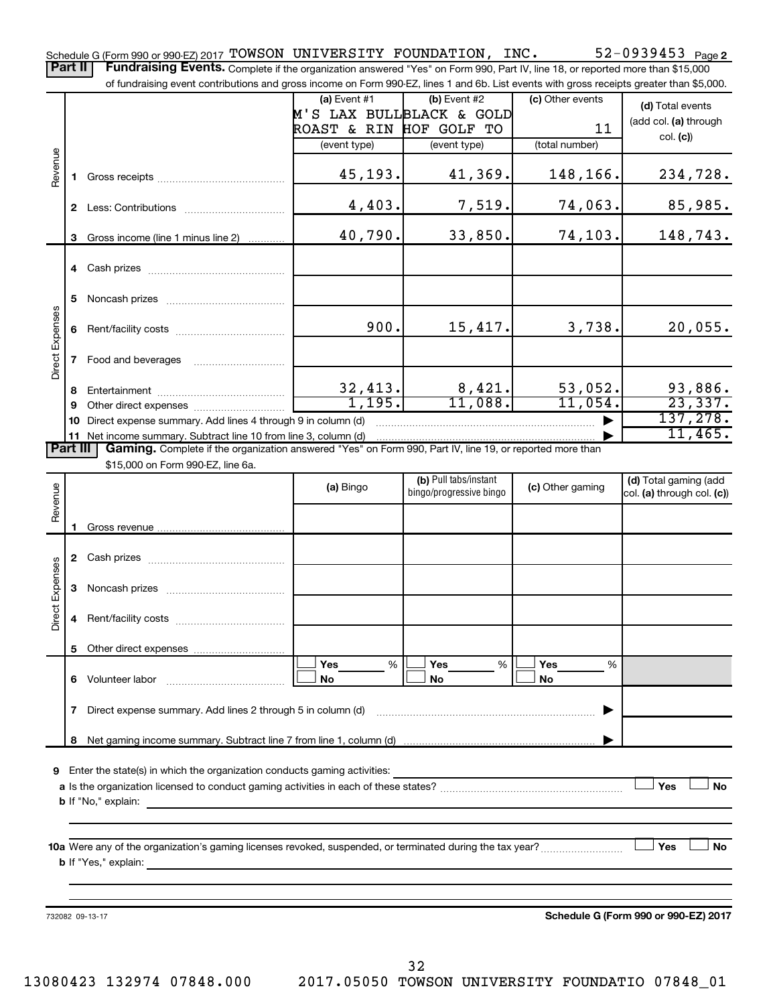52-0939453 Page 2 Schedule G (Form 990 or 990-EZ) 2017 Page TOWSON UNIVERSITY FOUNDATION, INC. 52-0939453 Part II | Fundraising Events. Complete if the organization answered "Yes" on Form 990, Part IV, line 18, or reported more than \$15,000

|                 |                 | of fundraising event contributions and gross income on Form 990-EZ, lines 1 and 6b. List events with gross receipts greater than \$5,000. |                          |                        |                         |                        |                  |                            |
|-----------------|-----------------|-------------------------------------------------------------------------------------------------------------------------------------------|--------------------------|------------------------|-------------------------|------------------------|------------------|----------------------------|
|                 |                 |                                                                                                                                           | (a) Event #1             |                        | (b) Event #2            |                        | (c) Other events | (d) Total events           |
|                 |                 |                                                                                                                                           | M'S LAX BULLBLACK & GOLD |                        |                         |                        |                  | (add col. (a) through      |
|                 |                 |                                                                                                                                           | ROAST & RIN HOF GOLF TO  |                        |                         |                        | 11               | col. (c)                   |
|                 |                 |                                                                                                                                           | (event type)             |                        | (event type)            |                        | (total number)   |                            |
| Revenue         |                 |                                                                                                                                           |                          |                        |                         |                        |                  |                            |
|                 |                 |                                                                                                                                           |                          | 45,193.                |                         | 41,369.                | 148,166.         | 234,728.                   |
|                 |                 |                                                                                                                                           |                          |                        |                         |                        |                  |                            |
|                 |                 |                                                                                                                                           |                          | 4,403.                 |                         | 7,519.                 | 74,063.          | 85,985.                    |
|                 |                 |                                                                                                                                           |                          |                        |                         |                        |                  |                            |
|                 | 3               | Gross income (line 1 minus line 2)                                                                                                        |                          | 40,790.                |                         | 33,850.                | 74,103.          | 148,743.                   |
|                 |                 |                                                                                                                                           |                          |                        |                         |                        |                  |                            |
|                 |                 |                                                                                                                                           |                          |                        |                         |                        |                  |                            |
|                 |                 |                                                                                                                                           |                          |                        |                         |                        |                  |                            |
|                 | 5.              |                                                                                                                                           |                          |                        |                         |                        |                  |                            |
| Direct Expenses | 6               |                                                                                                                                           |                          | 900.                   |                         | 15,417.                | 3,738.           | 20,055.                    |
|                 |                 |                                                                                                                                           |                          |                        |                         |                        |                  |                            |
|                 |                 |                                                                                                                                           |                          |                        |                         |                        |                  |                            |
|                 |                 |                                                                                                                                           |                          |                        |                         |                        |                  |                            |
|                 | 8               |                                                                                                                                           |                          |                        |                         |                        | 53,052.          |                            |
|                 | 9               |                                                                                                                                           |                          | $\frac{32,413}{1,195}$ |                         | $\frac{8,421}{11,088}$ | 11,054.          | $\frac{93,886}{23,337}$    |
|                 |                 | 10 Direct expense summary. Add lines 4 through 9 in column (d)                                                                            |                          |                        |                         |                        |                  | 137,278.                   |
|                 |                 | 11 Net income summary. Subtract line 10 from line 3, column (d)                                                                           |                          |                        |                         |                        |                  | 11,465.                    |
|                 | <b>Part III</b> | Gaming. Complete if the organization answered "Yes" on Form 990, Part IV, line 19, or reported more than                                  |                          |                        |                         |                        |                  |                            |
|                 |                 | \$15,000 on Form 990-EZ, line 6a.                                                                                                         |                          |                        |                         |                        |                  |                            |
|                 |                 |                                                                                                                                           | (a) Bingo                |                        | (b) Pull tabs/instant   |                        | (c) Other gaming | (d) Total gaming (add      |
| Revenue         |                 |                                                                                                                                           |                          |                        | bingo/progressive bingo |                        |                  | col. (a) through col. (c)) |
|                 |                 |                                                                                                                                           |                          |                        |                         |                        |                  |                            |
|                 | 1.              |                                                                                                                                           |                          |                        |                         |                        |                  |                            |
|                 |                 |                                                                                                                                           |                          |                        |                         |                        |                  |                            |
|                 |                 |                                                                                                                                           |                          |                        |                         |                        |                  |                            |
| Direct Expenses | 3               |                                                                                                                                           |                          |                        |                         |                        |                  |                            |
|                 |                 |                                                                                                                                           |                          |                        |                         |                        |                  |                            |
|                 | 4               |                                                                                                                                           |                          |                        |                         |                        |                  |                            |
|                 |                 |                                                                                                                                           |                          |                        |                         |                        |                  |                            |
|                 | 5               | Other direct expenses                                                                                                                     |                          |                        |                         |                        |                  |                            |
|                 |                 |                                                                                                                                           | Yes                      | %                      | Yes                     | %                      | Yes<br>%         |                            |
|                 |                 | 6 Volunteer labor                                                                                                                         | No                       |                        | No                      |                        | No               |                            |
|                 |                 |                                                                                                                                           |                          |                        |                         |                        |                  |                            |
|                 | 7               | Direct expense summary. Add lines 2 through 5 in column (d)                                                                               |                          |                        |                         |                        |                  |                            |
|                 |                 |                                                                                                                                           |                          |                        |                         |                        |                  |                            |
|                 | 8               |                                                                                                                                           |                          |                        |                         |                        |                  |                            |
|                 |                 |                                                                                                                                           |                          |                        |                         |                        |                  |                            |
| 9               |                 | Enter the state(s) in which the organization conducts gaming activities:                                                                  |                          |                        |                         |                        |                  | No                         |
| Yes             |                 |                                                                                                                                           |                          |                        |                         |                        |                  |                            |
|                 |                 |                                                                                                                                           |                          |                        |                         |                        |                  |                            |
|                 |                 | <b>b</b> If "No," explain:                                                                                                                |                          |                        |                         |                        |                  |                            |
|                 |                 |                                                                                                                                           |                          |                        |                         |                        |                  |                            |
|                 |                 |                                                                                                                                           |                          |                        |                         |                        |                  | Yes<br>No                  |

732082 09-13-17

**Schedule G (Form 990 or 990-EZ) 2017**

32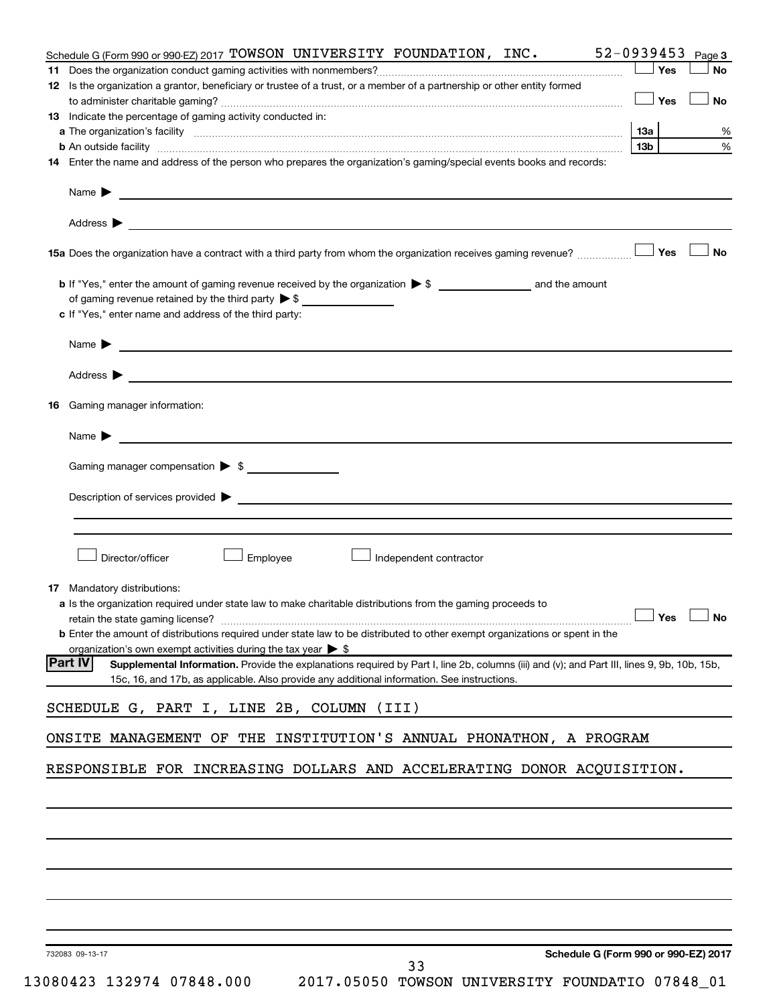|    | Schedule G (Form 990 or 990-EZ) 2017 TOWSON UNIVERSITY FOUNDATION, INC.                                                                                                                                                                                      |            | 52-0939453 Page 3 |
|----|--------------------------------------------------------------------------------------------------------------------------------------------------------------------------------------------------------------------------------------------------------------|------------|-------------------|
|    |                                                                                                                                                                                                                                                              | Yes        | <b>No</b>         |
|    | 12 Is the organization a grantor, beneficiary or trustee of a trust, or a member of a partnership or other entity formed                                                                                                                                     |            |                   |
|    |                                                                                                                                                                                                                                                              | $\Box$ Yes | <b>No</b>         |
|    | 13 Indicate the percentage of gaming activity conducted in:                                                                                                                                                                                                  |            |                   |
|    |                                                                                                                                                                                                                                                              | 13а        | %                 |
|    | <b>b</b> An outside facility <i>www.communicality www.communicality.communicality www.communicality www.communicality.communicality www.communicality.com</i>                                                                                                | 13b l      | $\%$              |
|    | 14 Enter the name and address of the person who prepares the organization's gaming/special events books and records:                                                                                                                                         |            |                   |
|    |                                                                                                                                                                                                                                                              |            |                   |
|    | Address $\blacktriangleright$<br><u>some started and the started and the started and the started and the started and the started and the started and</u>                                                                                                     |            |                   |
|    |                                                                                                                                                                                                                                                              |            | <b>No</b>         |
|    |                                                                                                                                                                                                                                                              |            |                   |
|    | of gaming revenue retained by the third party $\triangleright$ \$                                                                                                                                                                                            |            |                   |
|    | c If "Yes," enter name and address of the third party:                                                                                                                                                                                                       |            |                   |
|    |                                                                                                                                                                                                                                                              |            |                   |
|    | Address $\blacktriangleright$                                                                                                                                                                                                                                |            |                   |
|    | <u> Andreas Andreas Andreas Andreas Andreas Andreas Andreas Andreas Andreas Andreas Andreas Andreas Andreas Andr</u>                                                                                                                                         |            |                   |
| 16 | Gaming manager information:                                                                                                                                                                                                                                  |            |                   |
|    | Name $\blacktriangleright$                                                                                                                                                                                                                                   |            |                   |
|    | Gaming manager compensation > \$                                                                                                                                                                                                                             |            |                   |
|    |                                                                                                                                                                                                                                                              |            |                   |
|    | Description of services provided <b>by the contract of the contract of the contract of services provided</b>                                                                                                                                                 |            |                   |
|    |                                                                                                                                                                                                                                                              |            |                   |
|    | Director/officer<br>Employee<br>Independent contractor                                                                                                                                                                                                       |            |                   |
|    |                                                                                                                                                                                                                                                              |            |                   |
|    | <b>17</b> Mandatory distributions:                                                                                                                                                                                                                           |            |                   |
|    | <b>a</b> Is the organization required under state law to make charitable distributions from the gaming proceeds to                                                                                                                                           |            |                   |
|    | retain the state gaming license? $\Box$ No<br><b>b</b> Enter the amount of distributions required under state law to be distributed to other exempt organizations or spent in the                                                                            |            |                   |
|    | organization's own exempt activities during the tax year $\blacktriangleright$ \$                                                                                                                                                                            |            |                   |
|    | <b>Part IV</b><br>Supplemental Information. Provide the explanations required by Part I, line 2b, columns (iii) and (v); and Part III, lines 9, 9b, 10b, 15b,<br>15c, 16, and 17b, as applicable. Also provide any additional information. See instructions. |            |                   |
|    |                                                                                                                                                                                                                                                              |            |                   |
|    | SCHEDULE G, PART I, LINE 2B, COLUMN (III)                                                                                                                                                                                                                    |            |                   |
|    | ONSITE MANAGEMENT OF THE INSTITUTION'S ANNUAL PHONATHON, A PROGRAM                                                                                                                                                                                           |            |                   |
|    | RESPONSIBLE FOR INCREASING DOLLARS AND ACCELERATING DONOR ACQUISITION.                                                                                                                                                                                       |            |                   |
|    |                                                                                                                                                                                                                                                              |            |                   |
|    |                                                                                                                                                                                                                                                              |            |                   |
|    |                                                                                                                                                                                                                                                              |            |                   |
|    |                                                                                                                                                                                                                                                              |            |                   |
|    |                                                                                                                                                                                                                                                              |            |                   |
|    |                                                                                                                                                                                                                                                              |            |                   |
|    |                                                                                                                                                                                                                                                              |            |                   |
|    | Schedule G (Form 990 or 990-EZ) 2017<br>732083 09-13-17<br>33                                                                                                                                                                                                |            |                   |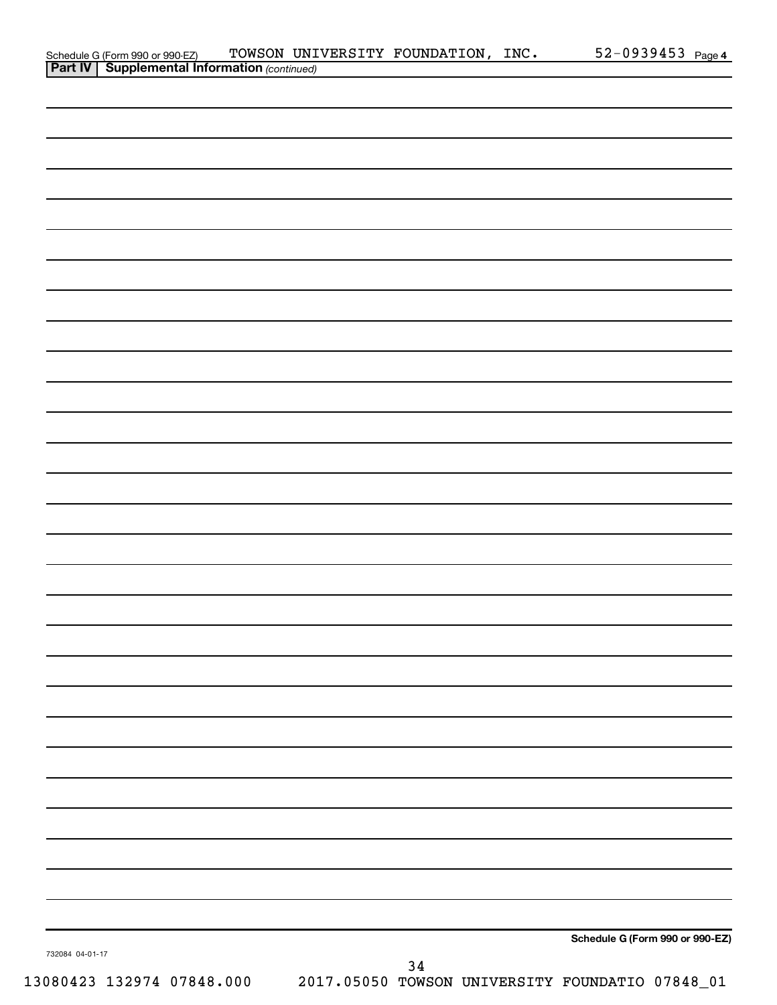| Schedule G (Form 990 or 990-EZ) TOWSON UNI<br><b>Part IV   Supplemental Information</b> (continued) |  | TOWSON UNIVERSITY FOUNDATION, INC. | $52 - 0939453$ Page 4           |  |
|-----------------------------------------------------------------------------------------------------|--|------------------------------------|---------------------------------|--|
|                                                                                                     |  |                                    |                                 |  |
|                                                                                                     |  |                                    |                                 |  |
|                                                                                                     |  |                                    |                                 |  |
|                                                                                                     |  |                                    |                                 |  |
|                                                                                                     |  |                                    |                                 |  |
|                                                                                                     |  |                                    |                                 |  |
|                                                                                                     |  |                                    |                                 |  |
|                                                                                                     |  |                                    |                                 |  |
|                                                                                                     |  |                                    |                                 |  |
|                                                                                                     |  |                                    |                                 |  |
|                                                                                                     |  |                                    |                                 |  |
|                                                                                                     |  |                                    |                                 |  |
|                                                                                                     |  |                                    |                                 |  |
|                                                                                                     |  |                                    |                                 |  |
|                                                                                                     |  |                                    |                                 |  |
|                                                                                                     |  |                                    |                                 |  |
|                                                                                                     |  |                                    |                                 |  |
|                                                                                                     |  |                                    |                                 |  |
|                                                                                                     |  |                                    |                                 |  |
|                                                                                                     |  |                                    |                                 |  |
|                                                                                                     |  |                                    |                                 |  |
|                                                                                                     |  |                                    |                                 |  |
|                                                                                                     |  |                                    |                                 |  |
|                                                                                                     |  |                                    |                                 |  |
|                                                                                                     |  |                                    |                                 |  |
|                                                                                                     |  |                                    |                                 |  |
|                                                                                                     |  |                                    |                                 |  |
|                                                                                                     |  |                                    |                                 |  |
|                                                                                                     |  |                                    |                                 |  |
|                                                                                                     |  |                                    |                                 |  |
|                                                                                                     |  |                                    |                                 |  |
|                                                                                                     |  |                                    |                                 |  |
|                                                                                                     |  |                                    |                                 |  |
|                                                                                                     |  |                                    |                                 |  |
|                                                                                                     |  |                                    |                                 |  |
|                                                                                                     |  |                                    |                                 |  |
|                                                                                                     |  |                                    |                                 |  |
|                                                                                                     |  |                                    |                                 |  |
|                                                                                                     |  |                                    |                                 |  |
|                                                                                                     |  |                                    |                                 |  |
|                                                                                                     |  |                                    |                                 |  |
|                                                                                                     |  |                                    |                                 |  |
|                                                                                                     |  |                                    |                                 |  |
|                                                                                                     |  |                                    |                                 |  |
|                                                                                                     |  |                                    |                                 |  |
|                                                                                                     |  |                                    |                                 |  |
|                                                                                                     |  |                                    |                                 |  |
|                                                                                                     |  |                                    |                                 |  |
|                                                                                                     |  |                                    |                                 |  |
|                                                                                                     |  |                                    |                                 |  |
|                                                                                                     |  |                                    | Schedule G (Form 990 or 990-EZ) |  |
| 732084 04-01-17                                                                                     |  | 34                                 |                                 |  |
|                                                                                                     |  |                                    |                                 |  |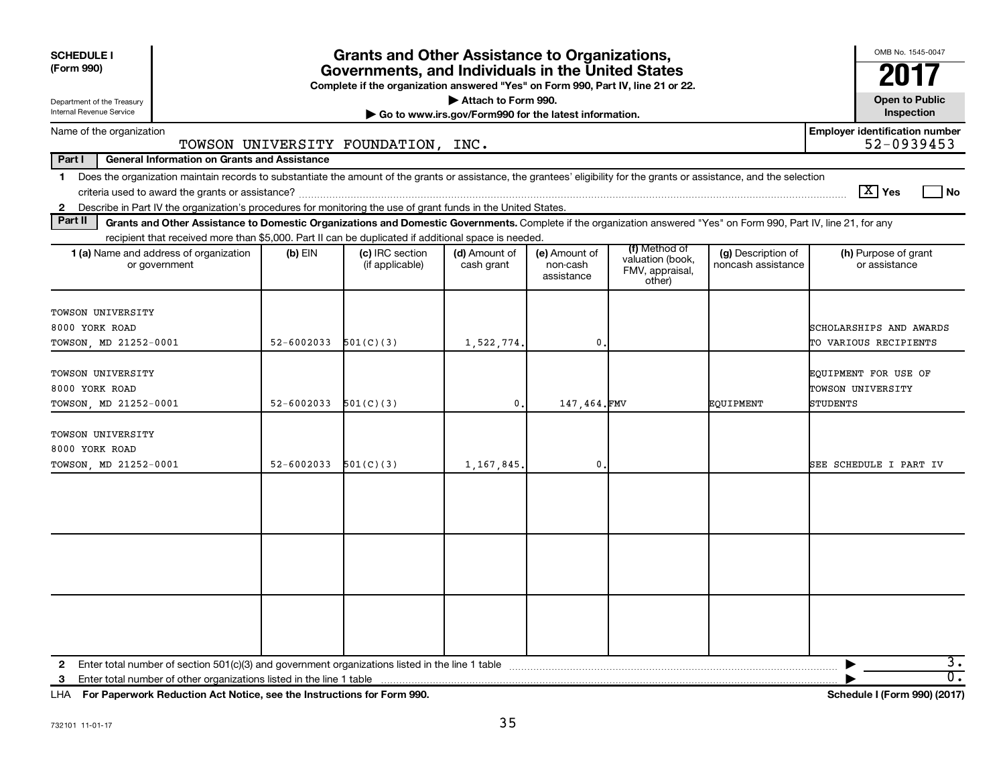| <b>SCHEDULE I</b><br>(Form 990)                                                                                                                                                                                                                                                                  |                | <b>Grants and Other Assistance to Organizations,</b><br>Governments, and Individuals in the United States |                                                                              |                                         |                                                                |                                          | OMB No. 1545-0047                                     |
|--------------------------------------------------------------------------------------------------------------------------------------------------------------------------------------------------------------------------------------------------------------------------------------------------|----------------|-----------------------------------------------------------------------------------------------------------|------------------------------------------------------------------------------|-----------------------------------------|----------------------------------------------------------------|------------------------------------------|-------------------------------------------------------|
|                                                                                                                                                                                                                                                                                                  |                | Complete if the organization answered "Yes" on Form 990, Part IV, line 21 or 22.                          |                                                                              |                                         |                                                                |                                          |                                                       |
| Department of the Treasury<br>Internal Revenue Service                                                                                                                                                                                                                                           |                |                                                                                                           | Attach to Form 990.<br>Go to www.irs.gov/Form990 for the latest information. |                                         |                                                                |                                          | <b>Open to Public</b><br>Inspection                   |
| Name of the organization                                                                                                                                                                                                                                                                         |                | TOWSON UNIVERSITY FOUNDATION, INC.                                                                        |                                                                              |                                         |                                                                |                                          | <b>Employer identification number</b><br>52-0939453   |
| Part I<br><b>General Information on Grants and Assistance</b>                                                                                                                                                                                                                                    |                |                                                                                                           |                                                                              |                                         |                                                                |                                          |                                                       |
| 1 Does the organization maintain records to substantiate the amount of the grants or assistance, the grantees' eligibility for the grants or assistance, and the selection                                                                                                                       |                |                                                                                                           |                                                                              |                                         |                                                                |                                          | $\boxed{\text{X}}$ Yes<br>l No                        |
| 2 Describe in Part IV the organization's procedures for monitoring the use of grant funds in the United States.<br>Part II<br>Grants and Other Assistance to Domestic Organizations and Domestic Governments. Complete if the organization answered "Yes" on Form 990, Part IV, line 21, for any |                |                                                                                                           |                                                                              |                                         |                                                                |                                          |                                                       |
| recipient that received more than \$5,000. Part II can be duplicated if additional space is needed.                                                                                                                                                                                              |                |                                                                                                           |                                                                              |                                         |                                                                |                                          |                                                       |
| 1 (a) Name and address of organization<br>or government                                                                                                                                                                                                                                          | $(b)$ EIN      | (c) IRC section<br>(if applicable)                                                                        | (d) Amount of<br>cash grant                                                  | (e) Amount of<br>non-cash<br>assistance | (f) Method of<br>valuation (book.<br>FMV, appraisal,<br>other) | (g) Description of<br>noncash assistance | (h) Purpose of grant<br>or assistance                 |
| TOWSON UNIVERSITY<br>8000 YORK ROAD<br>TOWSON, MD 21252-0001                                                                                                                                                                                                                                     | 52-6002033     | 501(C)(3)                                                                                                 | 1,522,774.                                                                   | $\mathbf{0}$                            |                                                                |                                          | SCHOLARSHIPS AND AWARDS<br>TO VARIOUS RECIPIENTS      |
| <b>TOWSON UNIVERSITY</b><br>8000 YORK ROAD<br>TOWSON, MD 21252-0001                                                                                                                                                                                                                              | $52 - 6002033$ | 501(C)(3)                                                                                                 | $\mathbf{0}$ .                                                               | 147.464.FMV                             |                                                                | EOUIPMENT                                | EQUIPMENT FOR USE OF<br>TOWSON UNIVERSITY<br>STUDENTS |
| TOWSON UNIVERSITY<br>8000 YORK ROAD<br>TOWSON, MD 21252-0001                                                                                                                                                                                                                                     | $52 - 6002033$ | 501(C)(3)                                                                                                 | 1,167,845.                                                                   | $\mathbf{0}$                            |                                                                |                                          | SEE SCHEDULE I PART IV                                |
|                                                                                                                                                                                                                                                                                                  |                |                                                                                                           |                                                                              |                                         |                                                                |                                          |                                                       |
|                                                                                                                                                                                                                                                                                                  |                |                                                                                                           |                                                                              |                                         |                                                                |                                          |                                                       |
|                                                                                                                                                                                                                                                                                                  |                |                                                                                                           |                                                                              |                                         |                                                                |                                          |                                                       |
| Enter total number of other organizations listed in the line 1 table<br>3                                                                                                                                                                                                                        |                |                                                                                                           |                                                                              |                                         |                                                                |                                          | з.<br>$\overline{0}$ .                                |

**For Paperwork Reduction Act Notice, see the Instructions for Form 990. Schedule I (Form 990) (2017)** LHA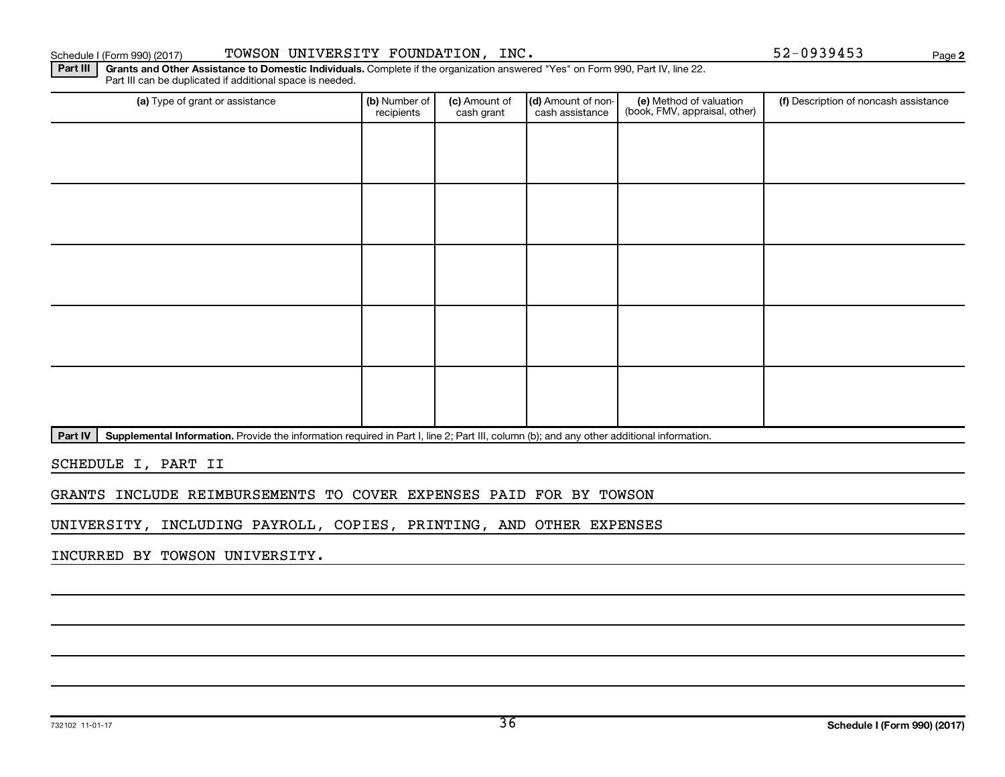Part IV | Supplemental Information. Provide the information required in Part I, line 2; Part III, column (b); and any other additional information.

SCHEDULE I, PART II

GRANTS INCLUDE REIMBURSEMENTS TO COVER EXPENSES PAID FOR BY TOWSON

UNIVERSITY, INCLUDING PAYROLL, COPIES, PRINTING, AND OTHER EXPENSES

INCURRED BY TOWSON UNIVERSITY.

| (a) Type of grant or assistance | (b) Number of<br>recipients | (c) Amount of<br>cash grant | (d) Amount of non-<br>cash assistance | (e) Method of valuation<br>(book, FMV, appraisal, other) | (f) Description of noncash assistance |
|---------------------------------|-----------------------------|-----------------------------|---------------------------------------|----------------------------------------------------------|---------------------------------------|
|                                 |                             |                             |                                       |                                                          |                                       |
|                                 |                             |                             |                                       |                                                          |                                       |
|                                 |                             |                             |                                       |                                                          |                                       |
|                                 |                             |                             |                                       |                                                          |                                       |
|                                 |                             |                             |                                       |                                                          |                                       |
|                                 |                             |                             |                                       |                                                          |                                       |
|                                 |                             |                             |                                       |                                                          |                                       |
|                                 |                             |                             |                                       |                                                          |                                       |
|                                 |                             |                             |                                       |                                                          |                                       |
|                                 |                             |                             |                                       |                                                          |                                       |

**2**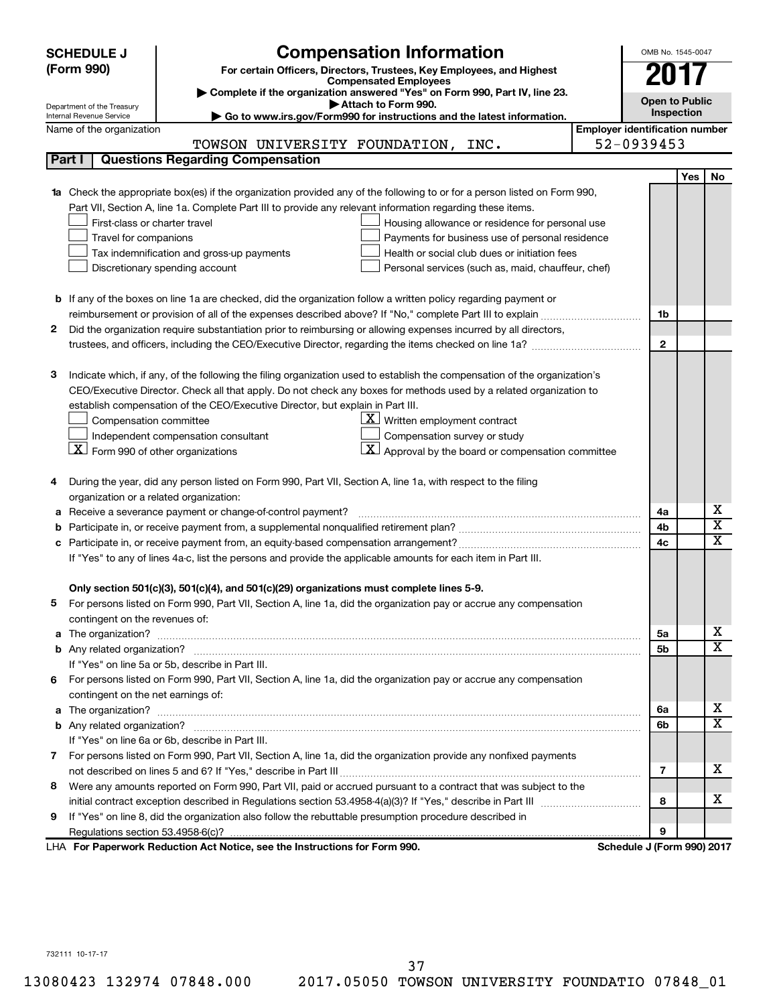|   | <b>Compensation Information</b><br><b>SCHEDULE J</b>                                                                                                                                                          |                                       | OMB No. 1545-0047     |            |                              |
|---|---------------------------------------------------------------------------------------------------------------------------------------------------------------------------------------------------------------|---------------------------------------|-----------------------|------------|------------------------------|
|   | (Form 990)<br>For certain Officers, Directors, Trustees, Key Employees, and Highest                                                                                                                           |                                       |                       |            |                              |
|   | <b>Compensated Employees</b>                                                                                                                                                                                  |                                       |                       |            |                              |
|   | Complete if the organization answered "Yes" on Form 990, Part IV, line 23.                                                                                                                                    |                                       | <b>Open to Public</b> |            |                              |
|   | Attach to Form 990.<br>Department of the Treasury<br>Go to www.irs.gov/Form990 for instructions and the latest information.<br>Internal Revenue Service                                                       |                                       | Inspection            |            |                              |
|   | Name of the organization                                                                                                                                                                                      | <b>Employer identification number</b> |                       |            |                              |
|   | TOWSON UNIVERSITY FOUNDATION, INC.                                                                                                                                                                            | 52-0939453                            |                       |            |                              |
|   | <b>Questions Regarding Compensation</b><br>Part I                                                                                                                                                             |                                       |                       |            |                              |
|   |                                                                                                                                                                                                               |                                       |                       | <b>Yes</b> | No                           |
|   | <b>1a</b> Check the appropriate box(es) if the organization provided any of the following to or for a person listed on Form 990,                                                                              |                                       |                       |            |                              |
|   | Part VII, Section A, line 1a. Complete Part III to provide any relevant information regarding these items.                                                                                                    |                                       |                       |            |                              |
|   | First-class or charter travel<br>Housing allowance or residence for personal use                                                                                                                              |                                       |                       |            |                              |
|   | Payments for business use of personal residence<br>Travel for companions                                                                                                                                      |                                       |                       |            |                              |
|   | Health or social club dues or initiation fees<br>Tax indemnification and gross-up payments                                                                                                                    |                                       |                       |            |                              |
|   | Discretionary spending account<br>Personal services (such as, maid, chauffeur, chef)                                                                                                                          |                                       |                       |            |                              |
|   |                                                                                                                                                                                                               |                                       |                       |            |                              |
|   | <b>b</b> If any of the boxes on line 1a are checked, did the organization follow a written policy regarding payment or                                                                                        |                                       |                       |            |                              |
|   | reimbursement or provision of all of the expenses described above? If "No," complete Part III to explain                                                                                                      |                                       | 1b                    |            |                              |
| 2 | Did the organization require substantiation prior to reimbursing or allowing expenses incurred by all directors,                                                                                              |                                       |                       |            |                              |
|   |                                                                                                                                                                                                               |                                       | $\mathbf{2}$          |            |                              |
|   |                                                                                                                                                                                                               |                                       |                       |            |                              |
| 3 | Indicate which, if any, of the following the filing organization used to establish the compensation of the organization's                                                                                     |                                       |                       |            |                              |
|   | CEO/Executive Director. Check all that apply. Do not check any boxes for methods used by a related organization to                                                                                            |                                       |                       |            |                              |
|   | establish compensation of the CEO/Executive Director, but explain in Part III.                                                                                                                                |                                       |                       |            |                              |
|   | $\underline{\mathbf{X}}$ Written employment contract<br>Compensation committee                                                                                                                                |                                       |                       |            |                              |
|   | Compensation survey or study<br>Independent compensation consultant                                                                                                                                           |                                       |                       |            |                              |
|   | $\overline{X}$ Form 990 of other organizations<br>Approval by the board or compensation committee                                                                                                             |                                       |                       |            |                              |
|   |                                                                                                                                                                                                               |                                       |                       |            |                              |
|   | During the year, did any person listed on Form 990, Part VII, Section A, line 1a, with respect to the filing                                                                                                  |                                       |                       |            |                              |
|   | organization or a related organization:                                                                                                                                                                       |                                       |                       |            |                              |
|   | Receive a severance payment or change-of-control payment?                                                                                                                                                     |                                       | 4a                    |            | х<br>$\overline{\textbf{x}}$ |
|   |                                                                                                                                                                                                               |                                       | 4b                    |            | $\overline{\text{x}}$        |
|   |                                                                                                                                                                                                               |                                       | 4c                    |            |                              |
|   | If "Yes" to any of lines 4a-c, list the persons and provide the applicable amounts for each item in Part III.                                                                                                 |                                       |                       |            |                              |
|   |                                                                                                                                                                                                               |                                       |                       |            |                              |
|   | Only section 501(c)(3), 501(c)(4), and 501(c)(29) organizations must complete lines 5-9.<br>For persons listed on Form 990, Part VII, Section A, line 1a, did the organization pay or accrue any compensation |                                       |                       |            |                              |
|   | contingent on the revenues of:                                                                                                                                                                                |                                       |                       |            |                              |
|   |                                                                                                                                                                                                               |                                       | 5a                    |            | x.                           |
|   |                                                                                                                                                                                                               |                                       | 5b                    |            | $\overline{\mathbf{X}}$      |
|   | If "Yes" on line 5a or 5b, describe in Part III.                                                                                                                                                              |                                       |                       |            |                              |
| 6 | For persons listed on Form 990, Part VII, Section A, line 1a, did the organization pay or accrue any compensation                                                                                             |                                       |                       |            |                              |
|   | contingent on the net earnings of:                                                                                                                                                                            |                                       |                       |            |                              |
|   |                                                                                                                                                                                                               |                                       | 6а                    |            | x.                           |
|   |                                                                                                                                                                                                               |                                       | 6b                    |            | $\overline{\mathbf{X}}$      |
|   | If "Yes" on line 6a or 6b, describe in Part III.                                                                                                                                                              |                                       |                       |            |                              |
|   | 7 For persons listed on Form 990, Part VII, Section A, line 1a, did the organization provide any nonfixed payments                                                                                            |                                       |                       |            |                              |
|   |                                                                                                                                                                                                               |                                       | 7                     |            | x.                           |
| 8 | Were any amounts reported on Form 990, Part VII, paid or accrued pursuant to a contract that was subject to the                                                                                               |                                       |                       |            |                              |
|   |                                                                                                                                                                                                               |                                       | 8                     |            | x.                           |
| 9 | If "Yes" on line 8, did the organization also follow the rebuttable presumption procedure described in                                                                                                        |                                       |                       |            |                              |
|   |                                                                                                                                                                                                               |                                       | 9                     |            |                              |
|   | LHA For Paperwork Reduction Act Notice, see the Instructions for Form 990.                                                                                                                                    | Schedule J (Form 990) 2017            |                       |            |                              |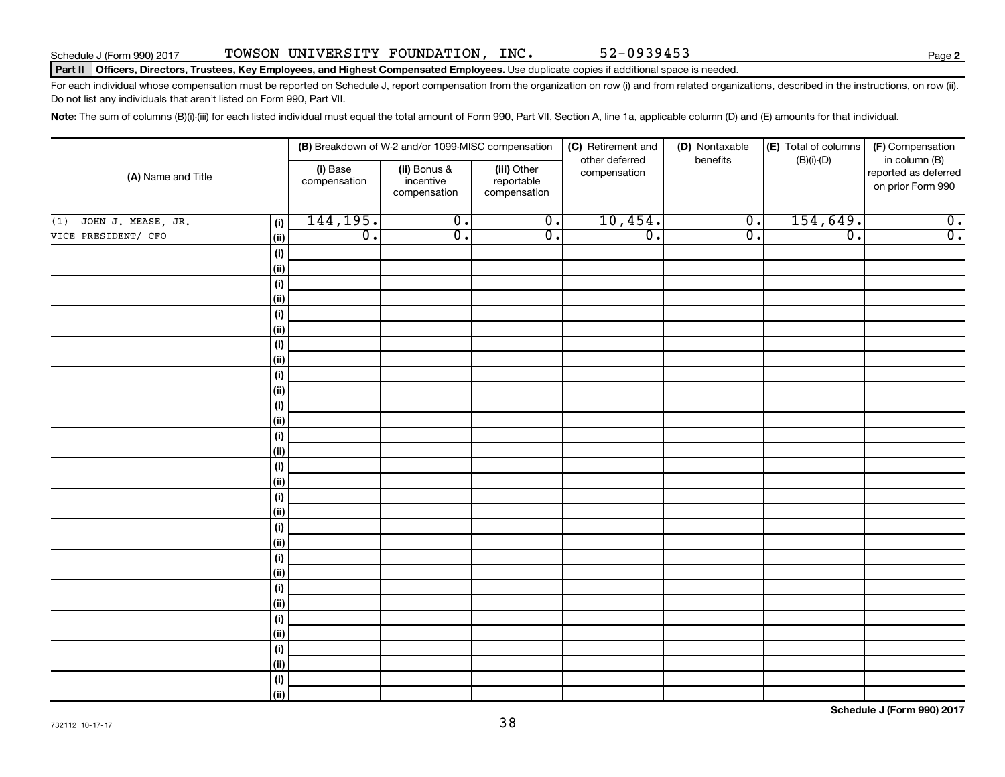**2**

### Part II | Officers, Directors, Trustees, Key Employees, and Highest Compensated Employees. Use duplicate copies if additional space is needed.

For each individual whose compensation must be reported on Schedule J, report compensation from the organization on row (i) and from related organizations, described in the instructions, on row (ii). Do not list any individuals that aren't listed on Form 990, Part VII.

Note: The sum of columns (B)(i)-(iii) for each listed individual must equal the total amount of Form 990, Part VII, Section A, line 1a, applicable column (D) and (E) amounts for that individual.

|                           |                   |                          | (B) Breakdown of W-2 and/or 1099-MISC compensation |                                           | (C) Retirement and             | (D) Nontaxable            | (E) Total of columns | (F) Compensation                                           |  |
|---------------------------|-------------------|--------------------------|----------------------------------------------------|-------------------------------------------|--------------------------------|---------------------------|----------------------|------------------------------------------------------------|--|
| (A) Name and Title        |                   | (i) Base<br>compensation | (ii) Bonus &<br>incentive<br>compensation          | (iii) Other<br>reportable<br>compensation | other deferred<br>compensation | $(B)(i)-(D)$<br>benefits  |                      | in column (B)<br>reported as deferred<br>on prior Form 990 |  |
| JOHN J. MEASE, JR.<br>(1) | (i)               | 144,195.                 | $\overline{0}$ .                                   | $\overline{\mathbf{0}}$ .                 | 10,454.                        | $\overline{\mathbf{0}}$ . | 154,649.             | $\overline{0}$ .                                           |  |
| VICE PRESIDENT/ CFO       | (ii)              | $\overline{0}$ .         | $\overline{0}$ .                                   | $\overline{0}$ .                          | $\overline{0}$ .               | $\overline{0}$ .          | $\overline{0}$ .     | $\overline{0}$ .                                           |  |
|                           | $(\sf{i})$        |                          |                                                    |                                           |                                |                           |                      |                                                            |  |
|                           | (ii)              |                          |                                                    |                                           |                                |                           |                      |                                                            |  |
|                           | $(\sf{i})$        |                          |                                                    |                                           |                                |                           |                      |                                                            |  |
|                           | (ii)              |                          |                                                    |                                           |                                |                           |                      |                                                            |  |
|                           | $(\sf{i})$        |                          |                                                    |                                           |                                |                           |                      |                                                            |  |
|                           | (i)               |                          |                                                    |                                           |                                |                           |                      |                                                            |  |
|                           | $(\sf{i})$        |                          |                                                    |                                           |                                |                           |                      |                                                            |  |
|                           | (i)               |                          |                                                    |                                           |                                |                           |                      |                                                            |  |
|                           | $(\sf{i})$        |                          |                                                    |                                           |                                |                           |                      |                                                            |  |
|                           | (i)               |                          |                                                    |                                           |                                |                           |                      |                                                            |  |
|                           | $(\sf{i})$        |                          |                                                    |                                           |                                |                           |                      |                                                            |  |
|                           | (ii)              |                          |                                                    |                                           |                                |                           |                      |                                                            |  |
|                           | $(\sf{i})$        |                          |                                                    |                                           |                                |                           |                      |                                                            |  |
|                           | (ii)              |                          |                                                    |                                           |                                |                           |                      |                                                            |  |
|                           | $(\sf{i})$<br>(i) |                          |                                                    |                                           |                                |                           |                      |                                                            |  |
|                           | $(\sf{i})$        |                          |                                                    |                                           |                                |                           |                      |                                                            |  |
|                           | (i)               |                          |                                                    |                                           |                                |                           |                      |                                                            |  |
|                           | $(\sf{i})$        |                          |                                                    |                                           |                                |                           |                      |                                                            |  |
|                           | (ii)              |                          |                                                    |                                           |                                |                           |                      |                                                            |  |
|                           | $(\sf{i})$        |                          |                                                    |                                           |                                |                           |                      |                                                            |  |
|                           | (ii)              |                          |                                                    |                                           |                                |                           |                      |                                                            |  |
|                           | $(\sf{i})$        |                          |                                                    |                                           |                                |                           |                      |                                                            |  |
|                           | (ii)              |                          |                                                    |                                           |                                |                           |                      |                                                            |  |
|                           | $(\sf{i})$        |                          |                                                    |                                           |                                |                           |                      |                                                            |  |
|                           | (ii)              |                          |                                                    |                                           |                                |                           |                      |                                                            |  |
|                           | $(\sf{i})$        |                          |                                                    |                                           |                                |                           |                      |                                                            |  |
|                           | (ii)              |                          |                                                    |                                           |                                |                           |                      |                                                            |  |
|                           | $(\sf{i})$        |                          |                                                    |                                           |                                |                           |                      |                                                            |  |
|                           | (ii)              |                          |                                                    |                                           |                                |                           |                      |                                                            |  |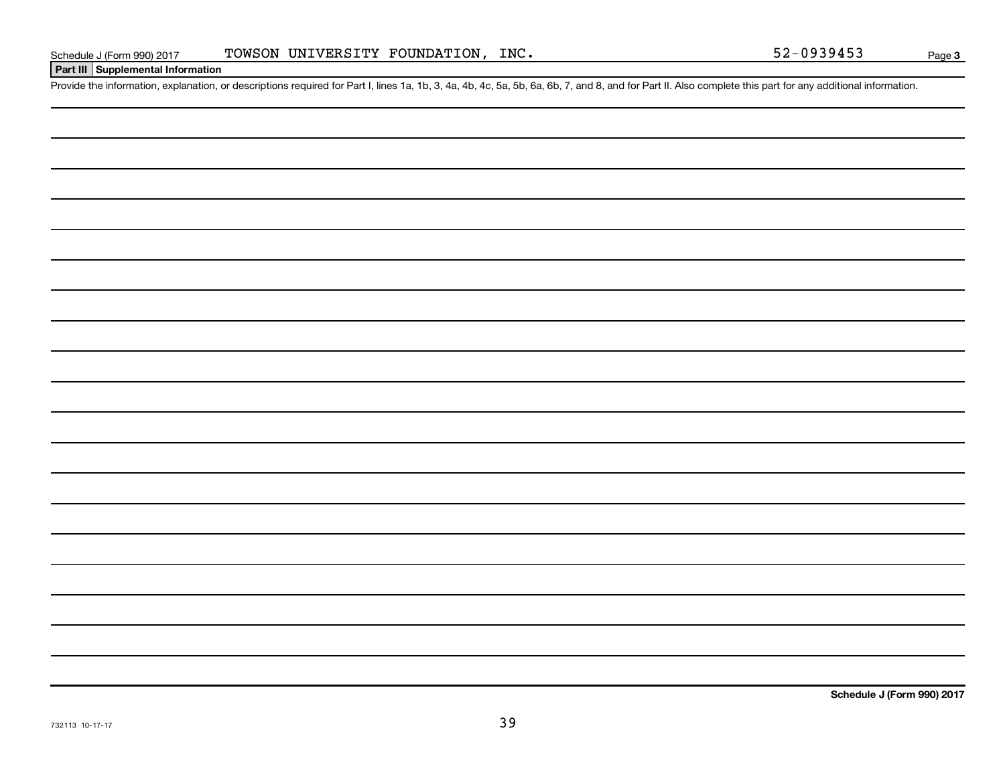## **Part III Supplemental Information**

Provide the information, explanation, or descriptions required for Part I, lines 1a, 1b, 3, 4a, 4b, 4c, 5a, 5b, 6a, 6b, 7, and 8, and for Part II. Also complete this part for any additional information.

**Schedule J (Form 990) 2017**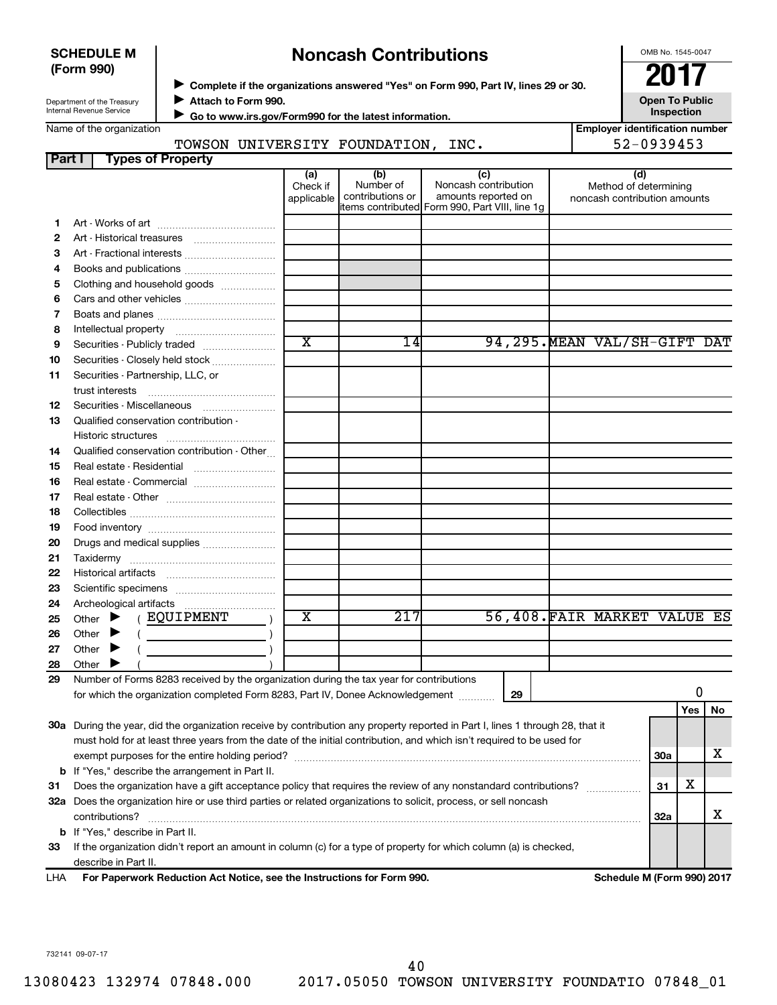| <b>SCHEDULE M</b> |  |
|-------------------|--|
| (Form 990)        |  |

## **Complete if the organizations answered "Yes" on Form 990, Part IV, lines 29 or 30.**<br>Suppose the organizations answered "Yes" on Form 990, Part IV, lines 29 or 30. **Noncash Contributions**

OMB No. 1545-0047

Department of the Treasury Internal Revenue Service

**Attach to Form 990.** J

**Open To Public Inspection**

Name of the organization

 **Go to www.irs.gov/Form990 for the latest information.** J

## TOWSON UNIVERSITY FOUNDATION, INC. 52-0939453

| <b>Employer identification number</b> |            |  |  |
|---------------------------------------|------------|--|--|
|                                       | EO AODALED |  |  |

| Part I  | <b>Types of Property</b>                                                                                                       |                               |                                      |                                                                                                      |                                                              |            |    |
|---------|--------------------------------------------------------------------------------------------------------------------------------|-------------------------------|--------------------------------------|------------------------------------------------------------------------------------------------------|--------------------------------------------------------------|------------|----|
|         |                                                                                                                                | (a)<br>Check if<br>applicable | (b)<br>Number of<br>contributions or | (c)<br>Noncash contribution<br>amounts reported on<br>items contributed Form 990, Part VIII, line 1g | (d)<br>Method of determining<br>noncash contribution amounts |            |    |
| 1.      |                                                                                                                                |                               |                                      |                                                                                                      |                                                              |            |    |
| 2       |                                                                                                                                |                               |                                      |                                                                                                      |                                                              |            |    |
| 3       |                                                                                                                                |                               |                                      |                                                                                                      |                                                              |            |    |
| 4       | Books and publications                                                                                                         |                               |                                      |                                                                                                      |                                                              |            |    |
| 5       | Clothing and household goods                                                                                                   |                               |                                      |                                                                                                      |                                                              |            |    |
| 6       |                                                                                                                                |                               |                                      |                                                                                                      |                                                              |            |    |
| 7       |                                                                                                                                |                               |                                      |                                                                                                      |                                                              |            |    |
| 8       |                                                                                                                                |                               |                                      |                                                                                                      |                                                              |            |    |
| 9       | Securities - Publicly traded                                                                                                   | $\overline{\text{x}}$         | 14                                   |                                                                                                      | 94, 295. MEAN VAL/SH-GIFT DAT                                |            |    |
| 10      | Securities - Closely held stock                                                                                                |                               |                                      |                                                                                                      |                                                              |            |    |
| 11      | Securities - Partnership, LLC, or<br>trust interests                                                                           |                               |                                      |                                                                                                      |                                                              |            |    |
| 12      | Securities - Miscellaneous                                                                                                     |                               |                                      |                                                                                                      |                                                              |            |    |
| 13      | Qualified conservation contribution -                                                                                          |                               |                                      |                                                                                                      |                                                              |            |    |
| 14      | Qualified conservation contribution - Other                                                                                    |                               |                                      |                                                                                                      |                                                              |            |    |
| 15      | Real estate - Residential                                                                                                      |                               |                                      |                                                                                                      |                                                              |            |    |
| 16      | Real estate - Commercial                                                                                                       |                               |                                      |                                                                                                      |                                                              |            |    |
| 17      |                                                                                                                                |                               |                                      |                                                                                                      |                                                              |            |    |
| 18      |                                                                                                                                |                               |                                      |                                                                                                      |                                                              |            |    |
| 19      |                                                                                                                                |                               |                                      |                                                                                                      |                                                              |            |    |
| 20      | Drugs and medical supplies                                                                                                     |                               |                                      |                                                                                                      |                                                              |            |    |
| 21      |                                                                                                                                |                               |                                      |                                                                                                      |                                                              |            |    |
| 22      |                                                                                                                                |                               |                                      |                                                                                                      |                                                              |            |    |
| 23      |                                                                                                                                |                               |                                      |                                                                                                      |                                                              |            |    |
| 24      |                                                                                                                                |                               |                                      |                                                                                                      |                                                              |            |    |
| 25      | ( EQUIPMENT<br>Other $\blacktriangleright$                                                                                     | X                             | $\overline{21}7$                     |                                                                                                      | 56,408. FAIR MARKET VALUE ES                                 |            |    |
| 26      | Other $\blacktriangleright$<br><u>and the state of the state</u>                                                               |                               |                                      |                                                                                                      |                                                              |            |    |
| 27      | Other $\blacktriangleright$                                                                                                    |                               |                                      |                                                                                                      |                                                              |            |    |
| 28      | Other $\blacktriangleright$                                                                                                    |                               |                                      |                                                                                                      |                                                              |            |    |
| 29      | Number of Forms 8283 received by the organization during the tax year for contributions                                        |                               |                                      |                                                                                                      |                                                              |            |    |
|         | for which the organization completed Form 8283, Part IV, Donee Acknowledgement                                                 |                               |                                      | 29                                                                                                   |                                                              | 0          |    |
|         |                                                                                                                                |                               |                                      |                                                                                                      |                                                              | Yes        | No |
|         | 30a During the year, did the organization receive by contribution any property reported in Part I, lines 1 through 28, that it |                               |                                      |                                                                                                      |                                                              |            |    |
|         | must hold for at least three years from the date of the initial contribution, and which isn't required to be used for          |                               |                                      |                                                                                                      |                                                              |            |    |
|         |                                                                                                                                |                               |                                      |                                                                                                      |                                                              | 30a        | х  |
|         | <b>b</b> If "Yes," describe the arrangement in Part II.                                                                        |                               |                                      |                                                                                                      |                                                              |            |    |
| 31      | Does the organization have a gift acceptance policy that requires the review of any nonstandard contributions?                 |                               |                                      |                                                                                                      |                                                              | х<br>31    |    |
|         | 32a Does the organization hire or use third parties or related organizations to solicit, process, or sell noncash              |                               |                                      |                                                                                                      |                                                              |            |    |
|         | contributions?<br><b>b</b> If "Yes," describe in Part II.                                                                      |                               |                                      |                                                                                                      |                                                              | <b>32a</b> | х  |
| 33      | If the organization didn't report an amount in column (c) for a type of property for which column (a) is checked,              |                               |                                      |                                                                                                      |                                                              |            |    |
|         |                                                                                                                                |                               |                                      |                                                                                                      |                                                              |            |    |
| <b></b> | describe in Part II.<br>escripe in Part II.<br>Eex Benemusrk Beduction Act Notice, can the Instructions for Eerm 000.          |                               |                                      |                                                                                                      | Calcedota M (Fause 000) 0047                                 |            |    |

**For Paperwork Reduction Act Notice, see the Instructions for Form 990. Schedule M (Form 990) 2017** LHA

732141 09-07-17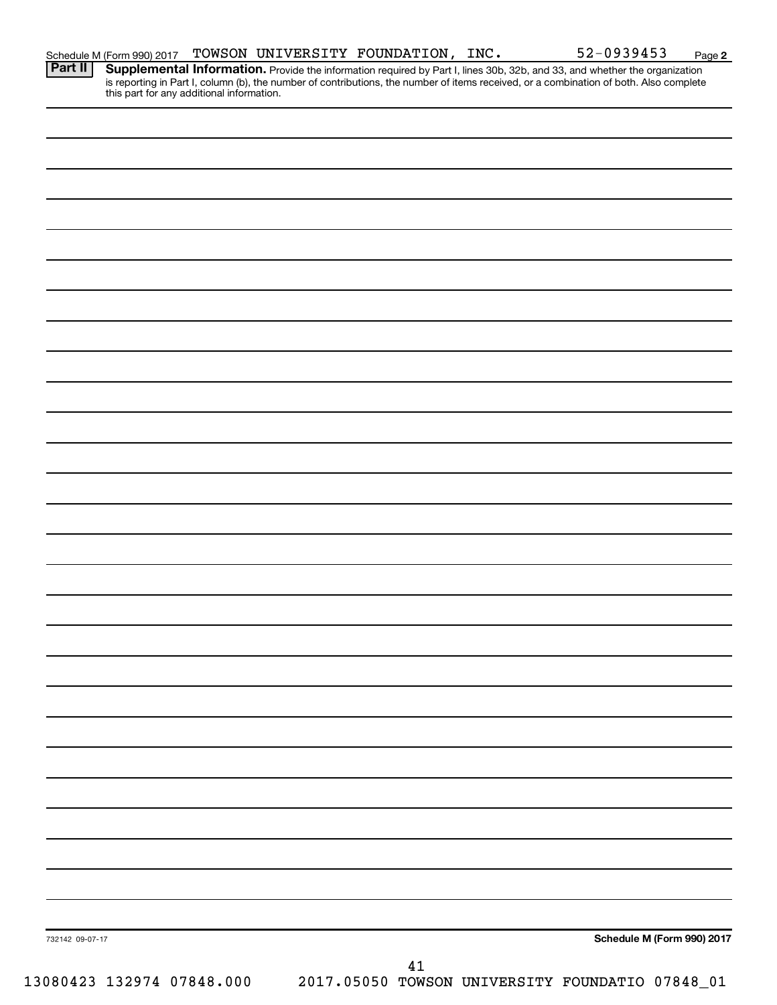|  |  | Schedule M (Form 990) 2017 TOWSON UNIVERSITY FOUNDATION, INC. | 52-0939453                                                                                                                                | Page |
|--|--|---------------------------------------------------------------|-------------------------------------------------------------------------------------------------------------------------------------------|------|
|  |  |                                                               | <b>Part II</b> Supplemental Information. Provide the information required by Part I, lines 30b, 32b, and 33, and whether the organization |      |

**2**

Provide the information required by Part I, lines 30b, 32b, and 33, and whether the organization is reporting in Part I, column (b), the number of contributions, the number of items received, or a combination of both. Also complete this part for any additional information.

|                 | 13080423 132974 07848.000 |  | $41\,$ | 2017.05050 TOWSON UNIVERSITY FOUNDATIO 07848_01 |                            |  |
|-----------------|---------------------------|--|--------|-------------------------------------------------|----------------------------|--|
| 732142 09-07-17 |                           |  |        |                                                 | Schedule M (Form 990) 2017 |  |
|                 |                           |  |        |                                                 |                            |  |
|                 |                           |  |        |                                                 |                            |  |
|                 |                           |  |        |                                                 |                            |  |
|                 |                           |  |        |                                                 |                            |  |
|                 |                           |  |        |                                                 |                            |  |
|                 |                           |  |        |                                                 |                            |  |
|                 |                           |  |        |                                                 |                            |  |
|                 |                           |  |        |                                                 |                            |  |
|                 |                           |  |        |                                                 |                            |  |
|                 |                           |  |        |                                                 |                            |  |
|                 |                           |  |        |                                                 |                            |  |
|                 |                           |  |        |                                                 |                            |  |
|                 |                           |  |        |                                                 |                            |  |
|                 |                           |  |        |                                                 |                            |  |
|                 |                           |  |        |                                                 |                            |  |
|                 |                           |  |        |                                                 |                            |  |
|                 |                           |  |        |                                                 |                            |  |
|                 |                           |  |        |                                                 |                            |  |
|                 |                           |  |        |                                                 |                            |  |
|                 |                           |  |        |                                                 |                            |  |
|                 |                           |  |        |                                                 |                            |  |
|                 |                           |  |        |                                                 |                            |  |
|                 |                           |  |        |                                                 |                            |  |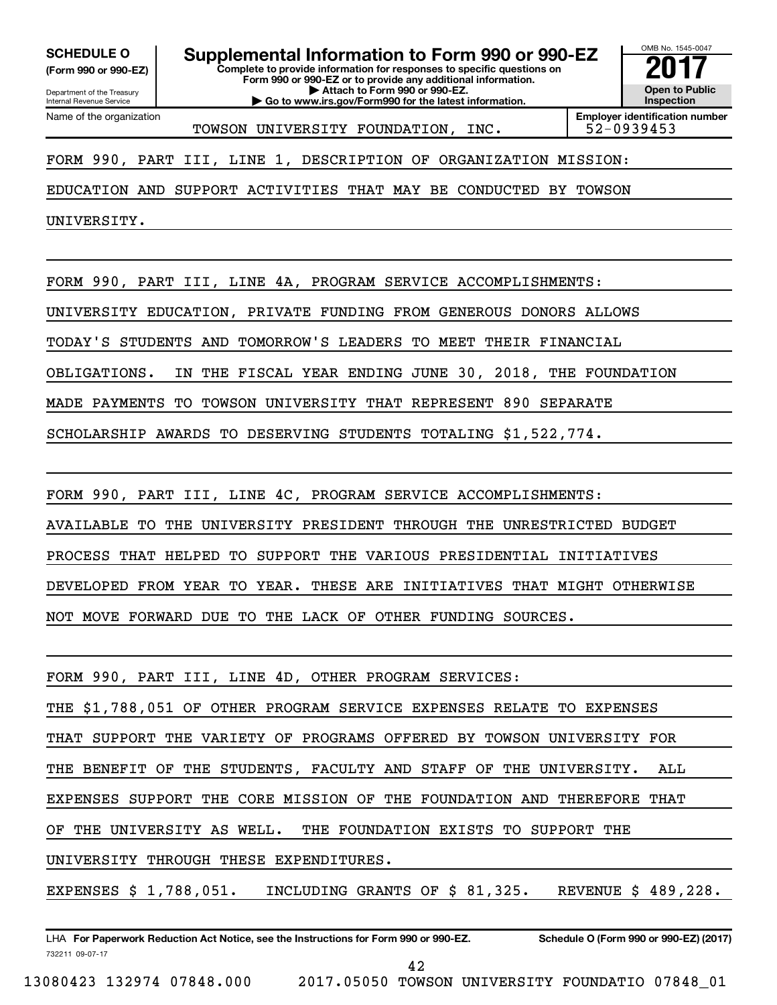**(Form 990 or 990-EZ)**

Department of the Treasury Internal Revenue Service Name of the organization

**Complete to provide information for responses to specific questions on Form 990 or 990-EZ or to provide any additional information. | Attach to Form 990 or 990-EZ. | Go to www.irs.gov/Form990 for the latest information. SCHEDULE O Supplemental Information to Form 990 or 990-EZ** <br>(Form 990 or 990-EZ) Complete to provide information for responses to specific questions on



TOWSON UNIVERSITY FOUNDATION, INC. 52-0939453

**Employer identification number**

FORM 990, PART III, LINE 1, DESCRIPTION OF ORGANIZATION MISSION:

EDUCATION AND SUPPORT ACTIVITIES THAT MAY BE CONDUCTED BY TOWSON

UNIVERSITY.

FORM 990, PART III, LINE 4A, PROGRAM SERVICE ACCOMPLISHMENTS:

UNIVERSITY EDUCATION, PRIVATE FUNDING FROM GENEROUS DONORS ALLOWS

TODAY'S STUDENTS AND TOMORROW'S LEADERS TO MEET THEIR FINANCIAL

OBLIGATIONS. IN THE FISCAL YEAR ENDING JUNE 30, 2018, THE FOUNDATION

MADE PAYMENTS TO TOWSON UNIVERSITY THAT REPRESENT 890 SEPARATE

SCHOLARSHIP AWARDS TO DESERVING STUDENTS TOTALING \$1,522,774.

FORM 990, PART III, LINE 4C, PROGRAM SERVICE ACCOMPLISHMENTS:

AVAILABLE TO THE UNIVERSITY PRESIDENT THROUGH THE UNRESTRICTED BUDGET

PROCESS THAT HELPED TO SUPPORT THE VARIOUS PRESIDENTIAL INITIATIVES

DEVELOPED FROM YEAR TO YEAR. THESE ARE INITIATIVES THAT MIGHT OTHERWISE

NOT MOVE FORWARD DUE TO THE LACK OF OTHER FUNDING SOURCES.

FORM 990, PART III, LINE 4D, OTHER PROGRAM SERVICES: THE \$1,788,051 OF OTHER PROGRAM SERVICE EXPENSES RELATE TO EXPENSES THAT SUPPORT THE VARIETY OF PROGRAMS OFFERED BY TOWSON UNIVERSITY FOR THE BENEFIT OF THE STUDENTS, FACULTY AND STAFF OF THE UNIVERSITY. ALL EXPENSES SUPPORT THE CORE MISSION OF THE FOUNDATION AND THEREFORE THAT OF THE UNIVERSITY AS WELL. THE FOUNDATION EXISTS TO SUPPORT THE UNIVERSITY THROUGH THESE EXPENDITURES. EXPENSES \$ 1,788,051. INCLUDING GRANTS OF \$ 81,325. REVENUE \$ 489,228.

732211 09-07-17 LHA For Paperwork Reduction Act Notice, see the Instructions for Form 990 or 990-EZ. Schedule O (Form 990 or 990-EZ) (2017)

42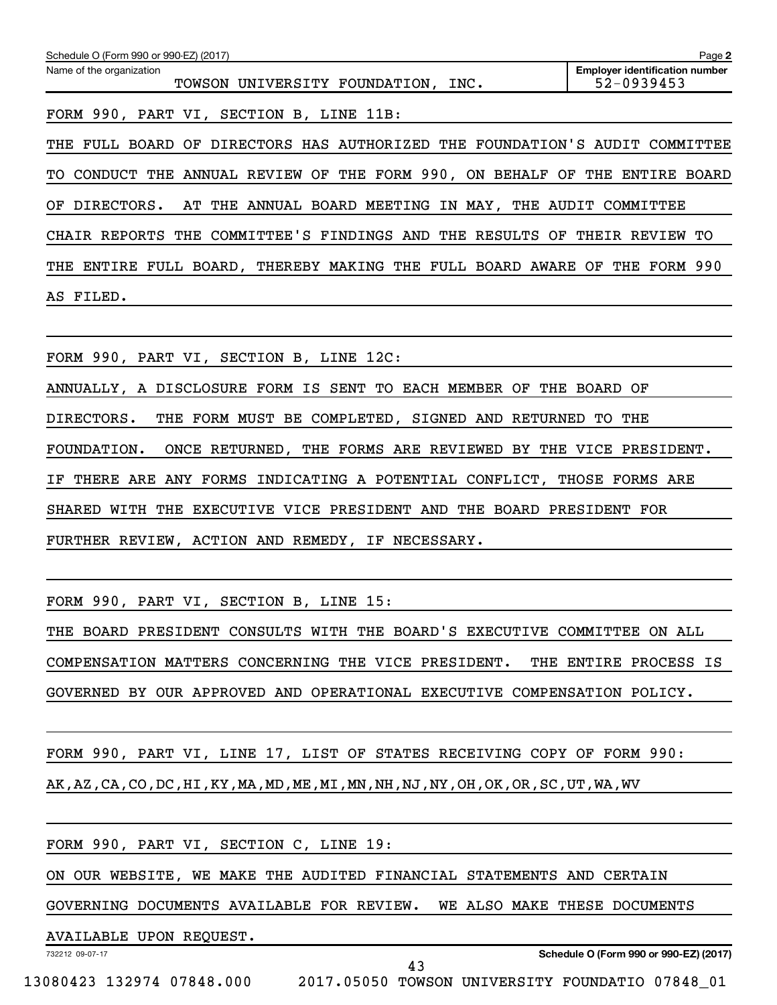| Schedule O (Form 990 or 990-EZ) (2017)                                      | Page 2                                                  |
|-----------------------------------------------------------------------------|---------------------------------------------------------|
| Name of the organization<br>UNIVERSITY FOUNDATION, INC.<br>TOWSON           | <b>Employer identification number</b><br>$52 - 0939453$ |
| FORM 990, PART VI, SECTION B, LINE 11B:                                     |                                                         |
| THE FULL BOARD OF DIRECTORS HAS AUTHORIZED THE FOUNDATION'S AUDIT COMMITTEE |                                                         |
| CONDUCT THE ANNUAL REVIEW OF THE FORM 990, ON BEHALF OF THE ENTIRE<br>TO .  | <b>BOARD</b>                                            |
| IN MAY,<br>MEETING<br>OF.<br>DIRECTORS.<br>AT THE<br>ANNUAL BOARD           | THE AUDIT COMMITTEE                                     |
| CHAIR REPORTS THE COMMITTEE'S FINDINGS AND THE RESULTS OF                   | THEIR<br>TО<br><b>REVIEW</b>                            |
| ENTIRE FULL BOARD, THEREBY MAKING THE FULL BOARD AWARE OF<br>THE            | THE<br>FORM 990                                         |
| FILED.<br>AS                                                                |                                                         |

FORM 990, PART VI, SECTION B, LINE 12C:

ANNUALLY, A DISCLOSURE FORM IS SENT TO EACH MEMBER OF THE BOARD OF

DIRECTORS. THE FORM MUST BE COMPLETED, SIGNED AND RETURNED TO THE

FOUNDATION. ONCE RETURNED, THE FORMS ARE REVIEWED BY THE VICE PRESIDENT.

IF THERE ARE ANY FORMS INDICATING A POTENTIAL CONFLICT, THOSE FORMS ARE

SHARED WITH THE EXECUTIVE VICE PRESIDENT AND THE BOARD PRESIDENT FOR

FURTHER REVIEW, ACTION AND REMEDY, IF NECESSARY.

FORM 990, PART VI, SECTION B, LINE 15:

THE BOARD PRESIDENT CONSULTS WITH THE BOARD'S EXECUTIVE COMMITTEE ON ALL COMPENSATION MATTERS CONCERNING THE VICE PRESIDENT. THE ENTIRE PROCESS IS GOVERNED BY OUR APPROVED AND OPERATIONAL EXECUTIVE COMPENSATION POLICY.

FORM 990, PART VI, LINE 17, LIST OF STATES RECEIVING COPY OF FORM 990: AK,AZ,CA,CO,DC,HI,KY,MA,MD,ME,MI,MN,NH,NJ,NY,OH,OK,OR,SC,UT,WA,WV

| FORM 990, PART VI, SECTION C, LINE 19:                                 |                                        |
|------------------------------------------------------------------------|----------------------------------------|
| ON OUR WEBSITE, WE MAKE THE AUDITED FINANCIAL STATEMENTS AND CERTAIN   |                                        |
| GOVERNING DOCUMENTS AVAILABLE FOR REVIEW. WE ALSO MAKE THESE DOCUMENTS |                                        |
| AVAILABLE UPON REQUEST.                                                |                                        |
| 732212 09-07-17<br>43                                                  | Schedule O (Form 990 or 990-EZ) (2017) |